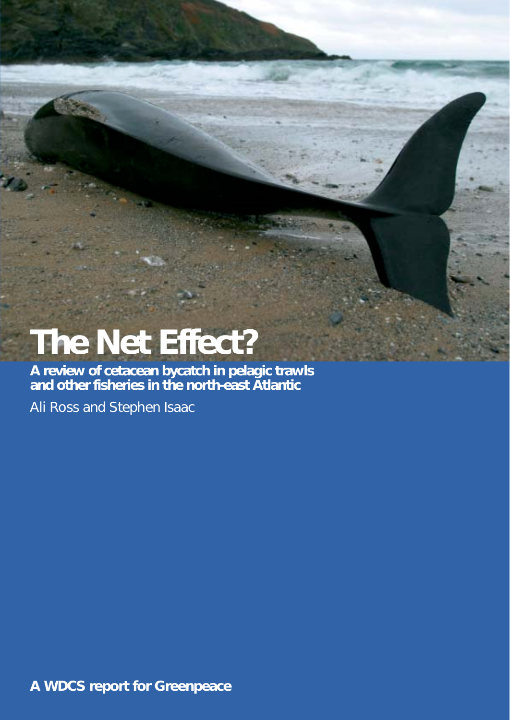# **The Net Effect?**

**A review of cetacean bycatch in pelagic trawls and other fisheries in the north-east Atlantic**

Ali Ross and Stephen Isaac

**A WDCS report for Greenpeace**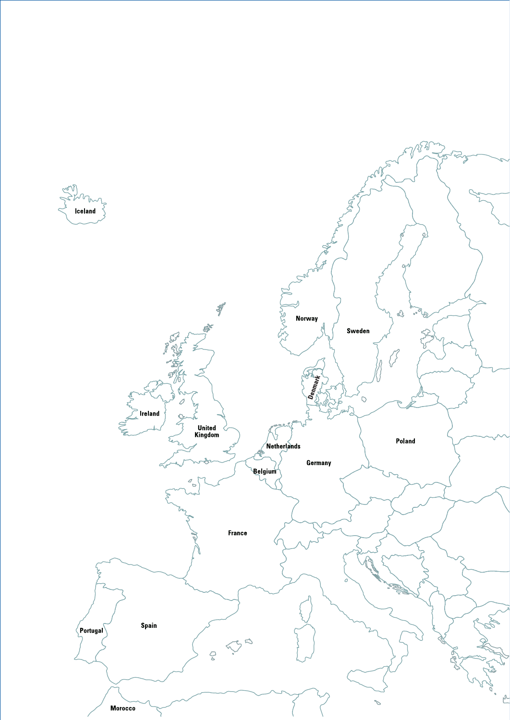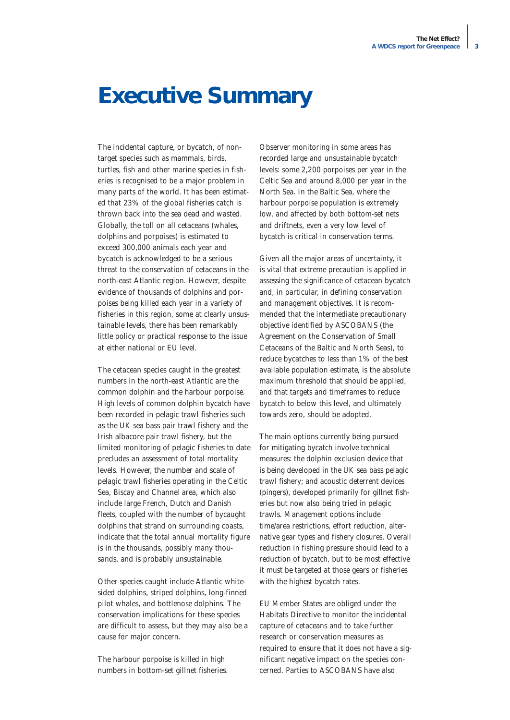# **Executive Summary**

The incidental capture, or bycatch, of nontarget species such as mammals, birds, turtles, fish and other marine species in fisheries is recognised to be a major problem in many parts of the world. It has been estimated that 23% of the global fisheries catch is thrown back into the sea dead and wasted. Globally, the toll on all cetaceans (whales, dolphins and porpoises) is estimated to exceed 300,000 animals each year and bycatch is acknowledged to be a serious threat to the conservation of cetaceans in the north-east Atlantic region. However, despite evidence of thousands of dolphins and porpoises being killed each year in a variety of fisheries in this region, some at clearly unsustainable levels, there has been remarkably little policy or practical response to the issue at either national or EU level.

The cetacean species caught in the greatest numbers in the north-east Atlantic are the common dolphin and the harbour porpoise. High levels of common dolphin bycatch have been recorded in pelagic trawl fisheries such as the UK sea bass pair trawl fishery and the Irish albacore pair trawl fishery, but the limited monitoring of pelagic fisheries to date precludes an assessment of total mortality levels. However, the number and scale of pelagic trawl fisheries operating in the Celtic Sea, Biscay and Channel area, which also include large French, Dutch and Danish fleets, coupled with the number of bycaught dolphins that strand on surrounding coasts, indicate that the total annual mortality figure is in the thousands, possibly many thousands, and is probably unsustainable.

Other species caught include Atlantic whitesided dolphins, striped dolphins, long-finned pilot whales, and bottlenose dolphins. The conservation implications for these species are difficult to assess, but they may also be a cause for major concern.

The harbour porpoise is killed in high numbers in bottom-set gillnet fisheries.

Observer monitoring in some areas has recorded large and unsustainable bycatch levels: some 2,200 porpoises per year in the Celtic Sea and around 8,000 per year in the North Sea. In the Baltic Sea, where the harbour porpoise population is extremely low, and affected by both bottom-set nets and driftnets, even a very low level of bycatch is critical in conservation terms.

Given all the major areas of uncertainty, it is vital that extreme precaution is applied in assessing the significance of cetacean bycatch and, in particular, in defining conservation and management objectives. It is recommended that the intermediate precautionary objective identified by ASCOBANS (the Agreement on the Conservation of Small Cetaceans of the Baltic and North Seas), *to reduce bycatches to less than 1% of the best available population estimate,* is the absolute maximum threshold that should be applied, and that targets and timeframes to reduce bycatch to below this level, and ultimately towards zero, should be adopted.

The main options currently being pursued for mitigating bycatch involve technical measures: the dolphin exclusion device that is being developed in the UK sea bass pelagic trawl fishery; and acoustic deterrent devices (pingers), developed primarily for gillnet fisheries but now also being tried in pelagic trawls. Management options include time/area restrictions, effort reduction, alternative gear types and fishery closures. Overall reduction in fishing pressure should lead to a reduction of bycatch, but to be most effective it must be targeted at those gears or fisheries with the highest bycatch rates.

EU Member States are obliged under the Habitats Directive to monitor the incidental capture of cetaceans and to take further research or conservation measures as required to ensure that it does not have a significant negative impact on the species concerned. Parties to ASCOBANS have also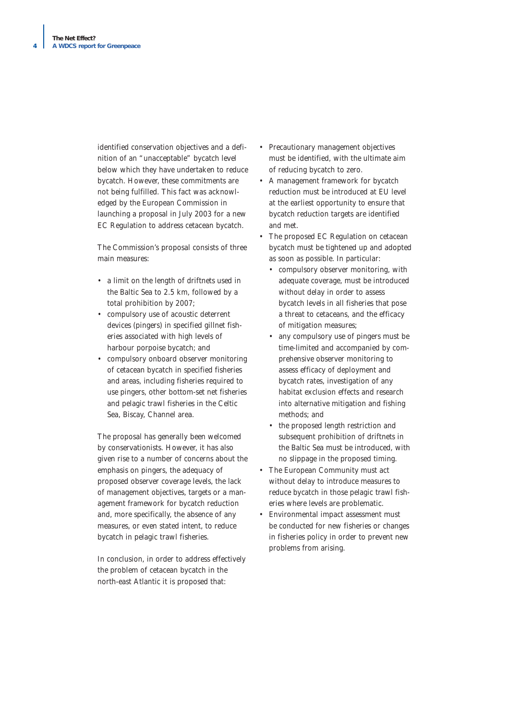identified conservation objectives and a definition of an "unacceptable" bycatch level below which they have undertaken to reduce bycatch. However, these commitments are not being fulfilled. This fact was acknowledged by the European Commission in launching a proposal in July 2003 for a new EC Regulation to address cetacean bycatch.

The Commission's proposal consists of three main measures:

- a limit on the length of driftnets used in the Baltic Sea to 2.5 km, followed by a total prohibition by 2007;
- compulsory use of acoustic deterrent devices (pingers) in specified gillnet fisheries associated with high levels of harbour porpoise bycatch; and
- compulsory onboard observer monitoring of cetacean bycatch in specified fisheries and areas, including fisheries required to use pingers, other bottom-set net fisheries and pelagic trawl fisheries in the Celtic Sea, Biscay, Channel area.

The proposal has generally been welcomed by conservationists. However, it has also given rise to a number of concerns about the emphasis on pingers, the adequacy of proposed observer coverage levels, the lack of management objectives, targets or a management framework for bycatch reduction and, more specifically, the absence of any measures, or even stated intent, to reduce bycatch in pelagic trawl fisheries.

In conclusion, in order to address effectively the problem of cetacean bycatch in the north-east Atlantic it is proposed that:

- Precautionary management objectives must be identified, with the ultimate aim of reducing bycatch to zero.
- A management framework for bycatch reduction must be introduced at EU level at the earliest opportunity to ensure that bycatch reduction targets are identified and met.
- The proposed EC Regulation on cetacean bycatch must be tightened up and adopted as soon as possible. In particular:
	- compulsory observer monitoring, with adequate coverage, must be introduced without delay in order to assess bycatch levels in all fisheries that pose a threat to cetaceans, and the efficacy of mitigation measures;
	- any compulsory use of pingers must be time-limited and accompanied by comprehensive observer monitoring to assess efficacy of deployment and bycatch rates, investigation of any habitat exclusion effects and research into alternative mitigation and fishing methods; and
	- the proposed length restriction and subsequent prohibition of driftnets in the Baltic Sea must be introduced, with no slippage in the proposed timing.
- The European Community must act without delay to introduce measures to reduce bycatch in those pelagic trawl fisheries where levels are problematic.
- Environmental impact assessment must be conducted for new fisheries or changes in fisheries policy in order to prevent new problems from arising.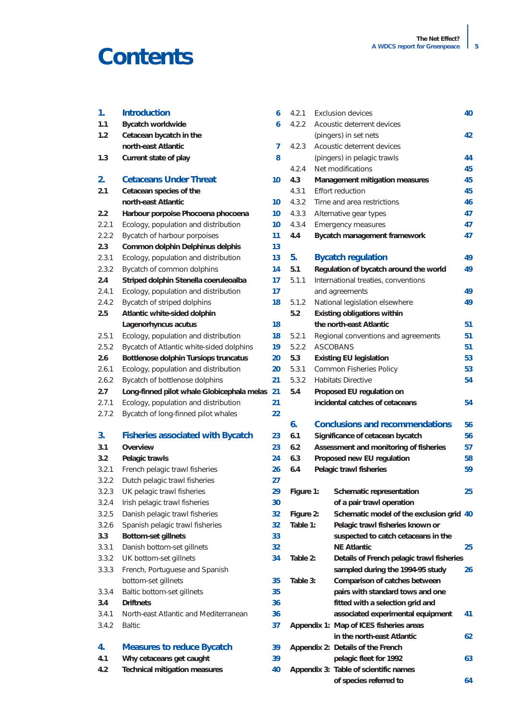# **Contents**

| 1.    | <b>Introduction</b>                           | 6  | 4.2.1     |                                 | <b>Exclusion devices</b>                  | 40 |
|-------|-----------------------------------------------|----|-----------|---------------------------------|-------------------------------------------|----|
| 1.1   | <b>Bycatch worldwide</b>                      | 6  | 4.2.2     |                                 | Acoustic deterrent devices                |    |
| 1.2   | Cetacean bycatch in the                       |    |           |                                 | (pingers) in set nets                     | 42 |
|       | north-east Atlantic                           | 7  | 4.2.3     |                                 | Acoustic deterrent devices                |    |
| 1.3   | Current state of play                         | 8  |           |                                 | (pingers) in pelagic trawls               | 44 |
|       |                                               |    | 4.2.4     |                                 | Net modifications                         | 45 |
| 2.    | <b>Cetaceans Under Threat</b>                 | 10 | 4.3       |                                 | Management mitigation measures            | 45 |
| 2.1   | Cetacean species of the                       |    | 4.3.1     |                                 | <b>Effort reduction</b>                   | 45 |
|       | north-east Atlantic                           | 10 | 4.3.2     |                                 | Time and area restrictions                | 46 |
| 2.2   | Harbour porpoise Phocoena phocoena            | 10 | 4.3.3     |                                 | Alternative gear types                    | 47 |
| 2.2.1 | Ecology, population and distribution          | 10 | 4.3.4     |                                 | <b>Emergency measures</b>                 | 47 |
| 2.2.2 | Bycatch of harbour porpoises                  | 11 | 4.4       |                                 | Bycatch management framework              | 47 |
| 2.3   | Common dolphin Delphinus delphis              | 13 |           |                                 |                                           |    |
| 2.3.1 | Ecology, population and distribution          | 13 | 5.        |                                 | <b>Bycatch regulation</b>                 | 49 |
| 2.3.2 | Bycatch of common dolphins                    | 14 | 5.1       |                                 | Regulation of bycatch around the world    | 49 |
| 2.4   | Striped dolphin Stenella coeruleoalba         | 17 | 5.1.1     |                                 | International treaties, conventions       |    |
| 2.4.1 | Ecology, population and distribution          | 17 |           |                                 | and agreements                            | 49 |
| 2.4.2 | Bycatch of striped dolphins                   | 18 | 5.1.2     |                                 | National legislation elsewhere            | 49 |
| 2.5   | Atlantic white-sided dolphin                  |    | 5.2       |                                 | <b>Existing obligations within</b>        |    |
|       | Lagenorhyncus acutus                          | 18 |           | the north-east Atlantic         |                                           | 51 |
| 2.5.1 | Ecology, population and distribution          | 18 | 5.2.1     |                                 | Regional conventions and agreements       | 51 |
| 2.5.2 | Bycatch of Atlantic white-sided dolphins      | 19 | 5.2.2     |                                 | <b>ASCOBANS</b>                           | 51 |
| 2.6   | Bottlenose dolphin Tursiops truncatus         | 20 | 5.3       | <b>Existing EU legislation</b>  |                                           | 53 |
| 2.6.1 | Ecology, population and distribution          | 20 | 5.3.1     |                                 | Common Fisheries Policy                   | 53 |
| 2.6.2 | Bycatch of bottlenose dolphins                | 21 | 5.3.2     |                                 | <b>Habitats Directive</b>                 |    |
| 2.7   | Long-finned pilot whale Globicephala melas 21 |    | 5.4       | Proposed EU regulation on       |                                           | 54 |
| 2.7.1 | Ecology, population and distribution          | 21 |           | incidental catches of cetaceans |                                           | 54 |
| 2.7.2 | Bycatch of long-finned pilot whales           | 22 |           |                                 |                                           |    |
|       |                                               |    | 6.        |                                 | <b>Conclusions and recommendations</b>    | 56 |
| 3.    | <b>Fisheries associated with Bycatch</b>      | 23 | 6.1       |                                 | Significance of cetacean bycatch          | 56 |
| 3.1   | Overview                                      | 23 | 6.2       |                                 | Assessment and monitoring of fisheries    | 57 |
| 3.2   | Pelagic trawls                                | 24 | 6.3       |                                 | Proposed new EU regulation                | 58 |
| 3.2.1 | French pelagic trawl fisheries                | 26 | 6.4       |                                 | Pelagic trawl fisheries                   | 59 |
| 3.2.2 | Dutch pelagic trawl fisheries                 | 27 |           |                                 |                                           |    |
| 3.2.3 | UK pelagic trawl fisheries                    | 29 | Figure 1: |                                 | Schematic representation                  | 25 |
| 3.2.4 | Irish pelagic trawl fisheries                 | 30 |           |                                 | of a pair trawl operation                 |    |
| 3.2.5 | Danish pelagic trawl fisheries                | 32 | Figure 2: |                                 | Schematic model of the exclusion grid 40  |    |
| 3.2.6 | Spanish pelagic trawl fisheries               | 32 | Table 1:  |                                 | Pelagic trawl fisheries known or          |    |
| 3.3   | <b>Bottom-set gillnets</b>                    | 33 |           |                                 | suspected to catch cetaceans in the       |    |
| 3.3.1 | Danish bottom-set gillnets                    | 32 |           |                                 | <b>NE Atlantic</b>                        | 25 |
| 3.3.2 | UK bottom-set gillnets                        | 34 | Table 2:  |                                 | Details of French pelagic trawl fisheries |    |
| 3.3.3 | French, Portuguese and Spanish                |    |           |                                 | sampled during the 1994-95 study          | 26 |
|       | bottom-set gillnets                           | 35 | Table 3:  |                                 | Comparison of catches between             |    |
| 3.3.4 | Baltic bottom-set gillnets                    | 35 |           |                                 | pairs with standard tows and one          |    |
| 3.4   | <b>Driftnets</b>                              | 36 |           |                                 | fitted with a selection grid and          |    |
| 3.4.1 | North-east Atlantic and Mediterranean         | 36 |           |                                 | associated experimental equipment         | 41 |
| 3.4.2 | <b>Baltic</b>                                 | 37 |           |                                 | Appendix 1: Map of ICES fisheries areas   |    |
|       |                                               |    |           |                                 | in the north-east Atlantic                | 62 |
| 4.    | <b>Measures to reduce Bycatch</b>             | 39 |           |                                 | Appendix 2: Details of the French         |    |
| 4.1   | Why cetaceans get caught                      | 39 |           |                                 | pelagic fleet for 1992                    | 63 |
| 4.2   | <b>Technical mitigation measures</b>          | 40 |           |                                 | Appendix 3: Table of scientific names     |    |
|       |                                               |    |           |                                 | of species referred to                    | 64 |
|       |                                               |    |           |                                 |                                           |    |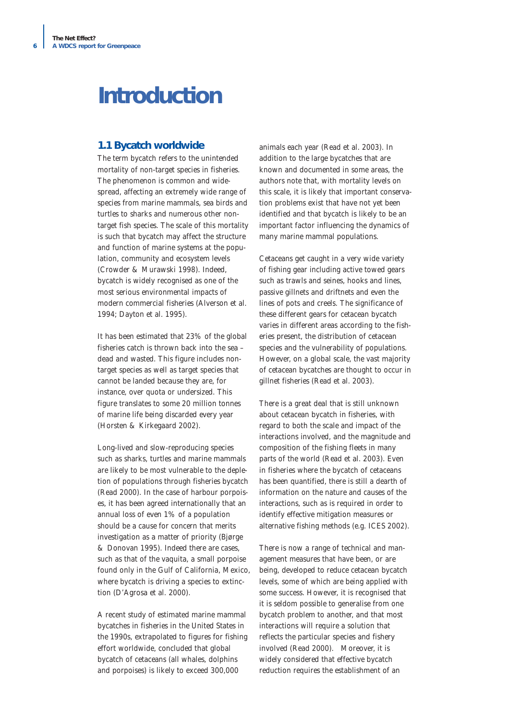# **Introduction**

### **1.1 Bycatch worldwide**

The term bycatch refers to the unintended mortality of non-target species in fisheries. The phenomenon is common and widespread, affecting an extremely wide range of species from marine mammals, sea birds and turtles to sharks and numerous other nontarget fish species. The scale of this mortality is such that bycatch may affect the structure and function of marine systems at the population, community and ecosystem levels (Crowder & Murawski 1998). Indeed, bycatch is widely recognised as one of the most serious environmental impacts of modern commercial fisheries (Alverson *et al.* 1994; Dayton *et al.* 1995).

It has been estimated that 23% of the global fisheries catch is thrown back into the sea – dead and wasted. This figure includes nontarget species as well as target species that cannot be landed because they are, for instance, over quota or undersized. This figure translates to some 20 million tonnes of marine life being discarded every year (Horsten & Kirkegaard 2002).

Long-lived and slow-reproducing species such as sharks, turtles and marine mammals are likely to be most vulnerable to the depletion of populations through fisheries bycatch (Read 2000). In the case of harbour porpoises, it has been agreed internationally that an annual loss of even 1% of a population should be a cause for concern that merits investigation as a matter of priority (Bjørge & Donovan 1995). Indeed there are cases, such as that of the vaquita, a small porpoise found only in the Gulf of California, Mexico, where bycatch is driving a species to extinction (D'Agrosa *et al.* 2000).

A recent study of estimated marine mammal bycatches in fisheries in the United States in the 1990s, extrapolated to figures for fishing effort worldwide, concluded that global bycatch of cetaceans (all whales, dolphins and porpoises) is likely to exceed 300,000

animals each year (Read *et al.* 2003). In addition to the large bycatches that are known and documented in some areas, the authors note that, with mortality levels on this scale, it is likely that important conservation problems exist that have not yet been identified and that bycatch is likely to be an important factor influencing the dynamics of many marine mammal populations.

Cetaceans get caught in a very wide variety of fishing gear including active towed gears such as trawls and seines, hooks and lines, passive gillnets and driftnets and even the lines of pots and creels. The significance of these different gears for cetacean bycatch varies in different areas according to the fisheries present, the distribution of cetacean species and the vulnerability of populations. However, on a global scale, the vast majority of cetacean bycatches are thought to occur in gillnet fisheries (Read *et al.* 2003).

There is a great deal that is still unknown about cetacean bycatch in fisheries, with regard to both the scale and impact of the interactions involved, and the magnitude and composition of the fishing fleets in many parts of the world (Read *et al.* 2003). Even in fisheries where the bycatch of cetaceans has been quantified, there is still a dearth of information on the nature and causes of the interactions, such as is required in order to identify effective mitigation measures or alternative fishing methods (e.g. ICES 2002).

There is now a range of technical and management measures that have been, or are being, developed to reduce cetacean bycatch levels, some of which are being applied with some success. However, it is recognised that it is seldom possible to generalise from one bycatch problem to another, and that most interactions will require a solution that reflects the particular species and fishery involved (Read 2000). Moreover, it is widely considered that effective bycatch reduction requires the establishment of an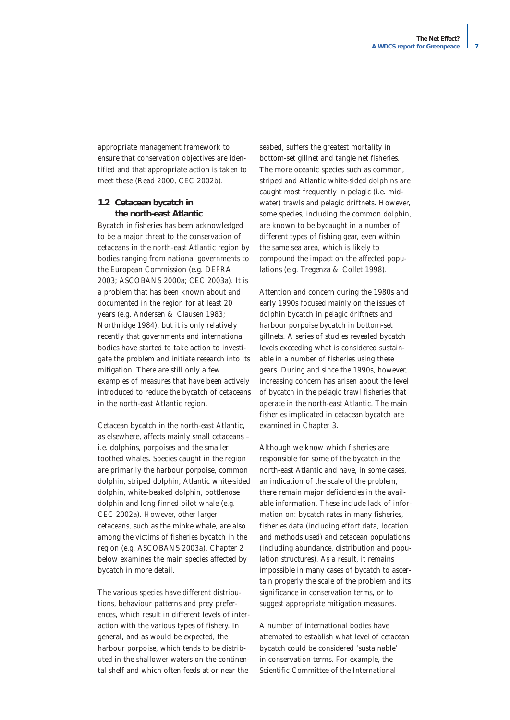appropriate management framework to ensure that conservation objectives are identified and that appropriate action is taken to meet these (Read 2000, CEC 2002b).

#### **1.2 Cetacean bycatch in the north-east Atlantic**

Bycatch in fisheries has been acknowledged to be a major threat to the conservation of cetaceans in the north-east Atlantic region by bodies ranging from national governments to the European Commission (e.g. DEFRA 2003; ASCOBANS 2000a; CEC 2003a). It is a problem that has been known about and documented in the region for at least 20 years (e.g. Andersen & Clausen 1983; Northridge 1984), but it is only relatively recently that governments and international bodies have started to take action to investigate the problem and initiate research into its mitigation. There are still only a few examples of measures that have been actively introduced to reduce the bycatch of cetaceans in the north-east Atlantic region.

Cetacean bycatch in the north-east Atlantic, as elsewhere, affects mainly small cetaceans – i.e. dolphins, porpoises and the smaller toothed whales. Species caught in the region are primarily the harbour porpoise, common dolphin, striped dolphin, Atlantic white-sided dolphin, white-beaked dolphin, bottlenose dolphin and long-finned pilot whale (e.g. CEC 2002a). However, other larger cetaceans, such as the minke whale, are also among the victims of fisheries bycatch in the region (e.g. ASCOBANS 2003a). Chapter 2 below examines the main species affected by bycatch in more detail.

The various species have different distributions, behaviour patterns and prey preferences, which result in different levels of interaction with the various types of fishery. In general, and as would be expected, the harbour porpoise, which tends to be distributed in the shallower waters on the continental shelf and which often feeds at or near the

seabed, suffers the greatest mortality in bottom-set gillnet and tangle net fisheries. The more oceanic species such as common, striped and Atlantic white-sided dolphins are caught most frequently in pelagic (i.e. midwater) trawls and pelagic driftnets. However, some species, including the common dolphin, are known to be bycaught in a number of different types of fishing gear, even within the same sea area, which is likely to compound the impact on the affected populations (e.g. Tregenza & Collet 1998).

Attention and concern during the 1980s and early 1990s focused mainly on the issues of dolphin bycatch in pelagic driftnets and harbour porpoise bycatch in bottom-set gillnets. A series of studies revealed bycatch levels exceeding what is considered sustainable in a number of fisheries using these gears. During and since the 1990s, however, increasing concern has arisen about the level of bycatch in the pelagic trawl fisheries that operate in the north-east Atlantic. The main fisheries implicated in cetacean bycatch are examined in Chapter 3.

Although we know which fisheries are responsible for some of the bycatch in the north-east Atlantic and have, in some cases, an indication of the scale of the problem, there remain major deficiencies in the available information. These include lack of information on: bycatch rates in many fisheries, fisheries data (including effort data, location and methods used) and cetacean populations (including abundance, distribution and population structures). As a result, it remains impossible in many cases of bycatch to ascertain properly the scale of the problem and its significance in conservation terms, or to suggest appropriate mitigation measures.

A number of international bodies have attempted to establish what level of cetacean bycatch could be considered 'sustainable' in conservation terms. For example, the Scientific Committee of the International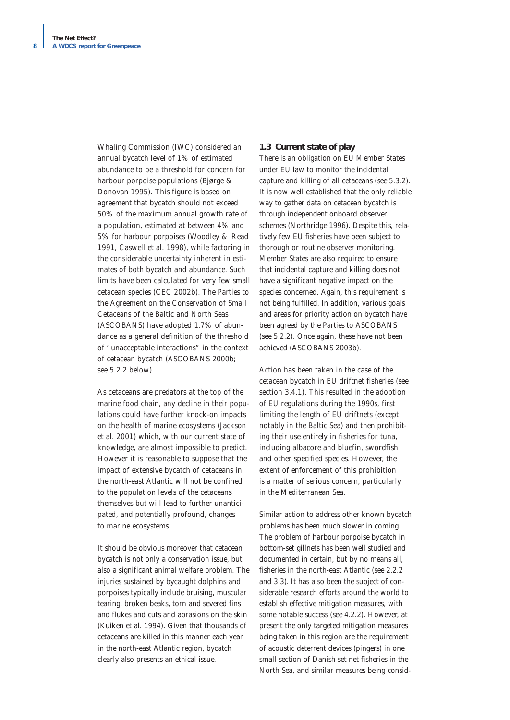Whaling Commission (IWC) considered an annual bycatch level of 1% of estimated abundance to be a threshold for concern for harbour porpoise populations (Bjørge & Donovan 1995). This figure is based on agreement that bycatch should not exceed 50% of the maximum annual growth rate of a population, estimated at between 4% and 5% for harbour porpoises (Woodley & Read 1991, Caswell *et al.* 1998), while factoring in the considerable uncertainty inherent in estimates of both bycatch and abundance. Such limits have been calculated for very few small cetacean species (CEC 2002b). The Parties to the Agreement on the Conservation of Small Cetaceans of the Baltic and North Seas (ASCOBANS) have adopted 1.7% of abundance as a general definition of the threshold of "unacceptable interactions" in the context of cetacean bycatch (ASCOBANS 2000b; see 5.2.2 below).

As cetaceans are predators at the top of the marine food chain, any decline in their populations could have further knock-on impacts on the health of marine ecosystems (Jackson *et al.* 2001) which, with our current state of knowledge, are almost impossible to predict. However it is reasonable to suppose that the impact of extensive bycatch of cetaceans in the north-east Atlantic will not be confined to the population levels of the cetaceans themselves but will lead to further unanticipated, and potentially profound, changes to marine ecosystems.

It should be obvious moreover that cetacean bycatch is not only a conservation issue, but also a significant animal welfare problem. The injuries sustained by bycaught dolphins and porpoises typically include bruising, muscular tearing, broken beaks, torn and severed fins and flukes and cuts and abrasions on the skin (Kuiken *et al.* 1994). Given that thousands of cetaceans are killed in this manner each year in the north-east Atlantic region, bycatch clearly also presents an ethical issue.

#### **1.3 Current state of play**

There is an obligation on EU Member States under EU law to monitor the incidental capture and killing of all cetaceans (see 5.3.2). It is now well established that the only reliable way to gather data on cetacean bycatch is through independent onboard observer schemes (Northridge 1996). Despite this, relatively few EU fisheries have been subject to thorough or routine observer monitoring. Member States are also required to ensure that incidental capture and killing does not have a significant negative impact on the species concerned. Again, this requirement is not being fulfilled. In addition, various goals and areas for priority action on bycatch have been agreed by the Parties to ASCOBANS (see 5.2.2). Once again, these have not been achieved (ASCOBANS 2003b).

Action has been taken in the case of the cetacean bycatch in EU driftnet fisheries (see section 3.4.1). This resulted in the adoption of EU regulations during the 1990s, first limiting the length of EU driftnets (except notably in the Baltic Sea) and then prohibiting their use entirely in fisheries for tuna, including albacore and bluefin, swordfish and other specified species. However, the extent of enforcement of this prohibition is a matter of serious concern, particularly in the Mediterranean Sea.

Similar action to address other known bycatch problems has been much slower in coming. The problem of harbour porpoise bycatch in bottom-set gillnets has been well studied and documented in certain, but by no means all, fisheries in the north-east Atlantic (see 2.2.2 and 3.3). It has also been the subject of considerable research efforts around the world to establish effective mitigation measures, with some notable success (see 4.2.2). However, at present the only targeted mitigation measures being taken in this region are the requirement of acoustic deterrent devices (pingers) in one small section of Danish set net fisheries in the North Sea, and similar measures being consid-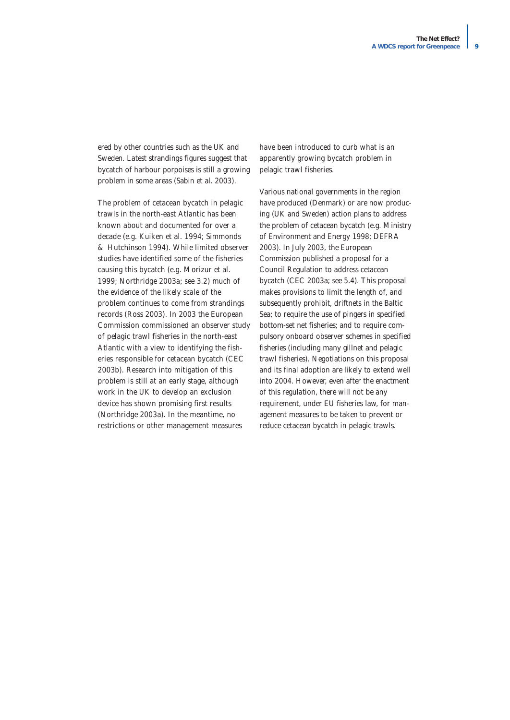ered by other countries such as the UK and Sweden. Latest strandings figures suggest that bycatch of harbour porpoises is still a growing problem in some areas (Sabin *et al.* 2003).

The problem of cetacean bycatch in pelagic trawls in the north-east Atlantic has been known about and documented for over a decade (e.g. Kuiken *et al.* 1994; Simmonds & Hutchinson 1994). While limited observer studies have identified some of the fisheries causing this bycatch (e.g. Morizur *et al.* 1999; Northridge 2003a; see 3.2) much of the evidence of the likely scale of the problem continues to come from strandings records (Ross 2003). In 2003 the European Commission commissioned an observer study of pelagic trawl fisheries in the north-east Atlantic with a view to identifying the fisheries responsible for cetacean bycatch (CEC 2003b). Research into mitigation of this problem is still at an early stage, although work in the UK to develop an exclusion device has shown promising first results (Northridge 2003a). In the meantime, no restrictions or other management measures

have been introduced to curb what is an apparently growing bycatch problem in pelagic trawl fisheries.

Various national governments in the region have produced (Denmark) or are now producing (UK and Sweden) action plans to address the problem of cetacean bycatch (e.g. Ministry of Environment and Energy 1998; DEFRA 2003). In July 2003, the European Commission published a proposal for a Council Regulation to address cetacean bycatch (CEC 2003a; see 5.4). This proposal makes provisions to limit the length of, and subsequently prohibit, driftnets in the Baltic Sea; to require the use of pingers in specified bottom-set net fisheries; and to require compulsory onboard observer schemes in specified fisheries (including many gillnet and pelagic trawl fisheries). Negotiations on this proposal and its final adoption are likely to extend well into 2004. However, even after the enactment of this regulation, there will not be any requirement, under EU fisheries law, for management measures to be taken to prevent or reduce cetacean bycatch in pelagic trawls.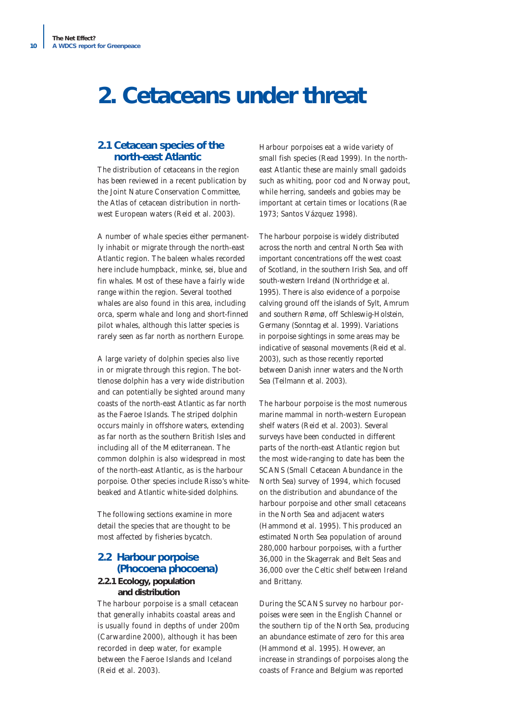# **2. Cetaceans under threat**

## **2.1 Cetacean species of the north-east Atlantic**

The distribution of cetaceans in the region has been reviewed in a recent publication by the Joint Nature Conservation Committee, the *Atlas of cetacean distribution in northwest European waters* (Reid *et al.* 2003).

A number of whale species either permanently inhabit or migrate through the north-east Atlantic region. The baleen whales recorded here include humpback, minke, sei, blue and fin whales. Most of these have a fairly wide range within the region. Several toothed whales are also found in this area, including orca, sperm whale and long and short-finned pilot whales, although this latter species is rarely seen as far north as northern Europe.

A large variety of dolphin species also live in or migrate through this region. The bottlenose dolphin has a very wide distribution and can potentially be sighted around many coasts of the north-east Atlantic as far north as the Faeroe Islands. The striped dolphin occurs mainly in offshore waters, extending as far north as the southern British Isles and including all of the Mediterranean. The common dolphin is also widespread in most of the north-east Atlantic, as is the harbour porpoise. Other species include Risso's whitebeaked and Atlantic white-sided dolphins.

The following sections examine in more detail the species that are thought to be most affected by fisheries bycatch.

# **2.2 Harbour porpoise** *(Phocoena phocoena)*

# **2.2.1 Ecology, population and distribution**

The harbour porpoise is a small cetacean that generally inhabits coastal areas and is usually found in depths of under 200m (Carwardine 2000), although it has been recorded in deep water, for example between the Faeroe Islands and Iceland (Reid *et al.* 2003).

Harbour porpoises eat a wide variety of small fish species (Read 1999). In the northeast Atlantic these are mainly small gadoids such as whiting, poor cod and Norway pout, while herring, sandeels and gobies may be important at certain times or locations (Rae 1973; Santos Vázquez 1998).

The harbour porpoise is widely distributed across the north and central North Sea with important concentrations off the west coast of Scotland, in the southern Irish Sea, and off south-western Ireland (Northridge *et al.* 1995). There is also evidence of a porpoise calving ground off the islands of Sylt, Amrum and southern Rømø, off Schleswig-Holstein, Germany (Sonntag *et al.* 1999). Variations in porpoise sightings in some areas may be indicative of seasonal movements (Reid *et al.* 2003), such as those recently reported between Danish inner waters and the North Sea (Teilmann *et al.* 2003).

The harbour porpoise is the most numerous marine mammal in north-western European shelf waters (Reid *et al.* 2003). Several surveys have been conducted in different parts of the north-east Atlantic region but the most wide-ranging to date has been the SCANS (Small Cetacean Abundance in the North Sea) survey of 1994, which focused on the distribution and abundance of the harbour porpoise and other small cetaceans in the North Sea and adjacent waters (Hammond *et al.* 1995). This produced an estimated North Sea population of around 280,000 harbour porpoises, with a further 36,000 in the Skagerrak and Belt Seas and 36,000 over the Celtic shelf between Ireland and Brittany.

During the SCANS survey no harbour porpoises were seen in the English Channel or the southern tip of the North Sea, producing an abundance estimate of zero for this area (Hammond *et al.* 1995). However, an increase in strandings of porpoises along the coasts of France and Belgium was reported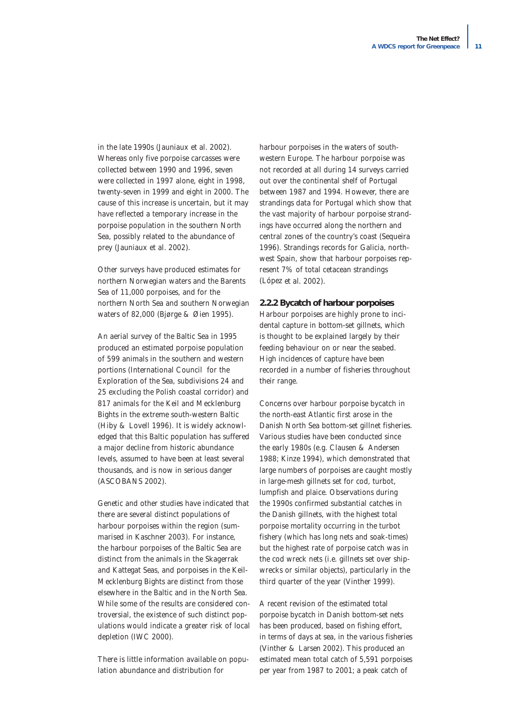in the late 1990s (Jauniaux *et al.* 2002). Whereas only five porpoise carcasses were collected between 1990 and 1996, seven were collected in 1997 alone, eight in 1998, twenty-seven in 1999 and eight in 2000. The cause of this increase is uncertain, but it may have reflected a temporary increase in the porpoise population in the southern North Sea, possibly related to the abundance of prey (Jauniaux *et al.* 2002).

Other surveys have produced estimates for northern Norwegian waters and the Barents Sea of 11,000 porpoises, and for the northern North Sea and southern Norwegian waters of 82,000 (Bjørge & Øien 1995).

An aerial survey of the Baltic Sea in 1995 produced an estimated porpoise population of 599 animals in the southern and western portions (International Council for the Exploration of the Sea, subdivisions 24 and 25 excluding the Polish coastal corridor) and 817 animals for the Keil and Mecklenburg Bights in the extreme south-western Baltic (Hiby & Lovell 1996). It is widely acknowledged that this Baltic population has suffered a major decline from historic abundance levels, assumed to have been at least several thousands, and is now in serious danger (ASCOBANS 2002).

Genetic and other studies have indicated that there are several distinct populations of harbour porpoises within the region (summarised in Kaschner 2003). For instance, the harbour porpoises of the Baltic Sea are distinct from the animals in the Skagerrak and Kattegat Seas, and porpoises in the Keil-Mecklenburg Bights are distinct from those elsewhere in the Baltic and in the North Sea. While some of the results are considered controversial, the existence of such distinct populations would indicate a greater risk of local depletion (IWC 2000).

There is little information available on population abundance and distribution for

harbour porpoises in the waters of southwestern Europe. The harbour porpoise was not recorded at all during 14 surveys carried out over the continental shelf of Portugal between 1987 and 1994. However, there are strandings data for Portugal which show that the vast majority of harbour porpoise strandings have occurred along the northern and central zones of the country's coast (Sequeira 1996). Strandings records for Galicia, northwest Spain, show that harbour porpoises represent 7% of total cetacean strandings (López *et al.* 2002).

#### **2.2.2 Bycatch of harbour porpoises**

Harbour porpoises are highly prone to incidental capture in bottom-set gillnets, which is thought to be explained largely by their feeding behaviour on or near the seabed. High incidences of capture have been recorded in a number of fisheries throughout their range.

Concerns over harbour porpoise bycatch in the north-east Atlantic first arose in the Danish North Sea bottom-set gillnet fisheries. Various studies have been conducted since the early 1980s (e.g. Clausen & Andersen 1988; Kinze 1994), which demonstrated that large numbers of porpoises are caught mostly in large-mesh gillnets set for cod, turbot, lumpfish and plaice. Observations during the 1990s confirmed substantial catches in the Danish gillnets, with the highest total porpoise mortality occurring in the turbot fishery (which has long nets and soak-times) but the highest rate of porpoise catch was in the cod wreck nets (i.e. gillnets set over shipwrecks or similar objects), particularly in the third quarter of the year (Vinther 1999).

A recent revision of the estimated total porpoise bycatch in Danish bottom-set nets has been produced, based on fishing effort, in terms of days at sea, in the various fisheries (Vinther & Larsen 2002). This produced an estimated mean total catch of 5,591 porpoises per year from 1987 to 2001; a peak catch of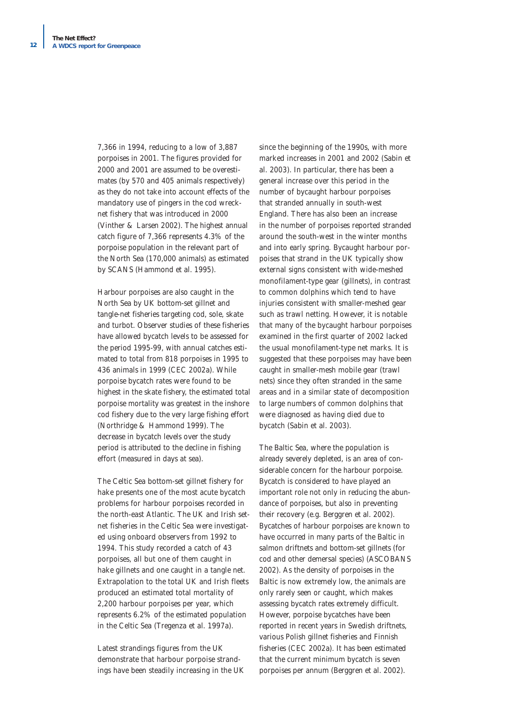7,366 in 1994, reducing to a low of 3,887 porpoises in 2001. The figures provided for 2000 and 2001 are assumed to be overestimates (by 570 and 405 animals respectively) as they do not take into account effects of the mandatory use of pingers in the cod wrecknet fishery that was introduced in 2000 (Vinther & Larsen 2002). The highest annual catch figure of 7,366 represents 4.3% of the porpoise population in the relevant part of the North Sea (170,000 animals) as estimated by SCANS (Hammond *et al.* 1995).

Harbour porpoises are also caught in the North Sea by UK bottom-set gillnet and tangle-net fisheries targeting cod, sole, skate and turbot. Observer studies of these fisheries have allowed bycatch levels to be assessed for the period 1995-99, with annual catches estimated to total from 818 porpoises in 1995 to 436 animals in 1999 (CEC 2002a). While porpoise bycatch rates were found to be highest in the skate fishery, the estimated total porpoise mortality was greatest in the inshore cod fishery due to the very large fishing effort (Northridge & Hammond 1999). The decrease in bycatch levels over the study period is attributed to the decline in fishing effort (measured in days at sea).

The Celtic Sea bottom-set gillnet fishery for hake presents one of the most acute bycatch problems for harbour porpoises recorded in the north-east Atlantic. The UK and Irish setnet fisheries in the Celtic Sea were investigated using onboard observers from 1992 to 1994. This study recorded a catch of 43 porpoises, all but one of them caught in hake gillnets and one caught in a tangle net. Extrapolation to the total UK and Irish fleets produced an estimated total mortality of 2,200 harbour porpoises per year, which represents 6.2% of the estimated population in the Celtic Sea (Tregenza *et al.* 1997a).

Latest strandings figures from the UK demonstrate that harbour porpoise strandings have been steadily increasing in the UK since the beginning of the 1990s, with more marked increases in 2001 and 2002 (Sabin *et al.* 2003). In particular, there has been a general increase over this period in the number of bycaught harbour porpoises that stranded annually in south-west England. There has also been an increase in the number of porpoises reported stranded around the south-west in the winter months and into early spring. Bycaught harbour porpoises that strand in the UK typically show external signs consistent with wide-meshed monofilament-type gear (gillnets), in contrast to common dolphins which tend to have injuries consistent with smaller-meshed gear such as trawl netting. However, it is notable that many of the bycaught harbour porpoises examined in the first quarter of 2002 lacked the usual monofilament-type net marks. It is suggested that these porpoises may have been caught in smaller-mesh mobile gear (trawl nets) since they often stranded in the same areas and in a similar state of decomposition to large numbers of common dolphins that were diagnosed as having died due to bycatch (Sabin *et al.* 2003).

The Baltic Sea, where the population is already severely depleted, is an area of considerable concern for the harbour porpoise. Bycatch is considered to have played an important role not only in reducing the abundance of porpoises, but also in preventing their recovery (e.g. Berggren *et al.* 2002). Bycatches of harbour porpoises are known to have occurred in many parts of the Baltic in salmon driftnets and bottom-set gillnets (for cod and other demersal species) (ASCOBANS 2002). As the density of porpoises in the Baltic is now extremely low, the animals are only rarely seen or caught, which makes assessing bycatch rates extremely difficult. However, porpoise bycatches have been reported in recent years in Swedish driftnets, various Polish gillnet fisheries and Finnish fisheries (CEC 2002a). It has been estimated that the current minimum bycatch is seven porpoises per annum (Berggren *et al.* 2002).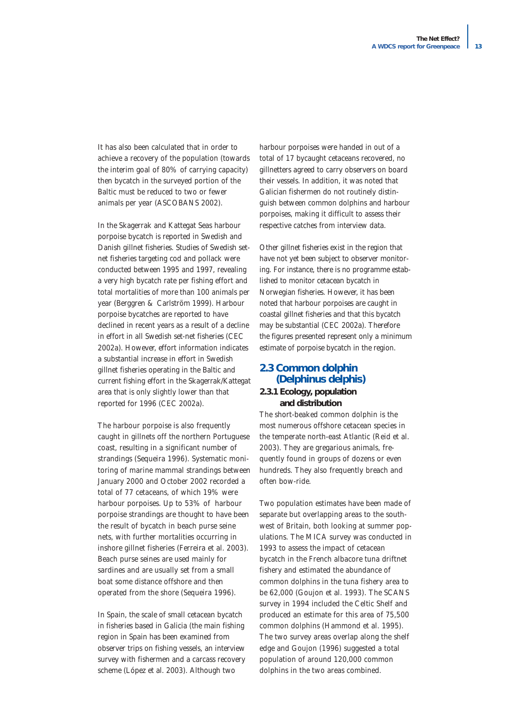It has also been calculated that in order to achieve a recovery of the population (towards the interim goal of 80% of carrying capacity) then bycatch in the surveyed portion of the Baltic must be reduced to two or fewer animals per year (ASCOBANS 2002).

In the Skagerrak and Kattegat Seas harbour porpoise bycatch is reported in Swedish and Danish gillnet fisheries. Studies of Swedish setnet fisheries targeting cod and pollack were conducted between 1995 and 1997, revealing a very high bycatch rate per fishing effort and total mortalities of more than 100 animals per year (Berggren & Carlström 1999). Harbour porpoise bycatches are reported to have declined in recent years as a result of a decline in effort in all Swedish set-net fisheries (CEC 2002a). However, effort information indicates a substantial increase in effort in Swedish gillnet fisheries operating in the Baltic and current fishing effort in the Skagerrak/Kattegat area that is only slightly lower than that reported for 1996 (CEC 2002a).

The harbour porpoise is also frequently caught in gillnets off the northern Portuguese coast, resulting in a significant number of strandings (Sequeira 1996). Systematic monitoring of marine mammal strandings between January 2000 and October 2002 recorded a total of 77 cetaceans, of which 19% were harbour porpoises. Up to 53% of harbour porpoise strandings are thought to have been the result of bycatch in beach purse seine nets, with further mortalities occurring in inshore gillnet fisheries (Ferreira *et al.* 2003). Beach purse seines are used mainly for sardines and are usually set from a small boat some distance offshore and then operated from the shore (Sequeira 1996).

In Spain, the scale of small cetacean bycatch in fisheries based in Galicia (the main fishing region in Spain has been examined from observer trips on fishing vessels, an interview survey with fishermen and a carcass recovery scheme (López *et al.* 2003). Although two

harbour porpoises were handed in out of a total of 17 bycaught cetaceans recovered, no gillnetters agreed to carry observers on board their vessels. In addition, it was noted that Galician fishermen do not routinely distinguish between common dolphins and harbour porpoises, making it difficult to assess their respective catches from interview data.

Other gillnet fisheries exist in the region that have not yet been subject to observer monitoring. For instance, there is no programme established to monitor cetacean bycatch in Norwegian fisheries. However, it has been noted that harbour porpoises are caught in coastal gillnet fisheries and that this bycatch may be substantial (CEC 2002a). Therefore the figures presented represent only a minimum estimate of porpoise bycatch in the region.

# **2.3 Common dolphin**  *(Delphinus delphis)*

## **2.3.1 Ecology, population and distribution**

The short-beaked common dolphin is the most numerous offshore cetacean species in the temperate north-east Atlantic (Reid *et al.* 2003). They are gregarious animals, frequently found in groups of dozens or even hundreds. They also frequently breach and often bow-ride.

Two population estimates have been made of separate but overlapping areas to the southwest of Britain, both looking at summer populations. The MICA survey was conducted in 1993 to assess the impact of cetacean bycatch in the French albacore tuna driftnet fishery and estimated the abundance of common dolphins in the tuna fishery area to be 62,000 (Goujon *et al.* 1993). The SCANS survey in 1994 included the Celtic Shelf and produced an estimate for this area of 75,500 common dolphins (Hammond *et al.* 1995). The two survey areas overlap along the shelf edge and Goujon (1996) suggested a total population of around 120,000 common dolphins in the two areas combined.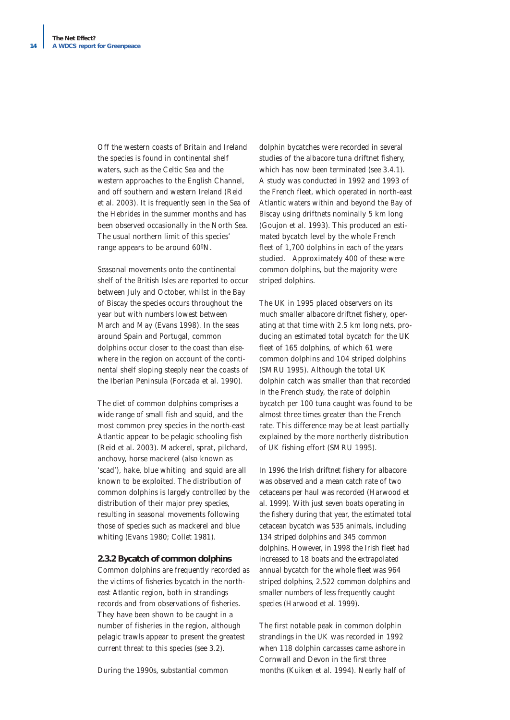Off the western coasts of Britain and Ireland the species is found in continental shelf waters, such as the Celtic Sea and the western approaches to the English Channel, and off southern and western Ireland (Reid *et al.* 2003). It is frequently seen in the Sea of the Hebrides in the summer months and has been observed occasionally in the North Sea. The usual northern limit of this species' range appears to be around 60ºN.

Seasonal movements onto the continental shelf of the British Isles are reported to occur between July and October, whilst in the Bay of Biscay the species occurs throughout the year but with numbers lowest between March and May (Evans 1998). In the seas around Spain and Portugal, common dolphins occur closer to the coast than elsewhere in the region on account of the continental shelf sloping steeply near the coasts of the Iberian Peninsula (Forcada *et al.* 1990).

The diet of common dolphins comprises a wide range of small fish and squid, and the most common prey species in the north-east Atlantic appear to be pelagic schooling fish (Reid *et al.* 2003). Mackerel, sprat, pilchard, anchovy, horse mackerel (also known as 'scad'), hake, blue whiting and squid are all known to be exploited. The distribution of common dolphins is largely controlled by the distribution of their major prey species, resulting in seasonal movements following those of species such as mackerel and blue whiting (Evans 1980; Collet 1981).

#### **2.3.2 Bycatch of common dolphins**

Common dolphins are frequently recorded as the victims of fisheries bycatch in the northeast Atlantic region, both in strandings records and from observations of fisheries. They have been shown to be caught in a number of fisheries in the region, although pelagic trawls appear to present the greatest current threat to this species (see 3.2).

During the 1990s, substantial common

dolphin bycatches were recorded in several studies of the albacore tuna driftnet fishery, which has now been terminated (see 3.4.1). A study was conducted in 1992 and 1993 of the French fleet, which operated in north-east Atlantic waters within and beyond the Bay of Biscay using driftnets nominally 5 km long (Goujon *et al.* 1993). This produced an estimated bycatch level by the whole French fleet of 1,700 dolphins in each of the years studied. Approximately 400 of these were common dolphins, but the majority were striped dolphins.

The UK in 1995 placed observers on its much smaller albacore driftnet fishery, operating at that time with 2.5 km long nets, producing an estimated total bycatch for the UK fleet of 165 dolphins, of which 61 were common dolphins and 104 striped dolphins (SMRU 1995). Although the total UK dolphin catch was smaller than that recorded in the French study, the rate of dolphin bycatch per 100 tuna caught was found to be almost three times greater than the French rate. This difference may be at least partially explained by the more northerly distribution of UK fishing effort (SMRU 1995).

In 1996 the Irish driftnet fishery for albacore was observed and a mean catch rate of two cetaceans per haul was recorded (Harwood *et al.* 1999). With just seven boats operating in the fishery during that year, the estimated total cetacean bycatch was 535 animals, including 134 striped dolphins and 345 common dolphins. However, in 1998 the Irish fleet had increased to 18 boats and the extrapolated annual bycatch for the whole fleet was 964 striped dolphins, 2,522 common dolphins and smaller numbers of less frequently caught species (Harwood *et al.* 1999).

The first notable peak in common dolphin strandings in the UK was recorded in 1992 when 118 dolphin carcasses came ashore in Cornwall and Devon in the first three months (Kuiken *et al.* 1994). Nearly half of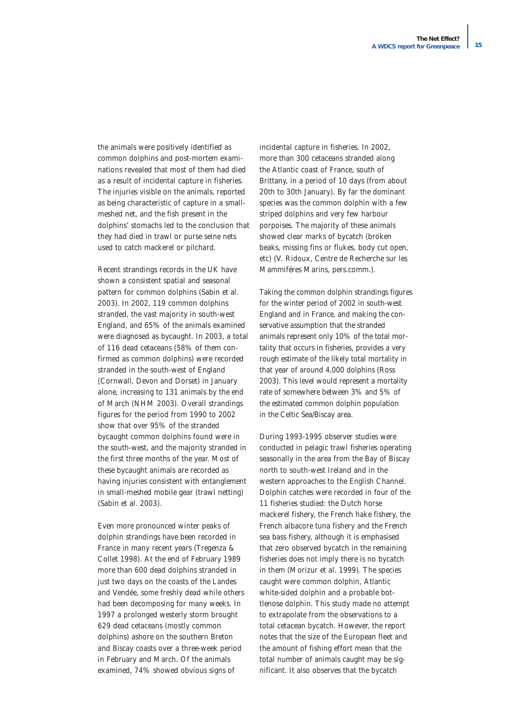the animals were positively identified as common dolphins and post-mortem examinations revealed that most of them had died as a result of incidental capture in fisheries. The injuries visible on the animals, reported as being characteristic of capture in a smallmeshed net, and the fish present in the dolphins' stomachs led to the conclusion that they had died in trawl or purse seine nets used to catch mackerel or pilchard.

Recent strandings records in the UK have shown a consistent spatial and seasonal pattern for common dolphins (Sabin *et al.* 2003). In 2002, 119 common dolphins stranded, the vast majority in south-west England, and 65% of the animals examined were diagnosed as bycaught. In 2003, a total of 116 dead cetaceans (58% of them confirmed as common dolphins) were recorded stranded in the south-west of England (Cornwall, Devon and Dorset) in January alone, increasing to 131 animals by the end of March (NHM 2003). Overall strandings figures for the period from 1990 to 2002 show that over 95% of the stranded bycaught common dolphins found were in the south-west, and the majority stranded in the first three months of the year. Most of these bycaught animals are recorded as having injuries consistent with entanglement in small-meshed mobile gear (trawl netting) (Sabin *et al.* 2003).

Even more pronounced winter peaks of dolphin strandings have been recorded in France in many recent years (Tregenza & Collet 1998). At the end of February 1989 more than 600 dead dolphins stranded in just two days on the coasts of the Landes and Vendée, some freshly dead while others had been decomposing for many weeks. In 1997 a prolonged westerly storm brought 629 dead cetaceans (mostly common dolphins) ashore on the southern Breton and Biscay coasts over a three-week period in February and March. Of the animals examined, 74% showed obvious signs of

incidental capture in fisheries. In 2002, more than 300 cetaceans stranded along the Atlantic coast of France, south of Brittany, in a period of 10 days (from about 20th to 30th January). By far the dominant species was the common dolphin with a few striped dolphins and very few harbour porpoises. The majority of these animals showed clear marks of bycatch (broken beaks, missing fins or flukes, body cut open, etc) (V. Ridoux, Centre de Recherche sur les Mammiféres Marins, pers.comm.).

Taking the common dolphin strandings figures for the winter period of 2002 in south-west England and in France, and making the conservative assumption that the stranded animals represent only 10% of the total mortality that occurs in fisheries, provides a very rough estimate of the likely total mortality in that year of around 4,000 dolphins (Ross 2003). This level would represent a mortality rate of somewhere between 3% and 5% of the estimated common dolphin population in the Celtic Sea/Biscay area.

During 1993-1995 observer studies were conducted in pelagic trawl fisheries operating seasonally in the area from the Bay of Biscay north to south-west Ireland and in the western approaches to the English Channel. Dolphin catches were recorded in four of the 11 fisheries studied: the Dutch horse mackerel fishery, the French hake fishery, the French albacore tuna fishery and the French sea bass fishery, although it is emphasised that zero observed bycatch in the remaining fisheries does not imply there is no bycatch in them (Morizur *et al.* 1999). The species caught were common dolphin, Atlantic white-sided dolphin and a probable bottlenose dolphin. This study made no attempt to extrapolate from the observations to a total cetacean bycatch. However, the report notes that the size of the European fleet and the amount of fishing effort mean that the total number of animals caught may be significant. It also observes that the bycatch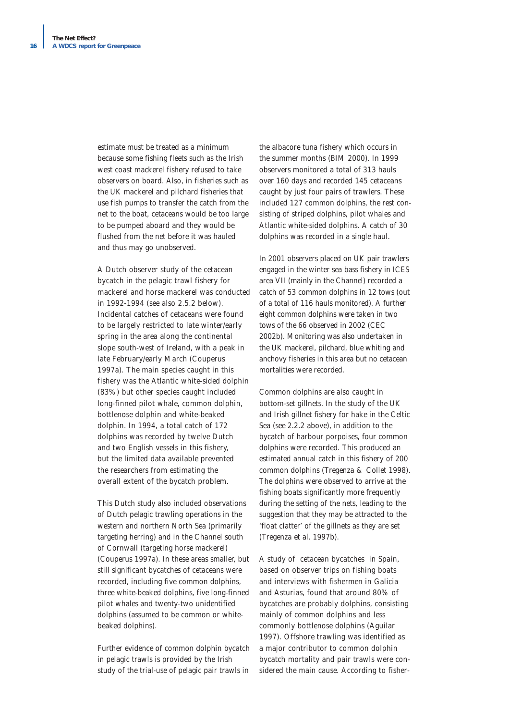estimate must be treated as a minimum because some fishing fleets such as the Irish west coast mackerel fishery refused to take observers on board. Also, in fisheries such as the UK mackerel and pilchard fisheries that use fish pumps to transfer the catch from the net to the boat, cetaceans would be too large to be pumped aboard and they would be flushed from the net before it was hauled and thus may go unobserved.

A Dutch observer study of the cetacean bycatch in the pelagic trawl fishery for mackerel and horse mackerel was conducted in 1992-1994 (see also 2.5.2 below). Incidental catches of cetaceans were found to be largely restricted to late winter/early spring in the area along the continental slope south-west of Ireland, with a peak in late February/early March (Couperus 1997a). The main species caught in this fishery was the Atlantic white-sided dolphin (83%) but other species caught included long-finned pilot whale, common dolphin, bottlenose dolphin and white-beaked dolphin. In 1994, a total catch of 172 dolphins was recorded by twelve Dutch and two English vessels in this fishery, but the limited data available prevented the researchers from estimating the overall extent of the bycatch problem.

This Dutch study also included observations of Dutch pelagic trawling operations in the western and northern North Sea (primarily targeting herring) and in the Channel south of Cornwall (targeting horse mackerel) (Couperus 1997a). In these areas smaller, but still significant bycatches of cetaceans were recorded, including five common dolphins, three white-beaked dolphins, five long-finned pilot whales and twenty-two unidentified dolphins (assumed to be common or whitebeaked dolphins).

Further evidence of common dolphin bycatch in pelagic trawls is provided by the Irish study of the trial-use of pelagic pair trawls in

the albacore tuna fishery which occurs in the summer months (BIM 2000). In 1999 observers monitored a total of 313 hauls over 160 days and recorded 145 cetaceans caught by just four pairs of trawlers. These included 127 common dolphins, the rest consisting of striped dolphins, pilot whales and Atlantic white-sided dolphins. A catch of 30 dolphins was recorded in a single haul.

In 2001 observers placed on UK pair trawlers engaged in the winter sea bass fishery in ICES area VII (mainly in the Channel) recorded a catch of 53 common dolphins in 12 tows (out of a total of 116 hauls monitored). A further eight common dolphins were taken in two tows of the 66 observed in 2002 (CEC 2002b). Monitoring was also undertaken in the UK mackerel, pilchard, blue whiting and anchovy fisheries in this area but no cetacean mortalities were recorded.

Common dolphins are also caught in bottom-set gillnets. In the study of the UK and Irish gillnet fishery for hake in the Celtic Sea (see 2.2.2 above), in addition to the bycatch of harbour porpoises, four common dolphins were recorded. This produced an estimated annual catch in this fishery of 200 common dolphins (Tregenza & Collet 1998). The dolphins were observed to arrive at the fishing boats significantly more frequently during the setting of the nets, leading to the suggestion that they may be attracted to the 'float clatter' of the gillnets as they are set (Tregenza *et al.* 1997b).

A study of cetacean bycatches in Spain, based on observer trips on fishing boats and interviews with fishermen in Galicia and Asturias, found that around 80% of bycatches are probably dolphins, consisting mainly of common dolphins and less commonly bottlenose dolphins (Aguilar 1997). Offshore trawling was identified as a major contributor to common dolphin bycatch mortality and pair trawls were considered the main cause. According to fisher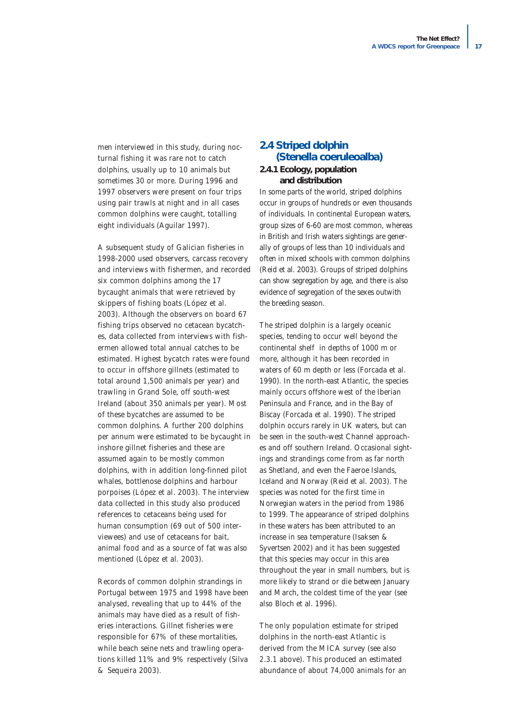men interviewed in this study, during nocturnal fishing it was rare not to catch dolphins, usually up to 10 animals but sometimes 30 or more. During 1996 and 1997 observers were present on four trips using pair trawls at night and in all cases common dolphins were caught, totalling eight individuals (Aguilar 1997).

A subsequent study of Galician fisheries in 1998-2000 used observers, carcass recovery and interviews with fishermen, and recorded six common dolphins among the 17 bycaught animals that were retrieved by skippers of fishing boats (López *et al.* 2003). Although the observers on board 67 fishing trips observed no cetacean bycatches, data collected from interviews with fishermen allowed total annual catches to be estimated. Highest bycatch rates were found to occur in offshore gillnets (estimated to total around 1,500 animals per year) and trawling in Grand Sole, off south-west Ireland (about 350 animals per year). Most of these bycatches are assumed to be common dolphins. A further 200 dolphins per annum were estimated to be bycaught in inshore gillnet fisheries and these are assumed again to be mostly common dolphins, with in addition long-finned pilot whales, bottlenose dolphins and harbour porpoises (López *et al.* 2003). The interview data collected in this study also produced references to cetaceans being used for human consumption (69 out of 500 interviewees) and use of cetaceans for bait, animal food and as a source of fat was also mentioned (López *et al.* 2003).

Records of common dolphin strandings in Portugal between 1975 and 1998 have been analysed, revealing that up to 44% of the animals may have died as a result of fisheries interactions. Gillnet fisheries were responsible for 67% of these mortalities, while beach seine nets and trawling operations killed 11% and 9% respectively (Silva & Sequeira 2003).

# **2.4 Striped dolphin**  *(Stenella coeruleoalba)*

#### **2.4.1 Ecology, population and distribution**

In some parts of the world, striped dolphins occur in groups of hundreds or even thousands of individuals. In continental European waters, group sizes of 6-60 are most common, whereas in British and Irish waters sightings are generally of groups of less than 10 individuals and often in mixed schools with common dolphins (Reid *et al.* 2003). Groups of striped dolphins can show segregation by age, and there is also evidence of segregation of the sexes outwith the breeding season.

The striped dolphin is a largely oceanic species, tending to occur well beyond the continental shelf in depths of 1000 m or more, although it has been recorded in waters of 60 m depth or less (Forcada *et al.* 1990). In the north-east Atlantic, the species mainly occurs offshore west of the Iberian Peninsula and France, and in the Bay of Biscay (Forcada *et al.* 1990). The striped dolphin occurs rarely in UK waters, but can be seen in the south-west Channel approaches and off southern Ireland. Occasional sightings and strandings come from as far north as Shetland, and even the Faeroe Islands, Iceland and Norway (Reid *et al.* 2003). The species was noted for the first time in Norwegian waters in the period from 1986 to 1999. The appearance of striped dolphins in these waters has been attributed to an increase in sea temperature (Isaksen & Syvertsen 2002) and it has been suggested that this species may occur in this area throughout the year in small numbers, but is more likely to strand or die between January and March, the coldest time of the year (see also Bloch *et al.* 1996).

The only population estimate for striped dolphins in the north-east Atlantic is derived from the MICA survey (see also 2.3.1 above). This produced an estimated abundance of about 74,000 animals for an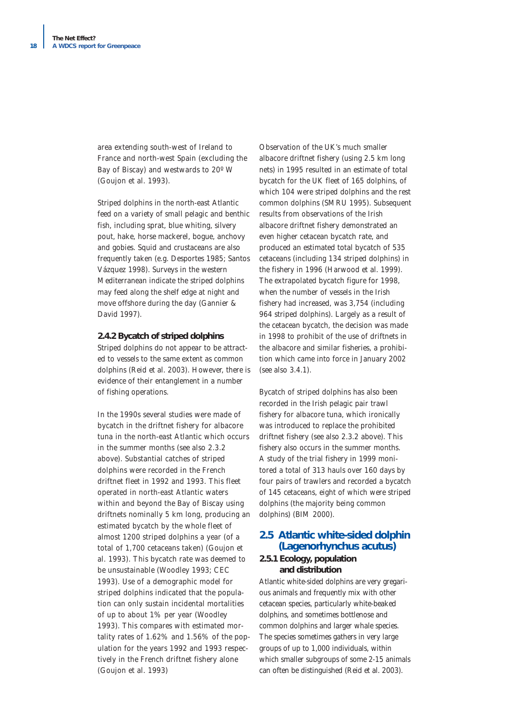area extending south-west of Ireland to France and north-west Spain (excluding the Bay of Biscay) and westwards to 20º W (Goujon *et al.* 1993).

Striped dolphins in the north-east Atlantic feed on a variety of small pelagic and benthic fish, including sprat, blue whiting, silvery pout, hake, horse mackerel, bogue, anchovy and gobies. Squid and crustaceans are also frequently taken (e.g. Desportes 1985; Santos Vázquez 1998). Surveys in the western Mediterranean indicate the striped dolphins may feed along the shelf edge at night and move offshore during the day (Gannier & David 1997).

#### **2.4.2 Bycatch of striped dolphins**

Striped dolphins do not appear to be attracted to vessels to the same extent as common dolphins (Reid *et al.* 2003). However, there is evidence of their entanglement in a number of fishing operations.

In the 1990s several studies were made of bycatch in the driftnet fishery for albacore tuna in the north-east Atlantic which occurs in the summer months (see also 2.3.2 above). Substantial catches of striped dolphins were recorded in the French driftnet fleet in 1992 and 1993. This fleet operated in north-east Atlantic waters within and beyond the Bay of Biscay using driftnets nominally 5 km long, producing an estimated bycatch by the whole fleet of almost 1200 striped dolphins a year (of a total of 1,700 cetaceans taken) (Goujon *et al.* 1993). This bycatch rate was deemed to be unsustainable (Woodley 1993; CEC 1993). Use of a demographic model for striped dolphins indicated that the population can only sustain incidental mortalities of up to about 1% per year (Woodley 1993). This compares with estimated mortality rates of 1.62% and 1.56% of the population for the years 1992 and 1993 respectively in the French driftnet fishery alone (Goujon *et al.* 1993)

Observation of the UK's much smaller albacore driftnet fishery (using 2.5 km long nets) in 1995 resulted in an estimate of total bycatch for the UK fleet of 165 dolphins, of which 104 were striped dolphins and the rest common dolphins (SMRU 1995). Subsequent results from observations of the Irish albacore driftnet fishery demonstrated an even higher cetacean bycatch rate, and produced an estimated total bycatch of 535 cetaceans (including 134 striped dolphins) in the fishery in 1996 (Harwood *et al.* 1999). The extrapolated bycatch figure for 1998, when the number of vessels in the Irish fishery had increased, was 3,754 (including 964 striped dolphins). Largely as a result of the cetacean bycatch, the decision was made in 1998 to prohibit of the use of driftnets in the albacore and similar fisheries, a prohibition which came into force in January 2002 (see also 3.4.1).

Bycatch of striped dolphins has also been recorded in the Irish pelagic pair trawl fishery for albacore tuna, which ironically was introduced to replace the prohibited driftnet fishery (see also 2.3.2 above). This fishery also occurs in the summer months. A study of the trial fishery in 1999 monitored a total of 313 hauls over 160 days by four pairs of trawlers and recorded a bycatch of 145 cetaceans, eight of which were striped dolphins (the majority being common dolphins) (BIM 2000).

### **2.5 Atlantic white-sided dolphin** *(Lagenorhynchus acutus)*

#### **2.5.1 Ecology, population and distribution**

Atlantic white-sided dolphins are very gregarious animals and frequently mix with other cetacean species, particularly white-beaked dolphins, and sometimes bottlenose and common dolphins and larger whale species. The species sometimes gathers in very large groups of up to 1,000 individuals, within which smaller subgroups of some 2-15 animals can often be distinguished (Reid *et al.* 2003).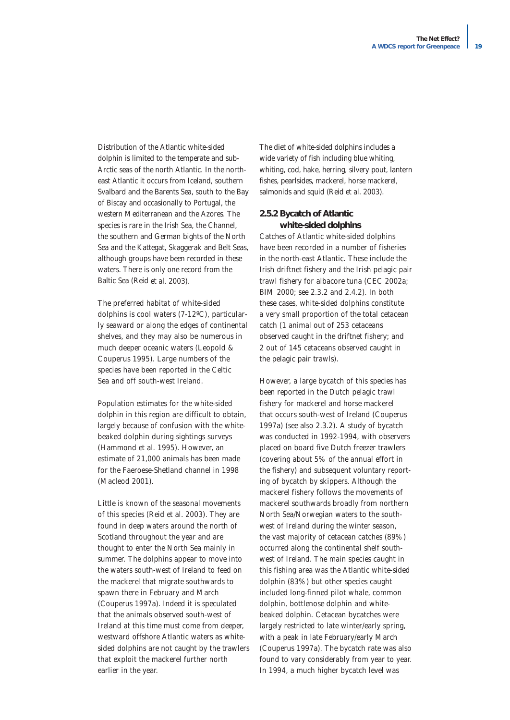Distribution of the Atlantic white-sided dolphin is limited to the temperate and sub-Arctic seas of the north Atlantic. In the northeast Atlantic it occurs from Iceland, southern Svalbard and the Barents Sea, south to the Bay of Biscay and occasionally to Portugal, the western Mediterranean and the Azores. The species is rare in the Irish Sea, the Channel, the southern and German bights of the North Sea and the Kattegat, Skaggerak and Belt Seas, although groups have been recorded in these waters. There is only one record from the Baltic Sea (Reid *et al.* 2003).

The preferred habitat of white-sided dolphins is cool waters (7-12ºC), particularly seaward or along the edges of continental shelves, and they may also be numerous in much deeper oceanic waters (Leopold & Couperus 1995). Large numbers of the species have been reported in the Celtic Sea and off south-west Ireland.

Population estimates for the white-sided dolphin in this region are difficult to obtain, largely because of confusion with the whitebeaked dolphin during sightings surveys (Hammond *et al.* 1995). However, an estimate of 21,000 animals has been made for the Faeroese-Shetland channel in 1998 (Macleod 2001).

Little is known of the seasonal movements of this species (Reid *et al.* 2003). They are found in deep waters around the north of Scotland throughout the year and are thought to enter the North Sea mainly in summer. The dolphins appear to move into the waters south-west of Ireland to feed on the mackerel that migrate southwards to spawn there in February and March (Couperus 1997a). Indeed it is speculated that the animals observed south-west of Ireland at this time must come from deeper, westward offshore Atlantic waters as whitesided dolphins are not caught by the trawlers that exploit the mackerel further north earlier in the year.

The diet of white-sided dolphins includes a wide variety of fish including blue whiting, whiting, cod, hake, herring, silvery pout, lantern fishes, pearlsides, mackerel, horse mackerel, salmonids and squid (Reid *et al.* 2003).

#### **2.5.2 Bycatch of Atlantic white-sided dolphins**

Catches of Atlantic white-sided dolphins have been recorded in a number of fisheries in the north-east Atlantic. These include the Irish driftnet fishery and the Irish pelagic pair trawl fishery for albacore tuna (CEC 2002a; BIM 2000; see 2.3.2 and 2.4.2). In both these cases, white-sided dolphins constitute a very small proportion of the total cetacean catch (1 animal out of 253 cetaceans observed caught in the driftnet fishery; and 2 out of 145 cetaceans observed caught in the pelagic pair trawls).

However, a large bycatch of this species has been reported in the Dutch pelagic trawl fishery for mackerel and horse mackerel that occurs south-west of Ireland (Couperus 1997a) (see also 2.3.2). A study of bycatch was conducted in 1992-1994, with observers placed on board five Dutch freezer trawlers (covering about 5% of the annual effort in the fishery) and subsequent voluntary reporting of bycatch by skippers. Although the mackerel fishery follows the movements of mackerel southwards broadly from northern North Sea/Norwegian waters to the southwest of Ireland during the winter season, the vast majority of cetacean catches (89%) occurred along the continental shelf southwest of Ireland. The main species caught in this fishing area was the Atlantic white-sided dolphin (83%) but other species caught included long-finned pilot whale, common dolphin, bottlenose dolphin and whitebeaked dolphin. Cetacean bycatches were largely restricted to late winter/early spring, with a peak in late February/early March (Couperus 1997a). The bycatch rate was also found to vary considerably from year to year. In 1994, a much higher bycatch level was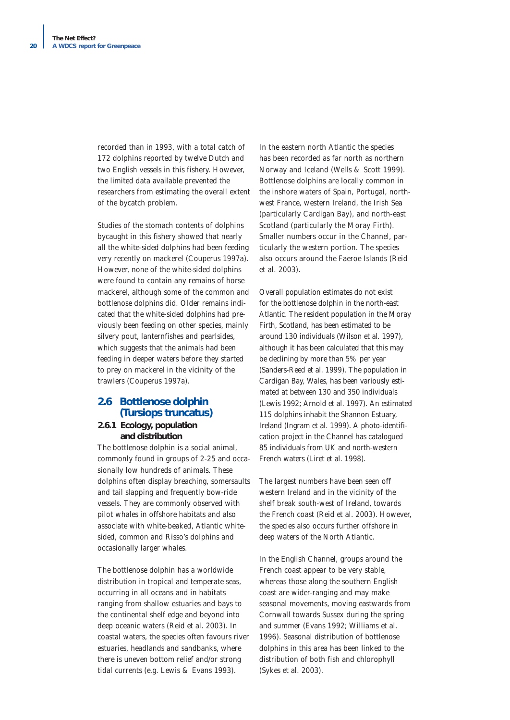recorded than in 1993, with a total catch of 172 dolphins reported by twelve Dutch and two English vessels in this fishery. However, the limited data available prevented the researchers from estimating the overall extent of the bycatch problem.

Studies of the stomach contents of dolphins bycaught in this fishery showed that nearly all the white-sided dolphins had been feeding very recently on mackerel (Couperus 1997a). However, none of the white-sided dolphins were found to contain any remains of horse mackerel, although some of the common and bottlenose dolphins did. Older remains indicated that the white-sided dolphins had previously been feeding on other species, mainly silvery pout, lanternfishes and pearlsides, which suggests that the animals had been feeding in deeper waters before they started to prey on mackerel in the vicinity of the trawlers (Couperus 1997a).

# **2.6 Bottlenose dolphin**  *(Tursiops truncatus)*

#### **2.6.1 Ecology, population and distribution**

The bottlenose dolphin is a social animal, commonly found in groups of 2-25 and occasionally low hundreds of animals. These dolphins often display breaching, somersaults and tail slapping and frequently bow-ride vessels. They are commonly observed with pilot whales in offshore habitats and also associate with white-beaked, Atlantic whitesided, common and Risso's dolphins and occasionally larger whales.

The bottlenose dolphin has a worldwide distribution in tropical and temperate seas, occurring in all oceans and in habitats ranging from shallow estuaries and bays to the continental shelf edge and beyond into deep oceanic waters (Reid *et al.* 2003). In coastal waters, the species often favours river estuaries, headlands and sandbanks, where there is uneven bottom relief and/or strong tidal currents (e.g. Lewis & Evans 1993).

In the eastern north Atlantic the species has been recorded as far north as northern Norway and Iceland (Wells & Scott 1999). Bottlenose dolphins are locally common in the inshore waters of Spain, Portugal, northwest France, western Ireland, the Irish Sea (particularly Cardigan Bay), and north-east Scotland (particularly the Moray Firth). Smaller numbers occur in the Channel, particularly the western portion. The species also occurs around the Faeroe Islands (Reid *et al.* 2003).

Overall population estimates do not exist for the bottlenose dolphin in the north-east Atlantic. The resident population in the Moray Firth, Scotland, has been estimated to be around 130 individuals (Wilson *et al.* 1997), although it has been calculated that this may be declining by more than 5% per year (Sanders-Reed *et al.* 1999). The population in Cardigan Bay, Wales, has been variously estimated at between 130 and 350 individuals (Lewis 1992; Arnold *et al.* 1997). An estimated 115 dolphins inhabit the Shannon Estuary, Ireland (Ingram *et al.* 1999). A photo-identification project in the Channel has catalogued 85 individuals from UK and north-western French waters (Liret *et al.* 1998).

The largest numbers have been seen off western Ireland and in the vicinity of the shelf break south-west of Ireland, towards the French coast (Reid *et al.* 2003). However, the species also occurs further offshore in deep waters of the North Atlantic.

In the English Channel, groups around the French coast appear to be very stable, whereas those along the southern English coast are wider-ranging and may make seasonal movements, moving eastwards from Cornwall towards Sussex during the spring and summer (Evans 1992; Williams *et al.* 1996). Seasonal distribution of bottlenose dolphins in this area has been linked to the distribution of both fish and chlorophyll (Sykes *et al.* 2003).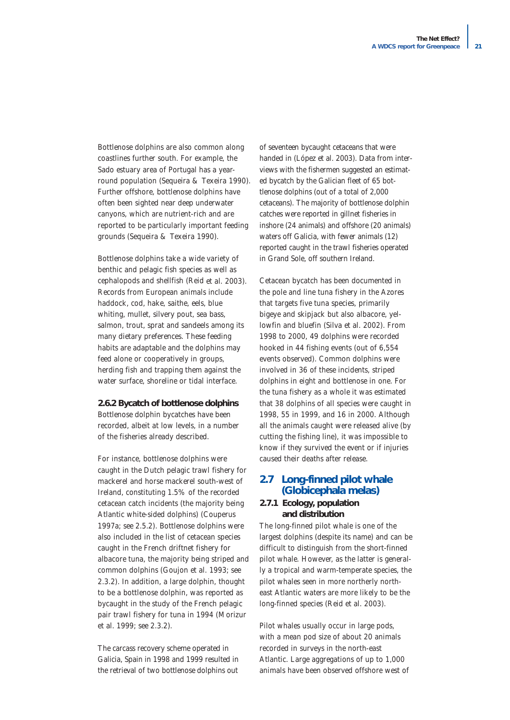Bottlenose dolphins are also common along coastlines further south. For example, the Sado estuary area of Portugal has a yearround population (Sequeira & Texeira 1990). Further offshore, bottlenose dolphins have often been sighted near deep underwater canyons, which are nutrient-rich and are reported to be particularly important feeding grounds (Sequeira & Texeira 1990).

Bottlenose dolphins take a wide variety of benthic and pelagic fish species as well as cephalopods and shellfish (Reid *et al.* 2003). Records from European animals include haddock, cod, hake, saithe, eels, blue whiting, mullet, silvery pout, sea bass, salmon, trout, sprat and sandeels among its many dietary preferences. These feeding habits are adaptable and the dolphins may feed alone or cooperatively in groups, herding fish and trapping them against the water surface, shoreline or tidal interface.

#### **2.6.2 Bycatch of bottlenose dolphins**

Bottlenose dolphin bycatches have been recorded, albeit at low levels, in a number of the fisheries already described.

For instance, bottlenose dolphins were caught in the Dutch pelagic trawl fishery for mackerel and horse mackerel south-west of Ireland, constituting 1.5% of the recorded cetacean catch incidents (the majority being Atlantic white-sided dolphins) (Couperus 1997a; see 2.5.2). Bottlenose dolphins were also included in the list of cetacean species caught in the French driftnet fishery for albacore tuna, the majority being striped and common dolphins (Goujon *et al.* 1993; see 2.3.2). In addition, a large dolphin, thought to be a bottlenose dolphin, was reported as bycaught in the study of the French pelagic pair trawl fishery for tuna in 1994 (Morizur *et al.* 1999; see 2.3.2).

The carcass recovery scheme operated in Galicia, Spain in 1998 and 1999 resulted in the retrieval of two bottlenose dolphins out

of seventeen bycaught cetaceans that were handed in (López *et al.* 2003). Data from interviews with the fishermen suggested an estimated bycatch by the Galician fleet of 65 bottlenose dolphins (out of a total of 2,000 cetaceans). The majority of bottlenose dolphin catches were reported in gillnet fisheries in inshore (24 animals) and offshore (20 animals) waters off Galicia, with fewer animals (12) reported caught in the trawl fisheries operated in Grand Sole, off southern Ireland.

Cetacean bycatch has been documented in the pole and line tuna fishery in the Azores that targets five tuna species, primarily bigeye and skipjack but also albacore, yellowfin and bluefin (Silva *et al.* 2002). From 1998 to 2000, 49 dolphins were recorded hooked in 44 fishing events (out of 6,554 events observed). Common dolphins were involved in 36 of these incidents, striped dolphins in eight and bottlenose in one. For the tuna fishery as a whole it was estimated that 38 dolphins of all species were caught in 1998, 55 in 1999, and 16 in 2000. Although all the animals caught were released alive (by cutting the fishing line), it was impossible to know if they survived the event or if injuries caused their deaths after release.

#### **2.7 Long-finned pilot whale** *(Globicephala melas)*

#### **2.7.1 Ecology, population and distribution**

The long-finned pilot whale is one of the largest dolphins (despite its name) and can be difficult to distinguish from the short-finned pilot whale. However, as the latter is generally a tropical and warm-temperate species, the pilot whales seen in more northerly northeast Atlantic waters are more likely to be the long-finned species (Reid *et al.* 2003).

Pilot whales usually occur in large pods, with a mean pod size of about 20 animals recorded in surveys in the north-east Atlantic. Large aggregations of up to 1,000 animals have been observed offshore west of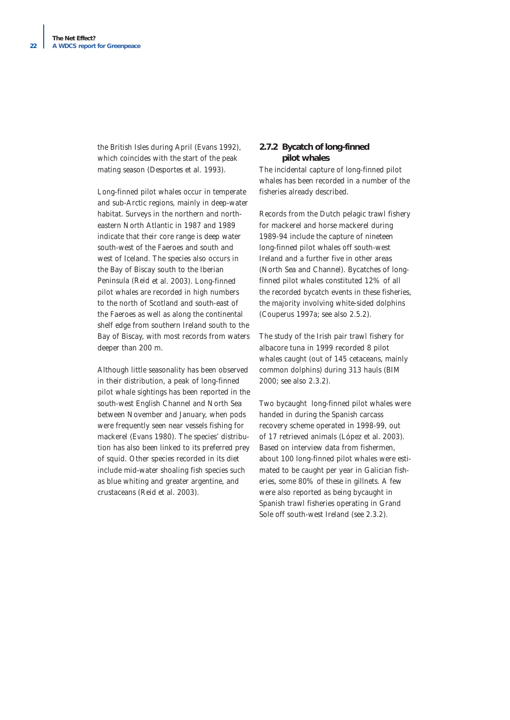the British Isles during April (Evans 1992), which coincides with the start of the peak mating season (Desportes *et al.* 1993).

Long-finned pilot whales occur in temperate and sub-Arctic regions, mainly in deep-water habitat. Surveys in the northern and northeastern North Atlantic in 1987 and 1989 indicate that their core range is deep water south-west of the Faeroes and south and west of Iceland. The species also occurs in the Bay of Biscay south to the Iberian Peninsula (Reid *et al.* 2003). Long-finned pilot whales are recorded in high numbers to the north of Scotland and south-east of the Faeroes as well as along the continental shelf edge from southern Ireland south to the Bay of Biscay, with most records from waters deeper than 200 m.

Although little seasonality has been observed in their distribution, a peak of long-finned pilot whale sightings has been reported in the south-west English Channel and North Sea between November and January, when pods were frequently seen near vessels fishing for mackerel (Evans 1980). The species' distribution has also been linked to its preferred prey of squid. Other species recorded in its diet include mid-water shoaling fish species such as blue whiting and greater argentine, and crustaceans (Reid *et al.* 2003).

#### **2.7.2 Bycatch of long-finned pilot whales**

The incidental capture of long-finned pilot whales has been recorded in a number of the fisheries already described.

Records from the Dutch pelagic trawl fishery for mackerel and horse mackerel during 1989-94 include the capture of nineteen long-finned pilot whales off south-west Ireland and a further five in other areas (North Sea and Channel). Bycatches of longfinned pilot whales constituted 12% of all the recorded bycatch events in these fisheries, the majority involving white-sided dolphins (Couperus 1997a; see also 2.5.2).

The study of the Irish pair trawl fishery for albacore tuna in 1999 recorded 8 pilot whales caught (out of 145 cetaceans, mainly common dolphins) during 313 hauls (BIM 2000; see also 2.3.2).

Two bycaught long-finned pilot whales were handed in during the Spanish carcass recovery scheme operated in 1998-99, out of 17 retrieved animals (López *et al.* 2003). Based on interview data from fishermen, about 100 long-finned pilot whales were estimated to be caught per year in Galician fisheries, some 80% of these in gillnets. A few were also reported as being bycaught in Spanish trawl fisheries operating in Grand Sole off south-west Ireland (see 2.3.2).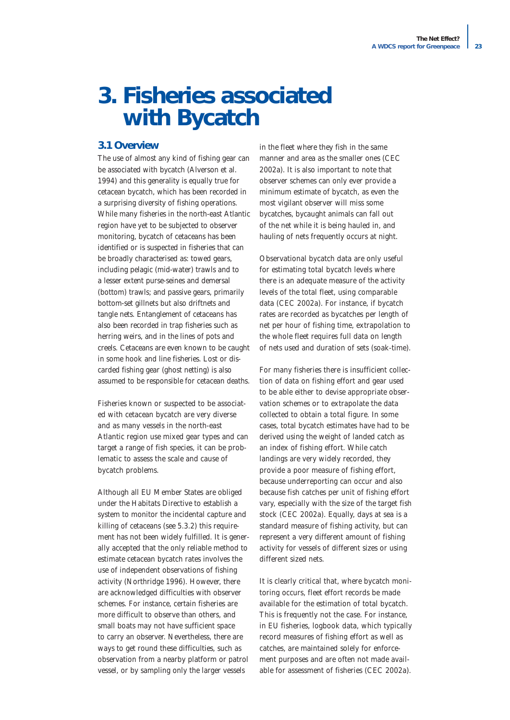# **3. Fisheries associated with Bycatch**

#### **3.1 Overview**

The use of almost any kind of fishing gear can be associated with bycatch (Alverson *et al.* 1994) and this generality is equally true for cetacean bycatch, which has been recorded in a surprising diversity of fishing operations. While many fisheries in the north-east Atlantic region have yet to be subjected to observer monitoring, bycatch of cetaceans has been identified or is suspected in fisheries that can be broadly characterised as: towed gears, including pelagic (mid-water) trawls and to a lesser extent purse-seines and demersal (bottom) trawls; and passive gears, primarily bottom-set gillnets but also driftnets and tangle nets. Entanglement of cetaceans has also been recorded in trap fisheries such as herring weirs, and in the lines of pots and creels. Cetaceans are even known to be caught in some hook and line fisheries. Lost or discarded fishing gear (ghost netting) is also assumed to be responsible for cetacean deaths.

Fisheries known or suspected to be associated with cetacean bycatch are very diverse and as many vessels in the north-east Atlantic region use mixed gear types and can target a range of fish species, it can be problematic to assess the scale and cause of bycatch problems.

Although all EU Member States are obliged under the Habitats Directive to establish a system to monitor the incidental capture and killing of cetaceans (see 5.3.2) this requirement has not been widely fulfilled. It is generally accepted that the only reliable method to estimate cetacean bycatch rates involves the use of independent observations of fishing activity (Northridge 1996). However, there are acknowledged difficulties with observer schemes. For instance, certain fisheries are more difficult to observe than others, and small boats may not have sufficient space to carry an observer. Nevertheless, there are ways to get round these difficulties, such as observation from a nearby platform or patrol vessel, or by sampling only the larger vessels

in the fleet where they fish in the same manner and area as the smaller ones (CEC 2002a). It is also important to note that observer schemes can only ever provide a minimum estimate of bycatch, as even the most vigilant observer will miss some bycatches, bycaught animals can fall out of the net while it is being hauled in, and hauling of nets frequently occurs at night.

Observational bycatch data are only useful for estimating total bycatch levels where there is an adequate measure of the activity levels of the total fleet, using comparable data (CEC 2002a). For instance, if bycatch rates are recorded as bycatches per length of net per hour of fishing time, extrapolation to the whole fleet requires full data on length of nets used and duration of sets (soak-time).

For many fisheries there is insufficient collection of data on fishing effort and gear used to be able either to devise appropriate observation schemes or to extrapolate the data collected to obtain a total figure. In some cases, total bycatch estimates have had to be derived using the weight of landed catch as an index of fishing effort. While catch landings are very widely recorded, they provide a poor measure of fishing effort, because underreporting can occur and also because fish catches per unit of fishing effort vary, especially with the size of the target fish stock (CEC 2002a). Equally, days at sea is a standard measure of fishing activity, but can represent a very different amount of fishing activity for vessels of different sizes or using different sized nets.

It is clearly critical that, where bycatch monitoring occurs, fleet effort records be made available for the estimation of total bycatch. This is frequently not the case. For instance, in EU fisheries, logbook data, which typically record measures of fishing effort as well as catches, are maintained solely for enforcement purposes and are often not made available for assessment of fisheries (CEC 2002a).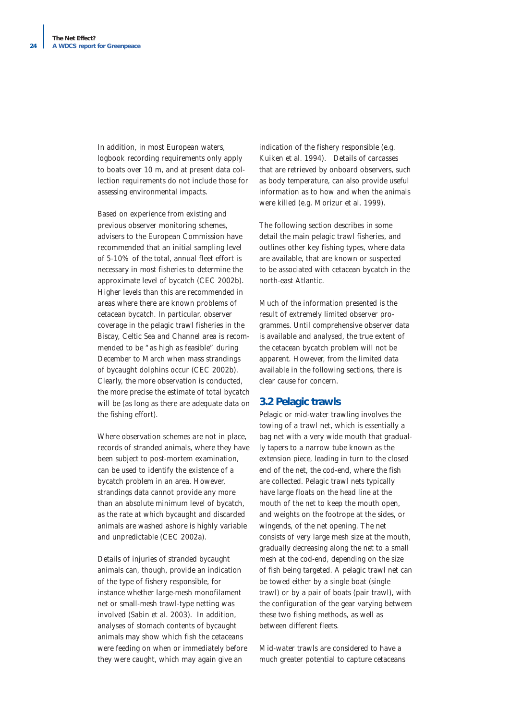In addition, in most European waters, logbook recording requirements only apply to boats over 10 m, and at present data collection requirements do not include those for assessing environmental impacts.

Based on experience from existing and previous observer monitoring schemes, advisers to the European Commission have recommended that an initial sampling level of 5-10% of the total, annual fleet effort is necessary in most fisheries to determine the approximate level of bycatch (CEC 2002b). Higher levels than this are recommended in areas where there are known problems of cetacean bycatch. In particular, observer coverage in the pelagic trawl fisheries in the Biscay, Celtic Sea and Channel area is recommended to be "as high as feasible" during December to March when mass strandings of bycaught dolphins occur (CEC 2002b). Clearly, the more observation is conducted, the more precise the estimate of total bycatch will be (as long as there are adequate data on the fishing effort).

Where observation schemes are not in place, records of stranded animals, where they have been subject to post-mortem examination, can be used to identify the existence of a bycatch problem in an area. However, strandings data cannot provide any more than an absolute minimum level of bycatch, as the rate at which bycaught and discarded animals are washed ashore is highly variable and unpredictable (CEC 2002a).

Details of injuries of stranded bycaught animals can, though, provide an indication of the type of fishery responsible, for instance whether large-mesh monofilament net or small-mesh trawl-type netting was involved (Sabin *et al.* 2003). In addition, analyses of stomach contents of bycaught animals may show which fish the cetaceans were feeding on when or immediately before they were caught, which may again give an

indication of the fishery responsible (e.g. Kuiken *et al.* 1994). Details of carcasses that are retrieved by onboard observers, such as body temperature, can also provide useful information as to how and when the animals were killed (e.g. Morizur *et al.* 1999).

The following section describes in some detail the main pelagic trawl fisheries, and outlines other key fishing types, where data are available, that are known or suspected to be associated with cetacean bycatch in the north-east Atlantic.

Much of the information presented is the result of extremely limited observer programmes. Until comprehensive observer data is available and analysed, the true extent of the cetacean bycatch problem will not be apparent. However, from the limited data available in the following sections, there is clear cause for concern.

#### **3.2 Pelagic trawls**

Pelagic or mid-water trawling involves the towing of a trawl net, which is essentially a bag net with a very wide mouth that gradually tapers to a narrow tube known as the extension piece, leading in turn to the closed end of the net, the cod-end, where the fish are collected. Pelagic trawl nets typically have large floats on the head line at the mouth of the net to keep the mouth open, and weights on the footrope at the sides, or wingends, of the net opening. The net consists of very large mesh size at the mouth, gradually decreasing along the net to a small mesh at the cod-end, depending on the size of fish being targeted. A pelagic trawl net can be towed either by a single boat (single trawl) or by a pair of boats (pair trawl), with the configuration of the gear varying between these two fishing methods, as well as between different fleets.

Mid-water trawls are considered to have a much greater potential to capture cetaceans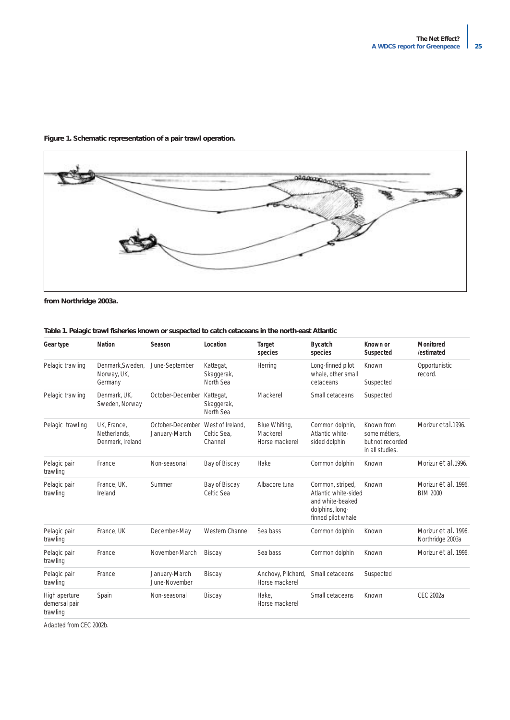![](_page_24_Figure_1.jpeg)

# **Figure 1. Schematic representation of a pair trawl operation.**

*from Northridge 2003a.*

| Gear type                                  | <b>Nation</b>                                   | Season                            | Location                                   | <b>Target</b><br>species                    | <b>Bycatch</b><br>species                                                                             | Known or<br>Suspected                                              | <b>Monitored</b><br>/estimated           |
|--------------------------------------------|-------------------------------------------------|-----------------------------------|--------------------------------------------|---------------------------------------------|-------------------------------------------------------------------------------------------------------|--------------------------------------------------------------------|------------------------------------------|
| Pelagic trawling                           | Denmark.Sweden.<br>Norway, UK,<br>Germany       | June-September                    | Kattegat,<br>Skaggerak,<br>North Sea       | Herring                                     | Long-finned pilot<br>whale, other small<br>cetaceans                                                  | Known<br>Suspected                                                 | Opportunistic<br>record.                 |
| Pelagic trawling                           | Denmark, UK,<br>Sweden, Norway                  | October-December                  | Kattegat,<br>Skaggerak,<br>North Sea       | Mackerel                                    | Small cetaceans                                                                                       | Suspected                                                          |                                          |
| Pelagic trawling                           | UK, France,<br>Netherlands.<br>Denmark, Ireland | October-December<br>January-March | West of Ireland.<br>Celtic Sea.<br>Channel | Blue Whiting,<br>Mackerel<br>Horse mackerel | Common dolphin,<br>Atlantic white-<br>sided dolphin                                                   | Known from<br>some métiers.<br>but not recorded<br>in all studies. | Morizur etal. 1996.                      |
| Pelagic pair<br>trawling                   | France                                          | Non-seasonal                      | Bay of Biscay                              | Hake                                        | Common dolphin                                                                                        | Known                                                              | Morizur et al. 1996.                     |
| Pelagic pair<br>trawling                   | France, UK,<br>Ireland                          | Summer                            | Bay of Biscay<br>Celtic Sea                | Albacore tuna                               | Common, striped,<br>Atlantic white-sided<br>and white-beaked<br>dolphins, long-<br>finned pilot whale | Known                                                              | Morizur et al. 1996.<br><b>BIM 2000</b>  |
| Pelagic pair<br>trawling                   | France, UK                                      | December-May                      | Western Channel                            | Sea bass                                    | Common dolphin                                                                                        | Known                                                              | Morizur et al. 1996.<br>Northridge 2003a |
| Pelagic pair<br>trawling                   | France                                          | November-March                    | <b>Biscay</b>                              | Sea bass                                    | Common dolphin                                                                                        | Known                                                              | Morizur et al. 1996.                     |
| Pelagic pair<br>trawling                   | France                                          | January-March<br>June-November    | <b>Biscay</b>                              | Anchovy, Pilchard,<br>Horse mackerel        | Small cetaceans                                                                                       | Suspected                                                          |                                          |
| High aperture<br>demersal pair<br>trawling | Spain                                           | Non-seasonal                      | <b>Biscay</b>                              | Hake.<br>Horse mackerel                     | Small cetaceans                                                                                       | Known                                                              | <b>CEC 2002a</b>                         |

#### **Table 1. Pelagic trawl fisheries known or suspected to catch cetaceans in the north-east Atlantic**

*Adapted from CEC 2002b.*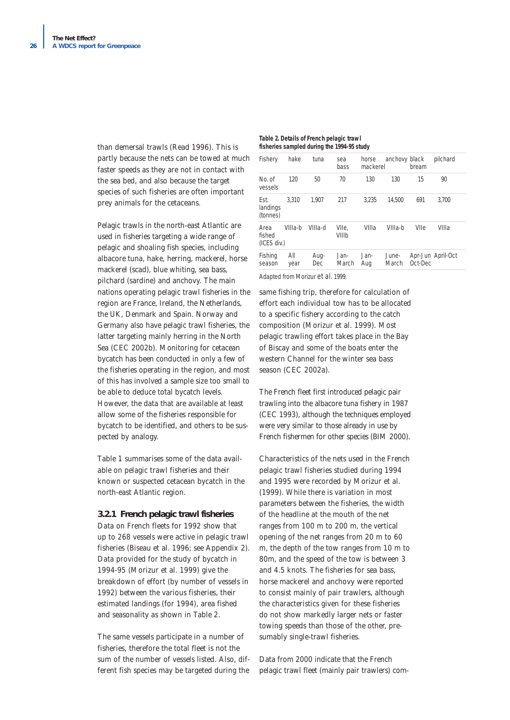than demersal trawls (Read 1996). This is partly because the nets can be towed at much faster speeds as they are not in contact with the sea bed, and also because the target species of such fisheries are often important prey animals for the cetaceans.

Pelagic trawls in the north-east Atlantic are used in fisheries targeting a wide range of pelagic and shoaling fish species, including albacore tuna, hake, herring, mackerel, horse mackerel (scad), blue whiting, sea bass, pilchard (sardine) and anchovy. The main nations operating pelagic trawl fisheries in the region are France, Ireland, the Netherlands, the UK, Denmark and Spain. Norway and Germany also have pelagic trawl fisheries, the latter targeting mainly herring in the North Sea (CEC 2002b). Monitoring for cetacean bycatch has been conducted in only a few of the fisheries operating in the region, and most of this has involved a sample size too small to be able to deduce total bycatch levels. However, the data that are available at least allow some of the fisheries responsible for bycatch to be identified, and others to be suspected by analogy.

Table 1 summarises some of the data available on pelagic trawl fisheries and their known or suspected cetacean bycatch in the north-east Atlantic region.

#### **3.2.1 French pelagic trawl fisheries**

Data on French fleets for 1992 show that up to 268 vessels were active in pelagic trawl fisheries (Biseau *et al.* 1996; see Appendix 2). Data provided for the study of bycatch in 1994-95 (Morizur *et al.* 1999) give the breakdown of effort (by number of vessels in 1992) between the various fisheries, their estimated landings (for 1994), area fished and seasonality as shown in Table 2.

The same vessels participate in a number of fisheries, therefore the total fleet is not the sum of the number of vessels listed. Also, different fish species may be targeted during the

#### **Table 2. Details of French pelagic trawl fisheries sampled during the 1994-95 study**

| Fishery                       | hake        | tuna        | sea<br>bass    | horse<br>mackerel | anchovy black  | bream   | pilchard          |
|-------------------------------|-------------|-------------|----------------|-------------------|----------------|---------|-------------------|
| No. of<br>vessels             | 120         | 50          | 70             | 130               | 130            | 15      | 90                |
| Est.<br>landings<br>(tonnes)  | 3.310       | 1.907       | 217            | 3.235             | 14,500         | 691     | 3,700             |
| Area<br>fished<br>(ICES div.) | VIIIa-b     | VIIIa-d     | VIIe,<br>VIIIb | VIIIa             | VIIIa-b        | VIIe    | VIIIa             |
| Fishing<br>season             | All<br>year | Aug-<br>Dec | Jan-<br>March  | Jan-<br>Aug       | June-<br>March | Oct-Dec | Apr-Jun April-Oct |

*Adapted from Morizur et al. 1999.*

same fishing trip, therefore for calculation of effort each individual tow has to be allocated to a specific fishery according to the catch composition (Morizur *et al.* 1999). Most pelagic trawling effort takes place in the Bay of Biscay and some of the boats enter the western Channel for the winter sea bass season (CEC 2002a).

The French fleet first introduced pelagic pair trawling into the albacore tuna fishery in 1987 (CEC 1993), although the techniques employed were very similar to those already in use by French fishermen for other species (BIM 2000).

Characteristics of the nets used in the French pelagic trawl fisheries studied during 1994 and 1995 were recorded by Morizur *et al.* (1999). While there is variation in most parameters between the fisheries, the width of the headline at the mouth of the net ranges from 100 m to 200 m, the vertical opening of the net ranges from 20 m to 60 m, the depth of the tow ranges from 10 m to 80m, and the speed of the tow is between 3 and 4.5 knots. The fisheries for sea bass, horse mackerel and anchovy were reported to consist mainly of pair trawlers, although the characteristics given for these fisheries do not show markedly larger nets or faster towing speeds than those of the other, presumably single-trawl fisheries.

Data from 2000 indicate that the French pelagic trawl fleet (mainly pair trawlers) com-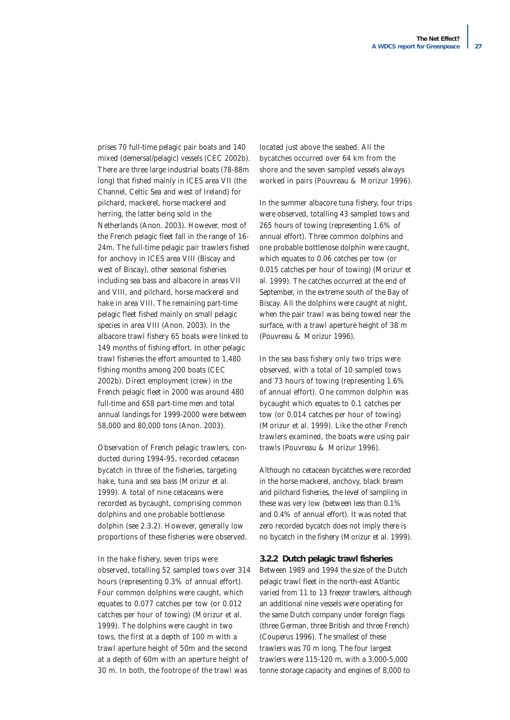prises 70 full-time pelagic pair boats and 140 mixed (demersal/pelagic) vessels (CEC 2002b). There are three large industrial boats (78-88m long) that fished mainly in ICES area VII (the Channel, Celtic Sea and west of Ireland) for pilchard, mackerel, horse mackerel and herring, the latter being sold in the Netherlands (Anon. 2003). However, most of the French pelagic fleet fall in the range of 16- 24m. The full-time pelagic pair trawlers fished for anchovy in ICES area VIII (Biscay and west of Biscay), other seasonal fisheries including sea bass and albacore in areas VII and VIII, and pilchard, horse mackerel and hake in area VIII. The remaining part-time pelagic fleet fished mainly on small pelagic species in area VIII (Anon. 2003). In the albacore trawl fishery 65 boats were linked to 149 months of fishing effort. In other pelagic trawl fisheries the effort amounted to 1,480 fishing months among 200 boats (CEC 2002b). Direct employment (crew) in the French pelagic fleet in 2000 was around 480 full-time and 658 part-time men and total annual landings for 1999-2000 were between 58,000 and 80,000 tons (Anon. 2003).

Observation of French pelagic trawlers, conducted during 1994-95, recorded cetacean bycatch in three of the fisheries, targeting hake, tuna and sea bass (Morizur *et al.* 1999). A total of nine cetaceans were recorded as bycaught, comprising common dolphins and one probable bottlenose dolphin (see 2.3.2). However, generally low proportions of these fisheries were observed.

In the hake fishery, seven trips were observed, totalling 52 sampled tows over 314 hours (representing 0.3% of annual effort). Four common dolphins were caught, which equates to 0.077 catches per tow (or 0.012 catches per hour of towing) (Morizur *et al.* 1999). The dolphins were caught in two tows, the first at a depth of 100 m with a trawl aperture height of 50m and the second at a depth of 60m with an aperture height of 30 m. In both, the footrope of the trawl was

located just above the seabed. All the bycatches occurred over 64 km from the shore and the seven sampled vessels always worked in pairs (Pouvreau & Morizur 1996).

In the summer albacore tuna fishery, four trips were observed, totalling 43 sampled tows and 265 hours of towing (representing 1.6% of annual effort). Three common dolphins and one probable bottlenose dolphin were caught, which equates to 0.06 catches per tow (or 0.015 catches per hour of towing) (Morizur *et al.* 1999). The catches occurred at the end of September, in the extreme south of the Bay of Biscay. All the dolphins were caught at night, when the pair trawl was being towed near the surface, with a trawl aperture height of 38 m (Pouvreau & Morizur 1996).

In the sea bass fishery only two trips were observed, with a total of 10 sampled tows and 73 hours of towing (representing 1.6% of annual effort). One common dolphin was bycaught which equates to 0.1 catches per tow (or 0.014 catches per hour of towing) (Morizur *et al.* 1999). Like the other French trawlers examined, the boats were using pair trawls (Pouvreau & Morizur 1996).

Although no cetacean bycatches were recorded in the horse mackerel, anchovy, black bream and pilchard fisheries, the level of sampling in these was very low (between less than 0.1% and 0.4% of annual effort). It was noted that zero recorded bycatch does not imply there is no bycatch in the fishery (Morizur *et al.* 1999).

#### **3.2.2 Dutch pelagic trawl fisheries**

Between 1989 and 1994 the size of the Dutch pelagic trawl fleet in the north-east Atlantic varied from 11 to 13 freezer trawlers, although an additional nine vessels were operating for the same Dutch company under foreign flags (three German, three British and three French) (Couperus 1996). The smallest of these trawlers was 70 m long. The four largest trawlers were 115-120 m, with a 3,000-5,000 tonne storage capacity and engines of 8,000 to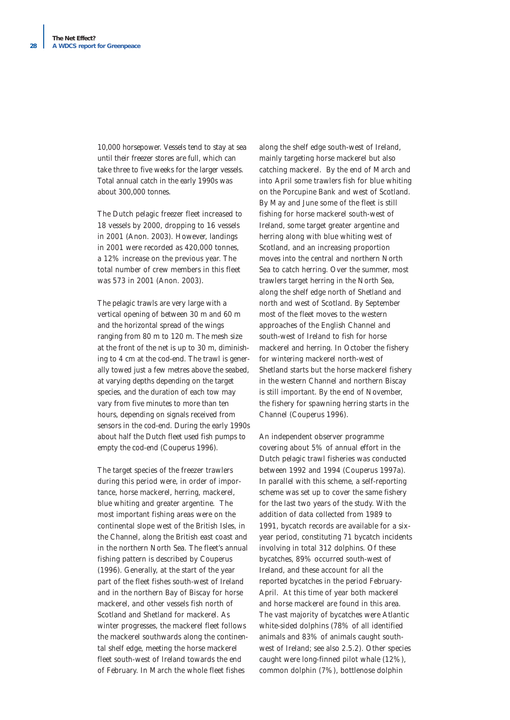10,000 horsepower. Vessels tend to stay at sea until their freezer stores are full, which can take three to five weeks for the larger vessels. Total annual catch in the early 1990s was about 300,000 tonnes.

The Dutch pelagic freezer fleet increased to 18 vessels by 2000, dropping to 16 vessels in 2001 (Anon. 2003). However, landings in 2001 were recorded as 420,000 tonnes, a 12% increase on the previous year. The total number of crew members in this fleet was 573 in 2001 (Anon. 2003).

The pelagic trawls are very large with a vertical opening of between 30 m and 60 m and the horizontal spread of the wings ranging from 80 m to 120 m. The mesh size at the front of the net is up to 30 m, diminishing to 4 cm at the cod-end. The trawl is generally towed just a few metres above the seabed, at varying depths depending on the target species, and the duration of each tow may vary from five minutes to more than ten hours, depending on signals received from sensors in the cod-end. During the early 1990s about half the Dutch fleet used fish pumps to empty the cod-end (Couperus 1996).

The target species of the freezer trawlers during this period were, in order of importance, horse mackerel, herring, mackerel, blue whiting and greater argentine. The most important fishing areas were on the continental slope west of the British Isles, in the Channel, along the British east coast and in the northern North Sea. The fleet's annual fishing pattern is described by Couperus (1996). Generally, at the start of the year part of the fleet fishes south-west of Ireland and in the northern Bay of Biscay for horse mackerel, and other vessels fish north of Scotland and Shetland for mackerel. As winter progresses, the mackerel fleet follows the mackerel southwards along the continental shelf edge, meeting the horse mackerel fleet south-west of Ireland towards the end of February. In March the whole fleet fishes

along the shelf edge south-west of Ireland, mainly targeting horse mackerel but also catching mackerel. By the end of March and into April some trawlers fish for blue whiting on the Porcupine Bank and west of Scotland. By May and June some of the fleet is still fishing for horse mackerel south-west of Ireland, some target greater argentine and herring along with blue whiting west of Scotland, and an increasing proportion moves into the central and northern North Sea to catch herring. Over the summer, most trawlers target herring in the North Sea, along the shelf edge north of Shetland and north and west of Scotland. By September most of the fleet moves to the western approaches of the English Channel and south-west of Ireland to fish for horse mackerel and herring. In October the fishery for wintering mackerel north-west of Shetland starts but the horse mackerel fishery in the western Channel and northern Biscay is still important. By the end of November, the fishery for spawning herring starts in the Channel (Couperus 1996).

An independent observer programme covering about 5% of annual effort in the Dutch pelagic trawl fisheries was conducted between 1992 and 1994 (Couperus 1997a). In parallel with this scheme, a self-reporting scheme was set up to cover the same fishery for the last two years of the study. With the addition of data collected from 1989 to 1991, bycatch records are available for a sixyear period, constituting 71 bycatch incidents involving in total 312 dolphins. Of these bycatches, 89% occurred south-west of Ireland, and these account for all the reported bycatches in the period February-April. At this time of year both mackerel and horse mackerel are found in this area. The vast majority of bycatches were Atlantic white-sided dolphins (78% of all identified animals and 83% of animals caught southwest of Ireland; see also 2.5.2). Other species caught were long-finned pilot whale (12%), common dolphin (7%), bottlenose dolphin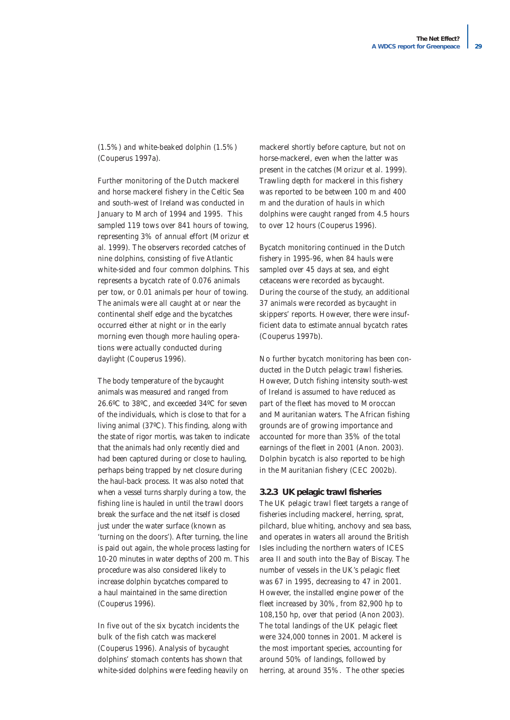(1.5%) and white-beaked dolphin (1.5%) (Couperus 1997a).

Further monitoring of the Dutch mackerel and horse mackerel fishery in the Celtic Sea and south-west of Ireland was conducted in January to March of 1994 and 1995. This sampled 119 tows over 841 hours of towing, representing 3% of annual effort (Morizur *et al.* 1999). The observers recorded catches of nine dolphins, consisting of five Atlantic white-sided and four common dolphins. This represents a bycatch rate of 0.076 animals per tow, or 0.01 animals per hour of towing. The animals were all caught at or near the continental shelf edge and the bycatches occurred either at night or in the early morning even though more hauling operations were actually conducted during daylight (Couperus 1996).

The body temperature of the bycaught animals was measured and ranged from 26.6ºC to 38ºC, and exceeded 34ºC for seven of the individuals, which is close to that for a living animal (37ºC). This finding, along with the state of rigor mortis, was taken to indicate that the animals had only recently died and had been captured during or close to hauling, perhaps being trapped by net closure during the haul-back process. It was also noted that when a vessel turns sharply during a tow, the fishing line is hauled in until the trawl doors break the surface and the net itself is closed just under the water surface (known as 'turning on the doors'). After turning, the line is paid out again, the whole process lasting for 10-20 minutes in water depths of 200 m. This procedure was also considered likely to increase dolphin bycatches compared to a haul maintained in the same direction (Couperus 1996).

In five out of the six bycatch incidents the bulk of the fish catch was mackerel (Couperus 1996). Analysis of bycaught dolphins' stomach contents has shown that white-sided dolphins were feeding heavily on mackerel shortly before capture, but not on horse-mackerel, even when the latter was present in the catches (Morizur *et al.* 1999). Trawling depth for mackerel in this fishery was reported to be between 100 m and 400 m and the duration of hauls in which dolphins were caught ranged from 4.5 hours to over 12 hours (Couperus 1996).

Bycatch monitoring continued in the Dutch fishery in 1995-96, when 84 hauls were sampled over 45 days at sea, and eight cetaceans were recorded as bycaught. During the course of the study, an additional 37 animals were recorded as bycaught in skippers' reports. However, there were insufficient data to estimate annual bycatch rates (Couperus 1997b).

No further bycatch monitoring has been conducted in the Dutch pelagic trawl fisheries. However, Dutch fishing intensity south-west of Ireland is assumed to have reduced as part of the fleet has moved to Moroccan and Mauritanian waters. The African fishing grounds are of growing importance and accounted for more than 35% of the total earnings of the fleet in 2001 (Anon. 2003). Dolphin bycatch is also reported to be high in the Mauritanian fishery (CEC 2002b).

#### **3.2.3 UK pelagic trawl fisheries**

The UK pelagic trawl fleet targets a range of fisheries including mackerel, herring, sprat, pilchard, blue whiting, anchovy and sea bass, and operates in waters all around the British Isles including the northern waters of ICES area II and south into the Bay of Biscay. The number of vessels in the UK's pelagic fleet was 67 in 1995, decreasing to 47 in 2001. However, the installed engine power of the fleet increased by 30%, from 82,900 hp to 108,150 hp, over that period (Anon 2003). The total landings of the UK pelagic fleet were 324,000 tonnes in 2001. Mackerel is the most important species, accounting for around 50% of landings, followed by herring, at around 35%. The other species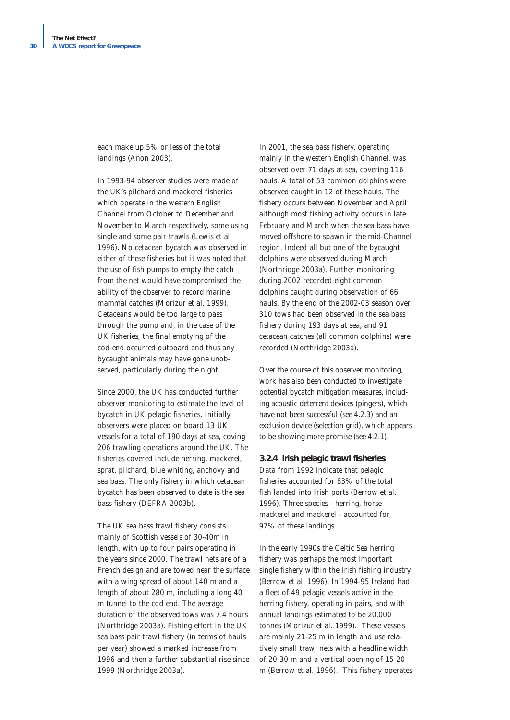each make up 5% or less of the total landings (Anon 2003).

In 1993-94 observer studies were made of the UK's pilchard and mackerel fisheries which operate in the western English Channel from October to December and November to March respectively, some using single and some pair trawls (Lewis *et al.* 1996). No cetacean bycatch was observed in either of these fisheries but it was noted that the use of fish pumps to empty the catch from the net would have compromised the ability of the observer to record marine mammal catches (Morizur *et al.* 1999). Cetaceans would be too large to pass through the pump and, in the case of the UK fisheries, the final emptying of the cod-end occurred outboard and thus any bycaught animals may have gone unobserved, particularly during the night.

Since 2000, the UK has conducted further observer monitoring to estimate the level of bycatch in UK pelagic fisheries. Initially, observers were placed on board 13 UK vessels for a total of 190 days at sea, coving 206 trawling operations around the UK. The fisheries covered include herring, mackerel, sprat, pilchard, blue whiting, anchovy and sea bass. The only fishery in which cetacean bycatch has been observed to date is the sea bass fishery (DEFRA 2003b).

The UK sea bass trawl fishery consists mainly of Scottish vessels of 30-40m in length, with up to four pairs operating in the years since 2000. The trawl nets are of a French design and are towed near the surface with a wing spread of about 140 m and a length of about 280 m, including a long 40 m tunnel to the cod end. The average duration of the observed tows was 7.4 hours (Northridge 2003a). Fishing effort in the UK sea bass pair trawl fishery (in terms of hauls per year) showed a marked increase from 1996 and then a further substantial rise since 1999 (Northridge 2003a).

In 2001, the sea bass fishery, operating mainly in the western English Channel, was observed over 71 days at sea, covering 116 hauls. A total of 53 common dolphins were observed caught in 12 of these hauls. The fishery occurs between November and April although most fishing activity occurs in late February and March when the sea bass have moved offshore to spawn in the mid-Channel region. Indeed all but one of the bycaught dolphins were observed during March (Northridge 2003a). Further monitoring during 2002 recorded eight common dolphins caught during observation of 66 hauls. By the end of the 2002-03 season over 310 tows had been observed in the sea bass fishery during 193 days at sea, and 91 cetacean catches (all common dolphins) were recorded (Northridge 2003a).

Over the course of this observer monitoring, work has also been conducted to investigate potential bycatch mitigation measures, including acoustic deterrent devices (pingers), which have not been successful (see 4.2.3) and an exclusion device (selection grid), which appears to be showing more promise (see 4.2.1).

#### **3.2.4 Irish pelagic trawl fisheries**

Data from 1992 indicate that pelagic fisheries accounted for 83% of the total fish landed into Irish ports (Berrow *et al.* 1996). Three species - herring, horse mackerel and mackerel - accounted for 97% of these landings.

In the early 1990s the Celtic Sea herring fishery was perhaps the most important single fishery within the Irish fishing industry (Berrow *et al.* 1996). In 1994-95 Ireland had a fleet of 49 pelagic vessels active in the herring fishery, operating in pairs, and with annual landings estimated to be 20,000 tonnes (Morizur *et al.* 1999). These vessels are mainly 21-25 m in length and use relatively small trawl nets with a headline width of 20-30 m and a vertical opening of 15-20 m (Berrow *et al.* 1996). This fishery operates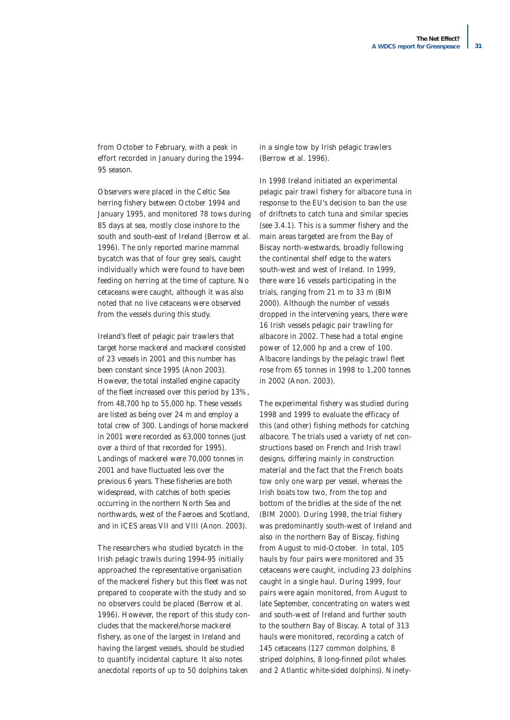from October to February, with a peak in effort recorded in January during the 1994- 95 season.

Observers were placed in the Celtic Sea herring fishery between October 1994 and January 1995, and monitored 78 tows during 85 days at sea, mostly close inshore to the south and south-east of Ireland (Berrow *et al.* 1996). The only reported marine mammal bycatch was that of four grey seals, caught individually which were found to have been feeding on herring at the time of capture. No cetaceans were caught, although it was also noted that no live cetaceans were observed from the vessels during this study.

Ireland's fleet of pelagic pair trawlers that target horse mackerel and mackerel consisted of 23 vessels in 2001 and this number has been constant since 1995 (Anon 2003). However, the total installed engine capacity of the fleet increased over this period by 13%, from 48,700 hp to 55,000 hp. These vessels are listed as being over 24 m and employ a total crew of 300. Landings of horse mackerel in 2001 were recorded as 63,000 tonnes (just over a third of that recorded for 1995). Landings of mackerel were 70,000 tonnes in 2001 and have fluctuated less over the previous 6 years. These fisheries are both widespread, with catches of both species occurring in the northern North Sea and northwards, west of the Faeroes and Scotland, and in ICES areas VII and VIII (Anon. 2003).

The researchers who studied bycatch in the Irish pelagic trawls during 1994-95 initially approached the representative organisation of the mackerel fishery but this fleet was not prepared to cooperate with the study and so no observers could be placed (Berrow *et al.* 1996). However, the report of this study concludes that the mackerel/horse mackerel fishery, as one of the largest in Ireland and having the largest vessels, should be studied to quantify incidental capture. It also notes anecdotal reports of up to 50 dolphins taken

in a single tow by Irish pelagic trawlers (Berrow *et al.* 1996).

In 1998 Ireland initiated an experimental pelagic pair trawl fishery for albacore tuna in response to the EU's decision to ban the use of driftnets to catch tuna and similar species (see 3.4.1). This is a summer fishery and the main areas targeted are from the Bay of Biscay north-westwards, broadly following the continental shelf edge to the waters south-west and west of Ireland. In 1999, there were 16 vessels participating in the trials, ranging from 21 m to 33 m (BIM 2000). Although the number of vessels dropped in the intervening years, there were 16 Irish vessels pelagic pair trawling for albacore in 2002. These had a total engine power of 12,000 hp and a crew of 100. Albacore landings by the pelagic trawl fleet rose from 65 tonnes in 1998 to 1,200 tonnes in 2002 (Anon. 2003).

The experimental fishery was studied during 1998 and 1999 to evaluate the efficacy of this (and other) fishing methods for catching albacore. The trials used a variety of net constructions based on French and Irish trawl designs, differing mainly in construction material and the fact that the French boats tow only one warp per vessel, whereas the Irish boats tow two, from the top and bottom of the bridles at the side of the net (BIM 2000). During 1998, the trial fishery was predominantly south-west of Ireland and also in the northern Bay of Biscay, fishing from August to mid-October. In total, 105 hauls by four pairs were monitored and 35 cetaceans were caught, including 23 dolphins caught in a single haul. During 1999, four pairs were again monitored, from August to late September, concentrating on waters west and south-west of Ireland and further south to the southern Bay of Biscay. A total of 313 hauls were monitored, recording a catch of 145 cetaceans (127 common dolphins, 8 striped dolphins, 8 long-finned pilot whales and 2 Atlantic white-sided dolphins). Ninety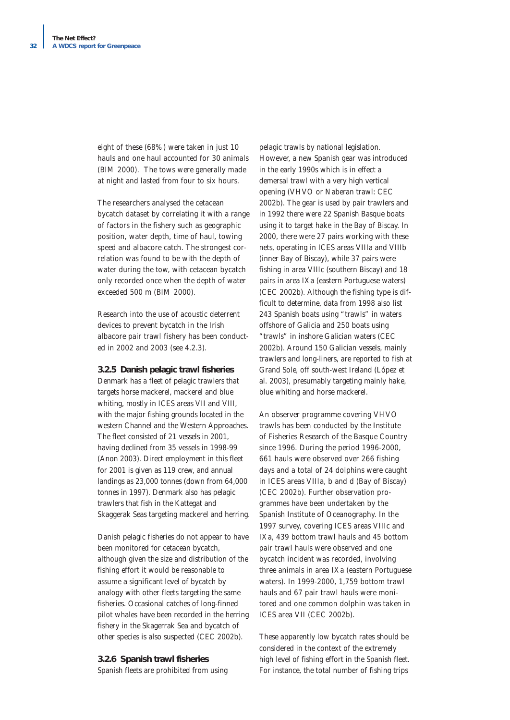eight of these (68%) were taken in just 10 hauls and one haul accounted for 30 animals (BIM 2000). The tows were generally made at night and lasted from four to six hours.

The researchers analysed the cetacean bycatch dataset by correlating it with a range of factors in the fishery such as geographic position, water depth, time of haul, towing speed and albacore catch. The strongest correlation was found to be with the depth of water during the tow, with cetacean bycatch only recorded once when the depth of water exceeded 500 m (BIM 2000).

Research into the use of acoustic deterrent devices to prevent bycatch in the Irish albacore pair trawl fishery has been conducted in 2002 and 2003 (see 4.2.3).

#### **3.2.5 Danish pelagic trawl fisheries**

Denmark has a fleet of pelagic trawlers that targets horse mackerel, mackerel and blue whiting, mostly in ICES areas VII and VIII, with the major fishing grounds located in the western Channel and the Western Approaches. The fleet consisted of 21 vessels in 2001, having declined from 35 vessels in 1998-99 (Anon 2003). Direct employment in this fleet for 2001 is given as 119 crew, and annual landings as 23,000 tonnes (down from 64,000 tonnes in 1997). Denmark also has pelagic trawlers that fish in the Kattegat and Skaggerak Seas targeting mackerel and herring.

Danish pelagic fisheries do not appear to have been monitored for cetacean bycatch, although given the size and distribution of the fishing effort it would be reasonable to assume a significant level of bycatch by analogy with other fleets targeting the same fisheries. Occasional catches of long-finned pilot whales have been recorded in the herring fishery in the Skagerrak Sea and bycatch of other species is also suspected (CEC 2002b).

# **3.2.6 Spanish trawl fisheries**

Spanish fleets are prohibited from using

pelagic trawls by national legislation. However, a new Spanish gear was introduced in the early 1990s which is in effect a demersal trawl with a very high vertical opening (VHVO or Naberan trawl: CEC 2002b). The gear is used by pair trawlers and in 1992 there were 22 Spanish Basque boats using it to target hake in the Bay of Biscay. In 2000, there were 27 pairs working with these nets, operating in ICES areas VIIIa and VIIIb (inner Bay of Biscay), while 37 pairs were fishing in area VIIIc (southern Biscay) and 18 pairs in area IXa (eastern Portuguese waters) (CEC 2002b). Although the fishing type is difficult to determine, data from 1998 also list 243 Spanish boats using "trawls" in waters offshore of Galicia and 250 boats using "trawls" in inshore Galician waters (CEC 2002b). Around 150 Galician vessels, mainly trawlers and long-liners, are reported to fish at Grand Sole, off south-west Ireland (López *et al.* 2003), presumably targeting mainly hake, blue whiting and horse mackerel.

An observer programme covering VHVO trawls has been conducted by the Institute of Fisheries Research of the Basque Country since 1996. During the period 1996-2000, 661 hauls were observed over 266 fishing days and a total of 24 dolphins were caught in ICES areas VIIIa, b and d (Bay of Biscay) (CEC 2002b). Further observation programmes have been undertaken by the Spanish Institute of Oceanography. In the 1997 survey, covering ICES areas VIIIc and IXa, 439 bottom trawl hauls and 45 bottom pair trawl hauls were observed and one bycatch incident was recorded, involving three animals in area IXa (eastern Portuguese waters). In 1999-2000, 1,759 bottom trawl hauls and 67 pair trawl hauls were monitored and one common dolphin was taken in ICES area VII (CEC 2002b).

These apparently low bycatch rates should be considered in the context of the extremely high level of fishing effort in the Spanish fleet. For instance, the total number of fishing trips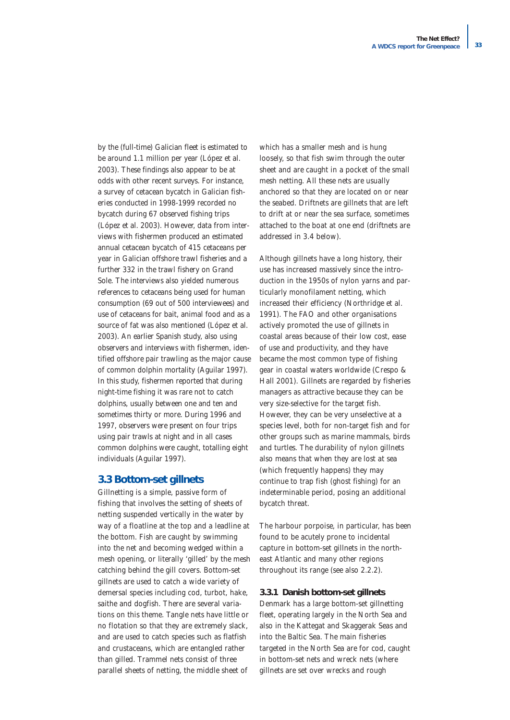by the (full-time) Galician fleet is estimated to be around 1.1 million per year (López *et al.* 2003). These findings also appear to be at odds with other recent surveys. For instance, a survey of cetacean bycatch in Galician fisheries conducted in 1998-1999 recorded no bycatch during 67 observed fishing trips (López *et al.* 2003). However, data from interviews with fishermen produced an estimated annual cetacean bycatch of 415 cetaceans per year in Galician offshore trawl fisheries and a further 332 in the trawl fishery on Grand Sole. The interviews also yielded numerous references to cetaceans being used for human consumption (69 out of 500 interviewees) and use of cetaceans for bait, animal food and as a source of fat was also mentioned (López *et al.* 2003). An earlier Spanish study, also using observers and interviews with fishermen, identified offshore pair trawling as the major cause of common dolphin mortality (Aguilar 1997). In this study, fishermen reported that during night-time fishing it was rare not to catch dolphins, usually between one and ten and sometimes thirty or more. During 1996 and 1997, observers were present on four trips using pair trawls at night and in all cases common dolphins were caught, totalling eight individuals (Aguilar 1997).

### **3.3 Bottom-set gillnets**

Gillnetting is a simple, passive form of fishing that involves the setting of sheets of netting suspended vertically in the water by way of a floatline at the top and a leadline at the bottom. Fish are caught by swimming into the net and becoming wedged within a mesh opening, or literally 'gilled' by the mesh catching behind the gill covers. Bottom-set gillnets are used to catch a wide variety of demersal species including cod, turbot, hake, saithe and dogfish. There are several variations on this theme. Tangle nets have little or no flotation so that they are extremely slack, and are used to catch species such as flatfish and crustaceans, which are entangled rather than gilled. Trammel nets consist of three parallel sheets of netting, the middle sheet of

which has a smaller mesh and is hung loosely, so that fish swim through the outer sheet and are caught in a pocket of the small mesh netting. All these nets are usually anchored so that they are located on or near the seabed. Driftnets are gillnets that are left to drift at or near the sea surface, sometimes attached to the boat at one end (driftnets are addressed in 3.4 below).

Although gillnets have a long history, their use has increased massively since the introduction in the 1950s of nylon yarns and particularly monofilament netting, which increased their efficiency (Northridge *et al.* 1991). The FAO and other organisations actively promoted the use of gillnets in coastal areas because of their low cost, ease of use and productivity, and they have became the most common type of fishing gear in coastal waters worldwide (Crespo & Hall 2001). Gillnets are regarded by fisheries managers as attractive because they can be very size-selective for the target fish. However, they can be very unselective at a species level, both for non-target fish and for other groups such as marine mammals, birds and turtles. The durability of nylon gillnets also means that when they are lost at sea (which frequently happens) they may continue to trap fish (ghost fishing) for an indeterminable period, posing an additional bycatch threat.

The harbour porpoise, in particular, has been found to be acutely prone to incidental capture in bottom-set gillnets in the northeast Atlantic and many other regions throughout its range (see also 2.2.2).

#### **3.3.1 Danish bottom-set gillnets**

Denmark has a large bottom-set gillnetting fleet, operating largely in the North Sea and also in the Kattegat and Skaggerak Seas and into the Baltic Sea. The main fisheries targeted in the North Sea are for cod, caught in bottom-set nets and wreck nets (where gillnets are set over wrecks and rough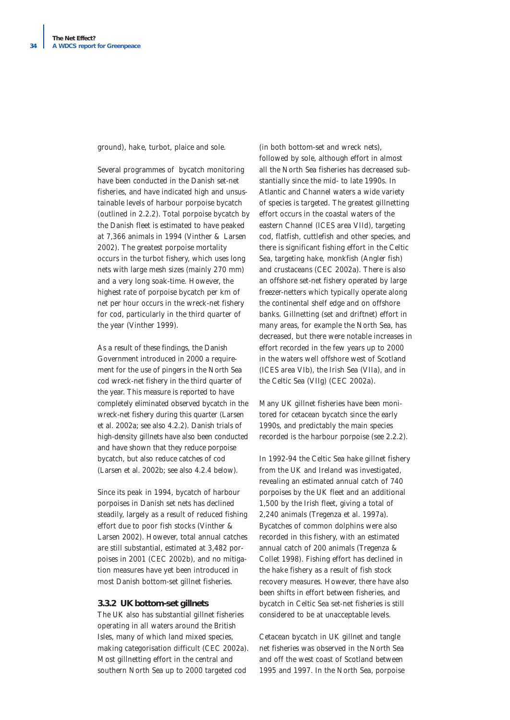ground), hake, turbot, plaice and sole.

Several programmes of bycatch monitoring have been conducted in the Danish set-net fisheries, and have indicated high and unsustainable levels of harbour porpoise bycatch (outlined in 2.2.2). Total porpoise bycatch by the Danish fleet is estimated to have peaked at 7,366 animals in 1994 (Vinther & Larsen 2002). The greatest porpoise mortality occurs in the turbot fishery, which uses long nets with large mesh sizes (mainly 270 mm) and a very long soak-time. However, the highest rate of porpoise bycatch per km of net per hour occurs in the wreck-net fishery for cod, particularly in the third quarter of the year (Vinther 1999).

As a result of these findings, the Danish Government introduced in 2000 a requirement for the use of pingers in the North Sea cod wreck-net fishery in the third quarter of the year. This measure is reported to have completely eliminated observed bycatch in the wreck-net fishery during this quarter (Larsen *et al.* 2002a; see also 4.2.2). Danish trials of high-density gillnets have also been conducted and have shown that they reduce porpoise bycatch, but also reduce catches of cod (Larsen *et al.* 2002b; see also 4.2.4 below).

Since its peak in 1994, bycatch of harbour porpoises in Danish set nets has declined steadily, largely as a result of reduced fishing effort due to poor fish stocks (Vinther & Larsen 2002). However, total annual catches are still substantial, estimated at 3,482 porpoises in 2001 (CEC 2002b), and no mitigation measures have yet been introduced in most Danish bottom-set gillnet fisheries.

#### **3.3.2 UK bottom-set gillnets**

The UK also has substantial gillnet fisheries operating in all waters around the British Isles, many of which land mixed species, making categorisation difficult (CEC 2002a). Most gillnetting effort in the central and southern North Sea up to 2000 targeted cod

(in both bottom-set and wreck nets), followed by sole, although effort in almost all the North Sea fisheries has decreased substantially since the mid- to late 1990s. In Atlantic and Channel waters a wide variety of species is targeted. The greatest gillnetting effort occurs in the coastal waters of the eastern Channel (ICES area VIId), targeting cod, flatfish, cuttlefish and other species, and there is significant fishing effort in the Celtic Sea, targeting hake, monkfish (Angler fish) and crustaceans (CEC 2002a). There is also an offshore set-net fishery operated by large freezer-netters which typically operate along the continental shelf edge and on offshore banks. Gillnetting (set and driftnet) effort in many areas, for example the North Sea, has decreased, but there were notable increases in effort recorded in the few years up to 2000 in the waters well offshore west of Scotland (ICES area VIb), the Irish Sea (VIIa), and in the Celtic Sea (VIIg) (CEC 2002a).

Many UK gillnet fisheries have been monitored for cetacean bycatch since the early 1990s, and predictably the main species recorded is the harbour porpoise (see 2.2.2).

In 1992-94 the Celtic Sea hake gillnet fishery from the UK and Ireland was investigated, revealing an estimated annual catch of 740 porpoises by the UK fleet and an additional 1,500 by the Irish fleet, giving a total of 2,240 animals (Tregenza *et al.* 1997a). Bycatches of common dolphins were also recorded in this fishery, with an estimated annual catch of 200 animals (Tregenza & Collet 1998). Fishing effort has declined in the hake fishery as a result of fish stock recovery measures. However, there have also been shifts in effort between fisheries, and bycatch in Celtic Sea set-net fisheries is still considered to be at unacceptable levels.

Cetacean bycatch in UK gillnet and tangle net fisheries was observed in the North Sea and off the west coast of Scotland between 1995 and 1997. In the North Sea, porpoise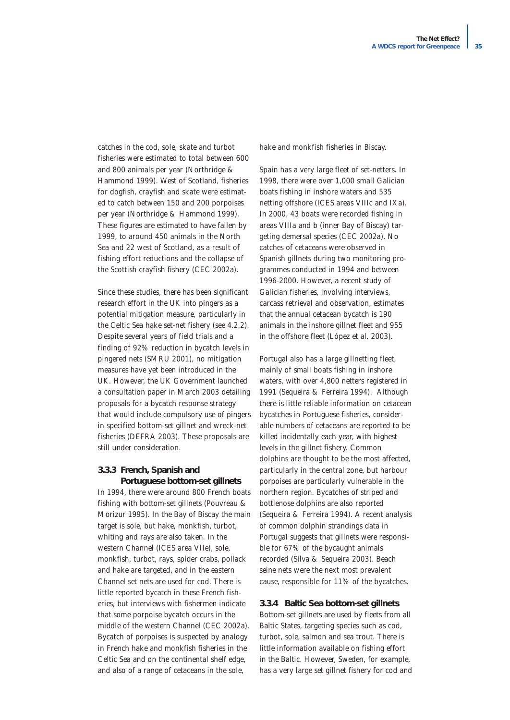catches in the cod, sole, skate and turbot fisheries were estimated to total between 600 and 800 animals per year (Northridge & Hammond 1999). West of Scotland, fisheries for dogfish, crayfish and skate were estimated to catch between 150 and 200 porpoises per year (Northridge & Hammond 1999). These figures are estimated to have fallen by 1999, to around 450 animals in the North Sea and 22 west of Scotland, as a result of fishing effort reductions and the collapse of the Scottish crayfish fishery (CEC 2002a).

Since these studies, there has been significant research effort in the UK into pingers as a potential mitigation measure, particularly in the Celtic Sea hake set-net fishery (see 4.2.2). Despite several years of field trials and a finding of 92% reduction in bycatch levels in pingered nets (SMRU 2001), no mitigation measures have yet been introduced in the UK. However, the UK Government launched a consultation paper in March 2003 detailing proposals for a bycatch response strategy that would include compulsory use of pingers in specified bottom-set gillnet and wreck-net fisheries (DEFRA 2003). These proposals are still under consideration.

#### **3.3.3 French, Spanish and Portuguese bottom-set gillnets**

In 1994, there were around 800 French boats fishing with bottom-set gillnets (Pouvreau & Morizur 1995). In the Bay of Biscay the main target is sole, but hake, monkfish, turbot, whiting and rays are also taken. In the western Channel (ICES area VIIe), sole, monkfish, turbot, rays, spider crabs, pollack and hake are targeted, and in the eastern Channel set nets are used for cod. There is little reported bycatch in these French fisheries, but interviews with fishermen indicate that some porpoise bycatch occurs in the middle of the western Channel (CEC 2002a). Bycatch of porpoises is suspected by analogy in French hake and monkfish fisheries in the Celtic Sea and on the continental shelf edge, and also of a range of cetaceans in the sole,

hake and monkfish fisheries in Biscay.

Spain has a very large fleet of set-netters. In 1998, there were over 1,000 small Galician boats fishing in inshore waters and 535 netting offshore (ICES areas VIIIc and IXa). In 2000, 43 boats were recorded fishing in areas VIIIa and b (inner Bay of Biscay) targeting demersal species (CEC 2002a). No catches of cetaceans were observed in Spanish gillnets during two monitoring programmes conducted in 1994 and between 1996-2000. However, a recent study of Galician fisheries, involving interviews, carcass retrieval and observation, estimates that the annual cetacean bycatch is 190 animals in the inshore gillnet fleet and 955 in the offshore fleet (López *et al.* 2003).

Portugal also has a large gillnetting fleet, mainly of small boats fishing in inshore waters, with over 4,800 netters registered in 1991 (Sequeira & Ferreira 1994). Although there is little reliable information on cetacean bycatches in Portuguese fisheries, considerable numbers of cetaceans are reported to be killed incidentally each year, with highest levels in the gillnet fishery. Common dolphins are thought to be the most affected, particularly in the central zone, but harbour porpoises are particularly vulnerable in the northern region. Bycatches of striped and bottlenose dolphins are also reported (Sequeira & Ferreira 1994). A recent analysis of common dolphin strandings data in Portugal suggests that gillnets were responsible for 67% of the bycaught animals recorded (Silva & Sequeira 2003). Beach seine nets were the next most prevalent cause, responsible for 11% of the bycatches.

#### **3.3.4 Baltic Sea bottom-set gillnets**

Bottom-set gillnets are used by fleets from all Baltic States, targeting species such as cod, turbot, sole, salmon and sea trout. There is little information available on fishing effort in the Baltic. However, Sweden, for example, has a very large set gillnet fishery for cod and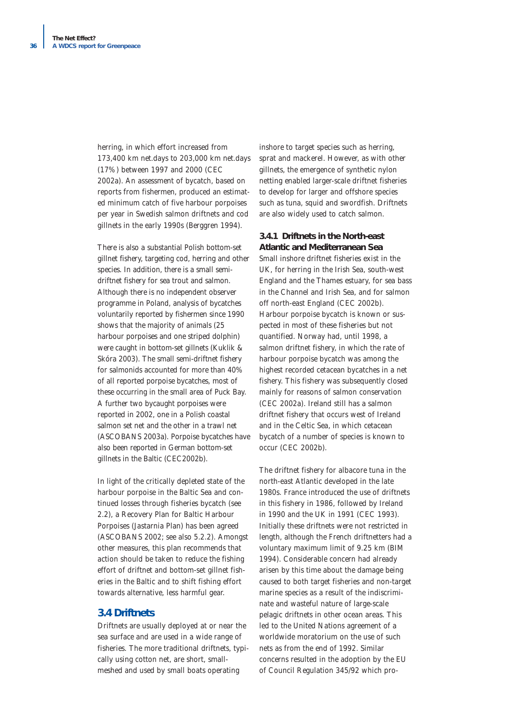herring, in which effort increased from 173,400 km net.days to 203,000 km net.days (17%) between 1997 and 2000 (CEC 2002a). An assessment of bycatch, based on reports from fishermen, produced an estimated minimum catch of five harbour porpoises per year in Swedish salmon driftnets and cod gillnets in the early 1990s (Berggren 1994).

There is also a substantial Polish bottom-set gillnet fishery, targeting cod, herring and other species. In addition, there is a small semidriftnet fishery for sea trout and salmon. Although there is no independent observer programme in Poland, analysis of bycatches voluntarily reported by fishermen since 1990 shows that the majority of animals (25 harbour porpoises and one striped dolphin) were caught in bottom-set gillnets (Kuklik & Skóra 2003). The small semi-driftnet fishery for salmonids accounted for more than 40% of all reported porpoise bycatches, most of these occurring in the small area of Puck Bay. A further two bycaught porpoises were reported in 2002, one in a Polish coastal salmon set net and the other in a trawl net (ASCOBANS 2003a). Porpoise bycatches have also been reported in German bottom-set gillnets in the Baltic (CEC2002b).

In light of the critically depleted state of the harbour porpoise in the Baltic Sea and continued losses through fisheries bycatch (see 2.2), a Recovery Plan for Baltic Harbour Porpoises (Jastarnia Plan) has been agreed (ASCOBANS 2002; see also 5.2.2). Amongst other measures, this plan recommends that action should be taken to reduce the fishing effort of driftnet and bottom-set gillnet fisheries in the Baltic and to shift fishing effort towards alternative, less harmful gear.

### **3.4 Driftnets**

Driftnets are usually deployed at or near the sea surface and are used in a wide range of fisheries. The more traditional driftnets, typically using cotton net, are short, smallmeshed and used by small boats operating

inshore to target species such as herring, sprat and mackerel. However, as with other gillnets, the emergence of synthetic nylon netting enabled larger-scale driftnet fisheries to develop for larger and offshore species such as tuna, squid and swordfish. Driftnets are also widely used to catch salmon.

#### **3.4.1 Driftnets in the North-east Atlantic and Mediterranean Sea**

Small inshore driftnet fisheries exist in the UK, for herring in the Irish Sea, south-west England and the Thames estuary, for sea bass in the Channel and Irish Sea, and for salmon off north-east England (CEC 2002b). Harbour porpoise bycatch is known or suspected in most of these fisheries but not quantified. Norway had, until 1998, a salmon driftnet fishery, in which the rate of harbour porpoise bycatch was among the highest recorded cetacean bycatches in a net fishery. This fishery was subsequently closed mainly for reasons of salmon conservation (CEC 2002a). Ireland still has a salmon driftnet fishery that occurs west of Ireland and in the Celtic Sea, in which cetacean bycatch of a number of species is known to occur (CEC 2002b).

The driftnet fishery for albacore tuna in the north-east Atlantic developed in the late 1980s. France introduced the use of driftnets in this fishery in 1986, followed by Ireland in 1990 and the UK in 1991 (CEC 1993). Initially these driftnets were not restricted in length, although the French driftnetters had a voluntary maximum limit of 9.25 km (BIM 1994). Considerable concern had already arisen by this time about the damage being caused to both target fisheries and non-target marine species as a result of the indiscriminate and wasteful nature of large-scale pelagic driftnets in other ocean areas. This led to the United Nations agreement of a worldwide moratorium on the use of such nets as from the end of 1992. Similar concerns resulted in the adoption by the EU of Council Regulation 345/92 which pro-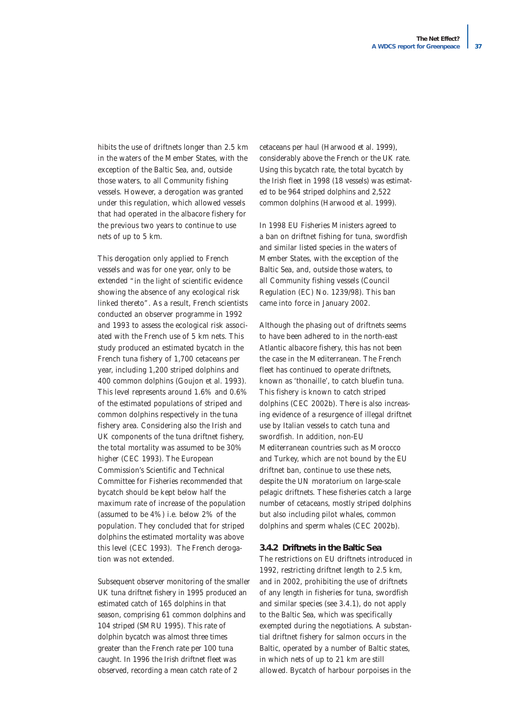hibits the use of driftnets longer than 2.5 km in the waters of the Member States, with the exception of the Baltic Sea, and, outside those waters, to all Community fishing vessels. However, a derogation was granted under this regulation, which allowed vessels that had operated in the albacore fishery for the previous two years to continue to use nets of up to 5 km.

This derogation only applied to French vessels and was for one year, only to be extended *"in the light of scientific evidence showing the absence of any ecological risk linked thereto"*. As a result, French scientists conducted an observer programme in 1992 and 1993 to assess the ecological risk associated with the French use of 5 km nets. This study produced an estimated bycatch in the French tuna fishery of 1,700 cetaceans per year, including 1,200 striped dolphins and 400 common dolphins (Goujon *et al.* 1993). This level represents around 1.6% and 0.6% of the estimated populations of striped and common dolphins respectively in the tuna fishery area. Considering also the Irish and UK components of the tuna driftnet fishery, the total mortality was assumed to be 30% higher (CEC 1993). The European Commission's Scientific and Technical Committee for Fisheries recommended that bycatch should be kept below half the maximum rate of increase of the population (assumed to be 4%) i.e. below 2% of the population. They concluded that for striped dolphins the estimated mortality was above this level (CEC 1993). The French derogation was not extended.

Subsequent observer monitoring of the smaller UK tuna driftnet fishery in 1995 produced an estimated catch of 165 dolphins in that season, comprising 61 common dolphins and 104 striped (SMRU 1995). This rate of dolphin bycatch was almost three times greater than the French rate per 100 tuna caught. In 1996 the Irish driftnet fleet was observed, recording a mean catch rate of 2

cetaceans per haul (Harwood *et al.* 1999), considerably above the French or the UK rate. Using this bycatch rate, the total bycatch by the Irish fleet in 1998 (18 vessels) was estimated to be 964 striped dolphins and 2,522 common dolphins (Harwood *et al.* 1999).

In 1998 EU Fisheries Ministers agreed to a ban on driftnet fishing for tuna, swordfish and similar listed species in the waters of Member States, with the exception of the Baltic Sea, and, outside those waters, to all Community fishing vessels (Council Regulation (EC) No. 1239/98). This ban came into force in January 2002.

Although the phasing out of driftnets seems to have been adhered to in the north-east Atlantic albacore fishery, this has not been the case in the Mediterranean. The French fleet has continued to operate driftnets, known as 'thonaille', to catch bluefin tuna. This fishery is known to catch striped dolphins (CEC 2002b). There is also increasing evidence of a resurgence of illegal driftnet use by Italian vessels to catch tuna and swordfish. In addition, non-EU Mediterranean countries such as Morocco and Turkey, which are not bound by the EU driftnet ban, continue to use these nets, despite the UN moratorium on large-scale pelagic driftnets. These fisheries catch a large number of cetaceans, mostly striped dolphins but also including pilot whales, common dolphins and sperm whales (CEC 2002b).

#### **3.4.2 Driftnets in the Baltic Sea**

The restrictions on EU driftnets introduced in 1992, restricting driftnet length to 2.5 km, and in 2002, prohibiting the use of driftnets of any length in fisheries for tuna, swordfish and similar species (see 3.4.1), do not apply to the Baltic Sea, which was specifically exempted during the negotiations. A substantial driftnet fishery for salmon occurs in the Baltic, operated by a number of Baltic states, in which nets of up to 21 km are still allowed. Bycatch of harbour porpoises in the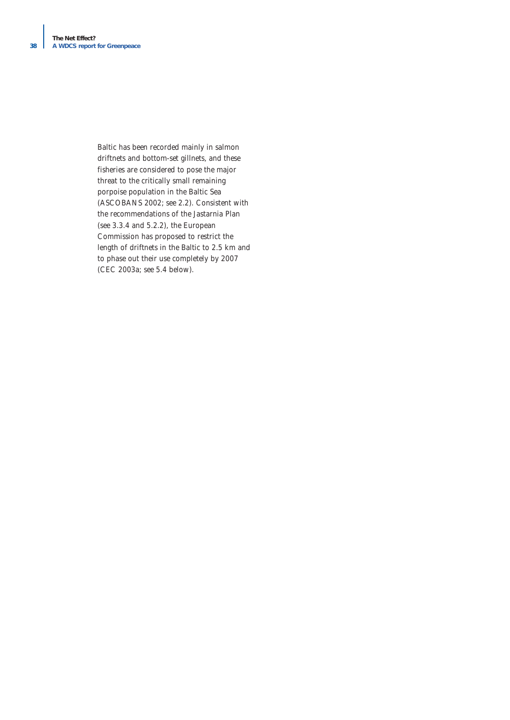Baltic has been recorded mainly in salmon driftnets and bottom-set gillnets, and these fisheries are considered to pose the major threat to the critically small remaining porpoise population in the Baltic Sea (ASCOBANS 2002; see 2.2). Consistent with the recommendations of the Jastarnia Plan (see 3.3.4 and 5.2.2), the European Commission has proposed to restrict the length of driftnets in the Baltic to 2.5 km and to phase out their use completely by 2007 (CEC 2003a; see 5.4 below).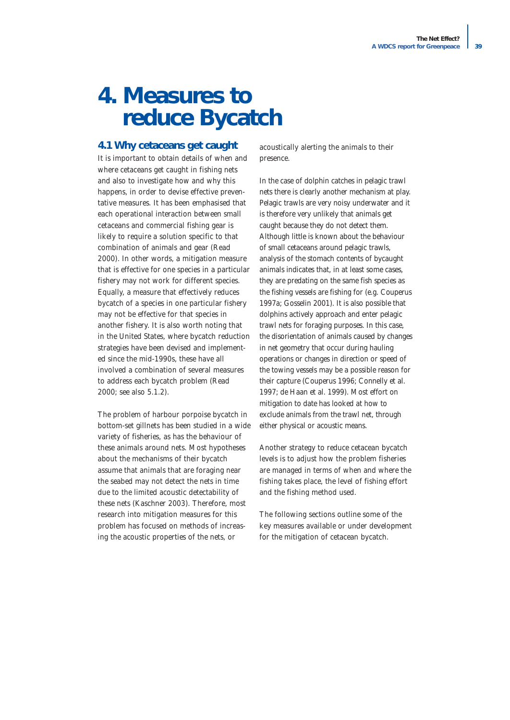# **4. Measures to reduce Bycatch**

### **4.1 Why cetaceans get caught**

It is important to obtain details of when and where cetaceans get caught in fishing nets and also to investigate how and why this happens, in order to devise effective preventative measures. It has been emphasised that each operational interaction between small cetaceans and commercial fishing gear is likely to require a solution specific to that combination of animals and gear (Read 2000). In other words, a mitigation measure that is effective for one species in a particular fishery may not work for different species. Equally, a measure that effectively reduces bycatch of a species in one particular fishery may not be effective for that species in another fishery. It is also worth noting that in the United States, where bycatch reduction strategies have been devised and implemented since the mid-1990s, these have all involved a combination of several measures to address each bycatch problem (Read 2000; see also 5.1.2).

The problem of harbour porpoise bycatch in bottom-set gillnets has been studied in a wide variety of fisheries, as has the behaviour of these animals around nets. Most hypotheses about the mechanisms of their bycatch assume that animals that are foraging near the seabed may not detect the nets in time due to the limited acoustic detectability of these nets (Kaschner 2003). Therefore, most research into mitigation measures for this problem has focused on methods of increasing the acoustic properties of the nets, or

acoustically alerting the animals to their presence.

In the case of dolphin catches in pelagic trawl nets there is clearly another mechanism at play. Pelagic trawls are very noisy underwater and it is therefore very unlikely that animals get caught because they do not detect them. Although little is known about the behaviour of small cetaceans around pelagic trawls, analysis of the stomach contents of bycaught animals indicates that, in at least some cases, they are predating on the same fish species as the fishing vessels are fishing for (e.g. Couperus 1997a; Gosselin 2001). It is also possible that dolphins actively approach and enter pelagic trawl nets for foraging purposes. In this case, the disorientation of animals caused by changes in net geometry that occur during hauling operations or changes in direction or speed of the towing vessels may be a possible reason for their capture (Couperus 1996; Connelly *et al.* 1997; de Haan *et al.* 1999). Most effort on mitigation to date has looked at how to exclude animals from the trawl net, through either physical or acoustic means.

Another strategy to reduce cetacean bycatch levels is to adjust how the problem fisheries are managed in terms of when and where the fishing takes place, the level of fishing effort and the fishing method used.

The following sections outline some of the key measures available or under development for the mitigation of cetacean bycatch.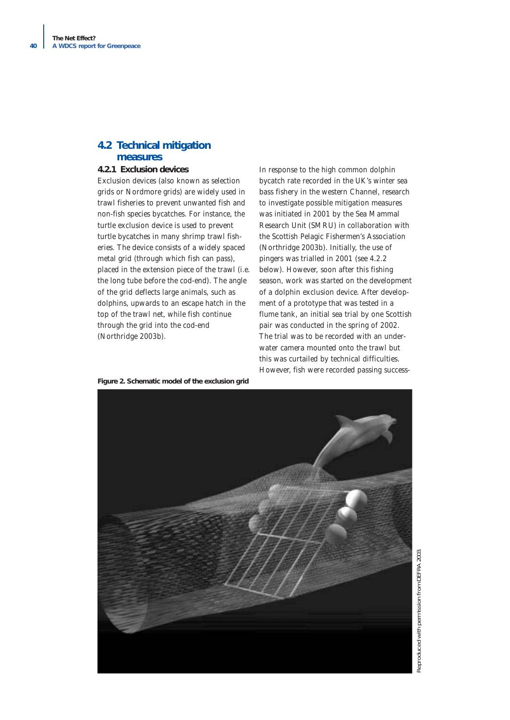# **4.2 Technical mitigation measures**

#### **4.2.1 Exclusion devices**

Exclusion devices (also known as selection grids or Nordmore grids) are widely used in trawl fisheries to prevent unwanted fish and non-fish species bycatches. For instance, the turtle exclusion device is used to prevent turtle bycatches in many shrimp trawl fisheries. The device consists of a widely spaced metal grid (through which fish can pass), placed in the extension piece of the trawl (i.e. the long tube before the cod-end). The angle of the grid deflects large animals, such as dolphins, upwards to an escape hatch in the top of the trawl net, while fish continue through the grid into the cod-end (Northridge 2003b).

In response to the high common dolphin bycatch rate recorded in the UK's winter sea bass fishery in the western Channel, research to investigate possible mitigation measures was initiated in 2001 by the Sea Mammal Research Unit (SMRU) in collaboration with the Scottish Pelagic Fishermen's Association (Northridge 2003b). Initially, the use of pingers was trialled in 2001 (see 4.2.2 below). However, soon after this fishing season, work was started on the development of a dolphin exclusion device. After development of a prototype that was tested in a flume tank, an initial sea trial by one Scottish pair was conducted in the spring of 2002. The trial was to be recorded with an underwater camera mounted onto the trawl but this was curtailed by technical difficulties. However, fish were recorded passing success-

**Figure 2. Schematic model of the exclusion grid** 

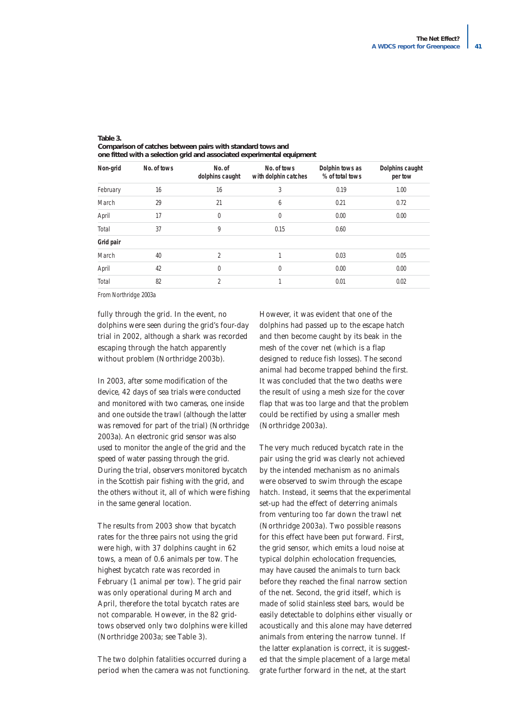| Non-grid  | No. of tows | No. of<br>dolphins caught | No. of tows<br>with dolphin catches | Dolphin tows as<br>% of total tows | Dolphins caught<br>per tow |
|-----------|-------------|---------------------------|-------------------------------------|------------------------------------|----------------------------|
| February  | 16          | 16                        | 3                                   | 0.19                               | 1.00                       |
| March     | 29          | 21                        | 6                                   | 0.21                               | 0.72                       |
| April     | 17          | $\mathbf{0}$              | 0                                   | 0.00                               | 0.00                       |
| Total     | 37          | 9                         | 0.15                                | 0.60                               |                            |
| Grid pair |             |                           |                                     |                                    |                            |
| March     | 40          | $\overline{2}$            |                                     | 0.03                               | 0.05                       |
| April     | 42          | $\theta$                  | $\Omega$                            | 0.00                               | 0.00                       |
| Total     | 82          | $\overline{2}$            | 1                                   | 0.01                               | 0.02                       |

#### **Table 3. Comparison of catches between pairs with standard tows and one fitted with a selection grid and associated experimental equipment**

*From Northridge 2003a*

fully through the grid. In the event, no dolphins were seen during the grid's four-day trial in 2002, although a shark was recorded escaping through the hatch apparently without problem (Northridge 2003b).

In 2003, after some modification of the device, 42 days of sea trials were conducted and monitored with two cameras, one inside and one outside the trawl (although the latter was removed for part of the trial) (Northridge 2003a). An electronic grid sensor was also used to monitor the angle of the grid and the speed of water passing through the grid. During the trial, observers monitored bycatch in the Scottish pair fishing with the grid, and the others without it, all of which were fishing in the same general location.

The results from 2003 show that bycatch rates for the three pairs not using the grid were high, with 37 dolphins caught in 62 tows, a mean of 0.6 animals per tow. The highest bycatch rate was recorded in February (1 animal per tow). The grid pair was only operational during March and April, therefore the total bycatch rates are not comparable. However, in the 82 gridtows observed only two dolphins were killed (Northridge 2003a; see Table 3).

The two dolphin fatalities occurred during a period when the camera was not functioning. However, it was evident that one of the dolphins had passed up to the escape hatch and then become caught by its beak in the mesh of the cover net (which is a flap designed to reduce fish losses). The second animal had become trapped behind the first. It was concluded that the two deaths were the result of using a mesh size for the cover flap that was too large and that the problem could be rectified by using a smaller mesh (Northridge 2003a).

The very much reduced bycatch rate in the pair using the grid was clearly not achieved by the intended mechanism as no animals were observed to swim through the escape hatch. Instead, it seems that the experimental set-up had the effect of deterring animals from venturing too far down the trawl net (Northridge 2003a). Two possible reasons for this effect have been put forward. First, the grid sensor, which emits a loud noise at typical dolphin echolocation frequencies, may have caused the animals to turn back before they reached the final narrow section of the net. Second, the grid itself, which is made of solid stainless steel bars, would be easily detectable to dolphins either visually or acoustically and this alone may have deterred animals from entering the narrow tunnel. If the latter explanation is correct, it is suggested that the simple placement of a large metal grate further forward in the net, at the start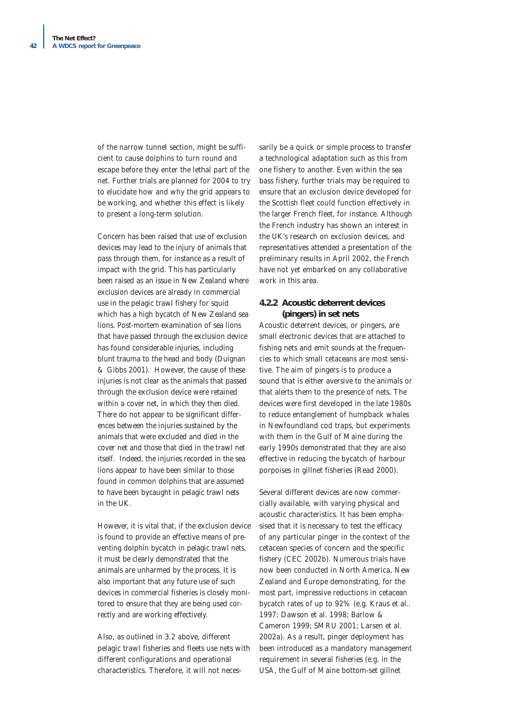of the narrow tunnel section, might be sufficient to cause dolphins to turn round and escape before they enter the lethal part of the net. Further trials are planned for 2004 to try to elucidate how and why the grid appears to be working, and whether this effect is likely to present a long-term solution.

Concern has been raised that use of exclusion devices may lead to the injury of animals that pass through them, for instance as a result of impact with the grid. This has particularly been raised as an issue in New Zealand where exclusion devices are already in commercial use in the pelagic trawl fishery for squid which has a high bycatch of New Zealand sea lions*.* Post-mortem examination of sea lions that have passed through the exclusion device has found considerable injuries, including blunt trauma to the head and body (Duignan & Gibbs 2001). However, the cause of these injuries is not clear as the animals that passed through the exclusion device were retained within a cover net, in which they then died. There do not appear to be significant differences between the injuries sustained by the animals that were excluded and died in the cover net and those that died in the trawl net itself. Indeed, the injuries recorded in the sea lions appear to have been similar to those found in common dolphins that are assumed to have been bycaught in pelagic trawl nets in the UK.

However, it is vital that, if the exclusion device is found to provide an effective means of preventing dolphin bycatch in pelagic trawl nets, it must be clearly demonstrated that the animals are unharmed by the process. It is also important that any future use of such devices in commercial fisheries is closely monitored to ensure that they are being used correctly and are working effectively.

Also, as outlined in 3.2 above, different pelagic trawl fisheries and fleets use nets with different configurations and operational characteristics. Therefore, it will not neces-

sarily be a quick or simple process to transfer a technological adaptation such as this from one fishery to another. Even within the sea bass fishery, further trials may be required to ensure that an exclusion device developed for the Scottish fleet could function effectively in the larger French fleet, for instance. Although the French industry has shown an interest in the UK's research on exclusion devices, and representatives attended a presentation of the preliminary results in April 2002, the French have not yet embarked on any collaborative work in this area.

#### **4.2.2 Acoustic deterrent devices (pingers) in set nets**

Acoustic deterrent devices, or pingers, are small electronic devices that are attached to fishing nets and emit sounds at the frequencies to which small cetaceans are most sensitive. The aim of pingers is to produce a sound that is either aversive to the animals or that alerts them to the presence of nets. The devices were first developed in the late 1980s to reduce entanglement of humpback whales in Newfoundland cod traps, but experiments with them in the Gulf of Maine during the early 1990s demonstrated that they are also effective in reducing the bycatch of harbour porpoises in gillnet fisheries (Read 2000).

Several different devices are now commercially available, with varying physical and acoustic characteristics. It has been emphasised that it is necessary to test the efficacy of any particular pinger in the context of the cetacean species of concern and the specific fishery (CEC 2002b). Numerous trials have now been conducted in North America, New Zealand and Europe demonstrating, for the most part, impressive reductions in cetacean bycatch rates of up to 92% (e.g. Kraus *et al.*. 1997; Dawson *et al.* 1998; Barlow & Cameron 1999; SMRU 2001; Larsen *et al.* 2002a). As a result, pinger deployment has been introduced as a mandatory management requirement in several fisheries (e.g. in the USA, the Gulf of Maine bottom-set gillnet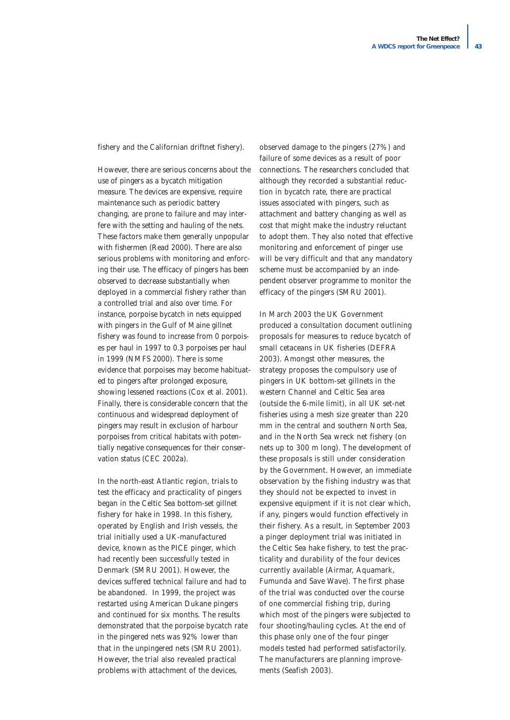fishery and the Californian driftnet fishery).

However, there are serious concerns about the use of pingers as a bycatch mitigation measure. The devices are expensive, require maintenance such as periodic battery changing, are prone to failure and may interfere with the setting and hauling of the nets. These factors make them generally unpopular with fishermen (Read 2000). There are also serious problems with monitoring and enforcing their use. The efficacy of pingers has been observed to decrease substantially when deployed in a commercial fishery rather than a controlled trial and also over time. For instance, porpoise bycatch in nets equipped with pingers in the Gulf of Maine gillnet fishery was found to increase from 0 porpoises per haul in 1997 to 0.3 porpoises per haul in 1999 (NMFS 2000). There is some evidence that porpoises may become habituated to pingers after prolonged exposure, showing lessened reactions (Cox *et al.* 2001). Finally, there is considerable concern that the continuous and widespread deployment of pingers may result in exclusion of harbour porpoises from critical habitats with potentially negative consequences for their conservation status (CEC 2002a).

In the north-east Atlantic region, trials to test the efficacy and practicality of pingers began in the Celtic Sea bottom-set gillnet fishery for hake in 1998. In this fishery, operated by English and Irish vessels, the trial initially used a UK-manufactured device, known as the PICE pinger, which had recently been successfully tested in Denmark (SMRU 2001). However, the devices suffered technical failure and had to be abandoned. In 1999, the project was restarted using American Dukane pingers and continued for six months. The results demonstrated that the porpoise bycatch rate in the pingered nets was 92% lower than that in the unpingered nets (SMRU 2001). However, the trial also revealed practical problems with attachment of the devices,

observed damage to the pingers (27%) and failure of some devices as a result of poor connections. The researchers concluded that although they recorded a substantial reduction in bycatch rate, there are practical issues associated with pingers, such as attachment and battery changing as well as cost that might make the industry reluctant to adopt them. They also noted that effective monitoring and enforcement of pinger use will be very difficult and that any mandatory scheme must be accompanied by an independent observer programme to monitor the efficacy of the pingers (SMRU 2001).

In March 2003 the UK Government produced a consultation document outlining proposals for measures to reduce bycatch of small cetaceans in UK fisheries (DEFRA 2003). Amongst other measures, the strategy proposes the compulsory use of pingers in UK bottom-set gillnets in the western Channel and Celtic Sea area (outside the 6-mile limit), in all UK set-net fisheries using a mesh size greater than 220 mm in the central and southern North Sea, and in the North Sea wreck net fishery (on nets up to 300 m long). The development of these proposals is still under consideration by the Government. However, an immediate observation by the fishing industry was that they should not be expected to invest in expensive equipment if it is not clear which, if any, pingers would function effectively in their fishery. As a result, in September 2003 a pinger deployment trial was initiated in the Celtic Sea hake fishery, to test the practicality and durability of the four devices currently available (Airmar, Aquamark, Fumunda and Save Wave). The first phase of the trial was conducted over the course of one commercial fishing trip, during which most of the pingers were subjected to four shooting/hauling cycles. At the end of this phase only one of the four pinger models tested had performed satisfactorily. The manufacturers are planning improvements (Seafish 2003).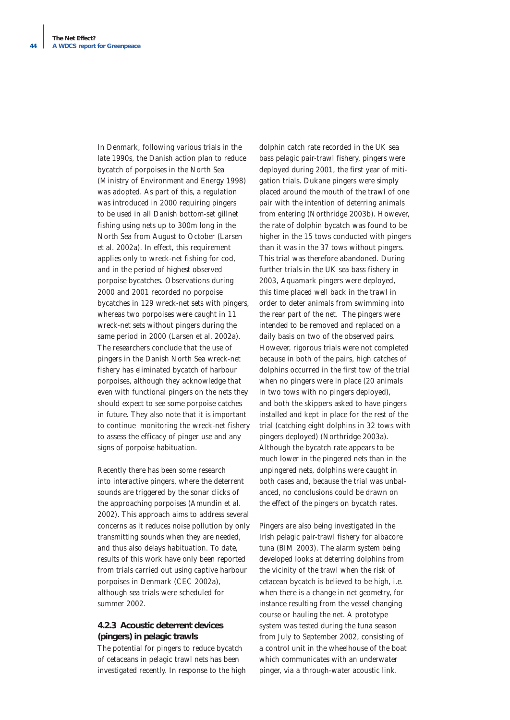In Denmark, following various trials in the late 1990s, the Danish action plan to reduce bycatch of porpoises in the North Sea (Ministry of Environment and Energy 1998) was adopted. As part of this, a regulation was introduced in 2000 requiring pingers to be used in all Danish bottom-set gillnet fishing using nets up to 300m long in the North Sea from August to October (Larsen *et al.* 2002a). In effect, this requirement applies only to wreck-net fishing for cod, and in the period of highest observed porpoise bycatches. Observations during 2000 and 2001 recorded no porpoise bycatches in 129 wreck-net sets with pingers, whereas two porpoises were caught in 11 wreck-net sets without pingers during the same period in 2000 (Larsen *et al.* 2002a). The researchers conclude that the use of pingers in the Danish North Sea wreck-net fishery has eliminated bycatch of harbour porpoises, although they acknowledge that even with functional pingers on the nets they should expect to see some porpoise catches in future. They also note that it is important to continue monitoring the wreck-net fishery to assess the efficacy of pinger use and any signs of porpoise habituation.

Recently there has been some research into interactive pingers, where the deterrent sounds are triggered by the sonar clicks of the approaching porpoises (Amundin *et al.* 2002). This approach aims to address several concerns as it reduces noise pollution by only transmitting sounds when they are needed, and thus also delays habituation. To date, results of this work have only been reported from trials carried out using captive harbour porpoises in Denmark (CEC 2002a), although sea trials were scheduled for summer 2002.

#### **4.2.3 Acoustic deterrent devices (pingers) in pelagic trawls**

The potential for pingers to reduce bycatch of cetaceans in pelagic trawl nets has been investigated recently. In response to the high

dolphin catch rate recorded in the UK sea bass pelagic pair-trawl fishery, pingers were deployed during 2001, the first year of mitigation trials. Dukane pingers were simply placed around the mouth of the trawl of one pair with the intention of deterring animals from entering (Northridge 2003b). However, the rate of dolphin bycatch was found to be higher in the 15 tows conducted with pingers than it was in the 37 tows without pingers. This trial was therefore abandoned. During further trials in the UK sea bass fishery in 2003, Aquamark pingers were deployed, this time placed well back in the trawl in order to deter animals from swimming into the rear part of the net. The pingers were intended to be removed and replaced on a daily basis on two of the observed pairs. However, rigorous trials were not completed because in both of the pairs, high catches of dolphins occurred in the first tow of the trial when no pingers were in place (20 animals in two tows with no pingers deployed), and both the skippers asked to have pingers installed and kept in place for the rest of the trial (catching eight dolphins in 32 tows with pingers deployed) (Northridge 2003a). Although the bycatch rate appears to be much lower in the pingered nets than in the unpingered nets, dolphins were caught in both cases and, because the trial was unbalanced, no conclusions could be drawn on the effect of the pingers on bycatch rates.

Pingers are also being investigated in the Irish pelagic pair-trawl fishery for albacore tuna (BIM 2003). The alarm system being developed looks at deterring dolphins from the vicinity of the trawl when the risk of cetacean bycatch is believed to be high, i.e. when there is a change in net geometry, for instance resulting from the vessel changing course or hauling the net. A prototype system was tested during the tuna season from July to September 2002, consisting of a control unit in the wheelhouse of the boat which communicates with an underwater pinger, via a through-water acoustic link.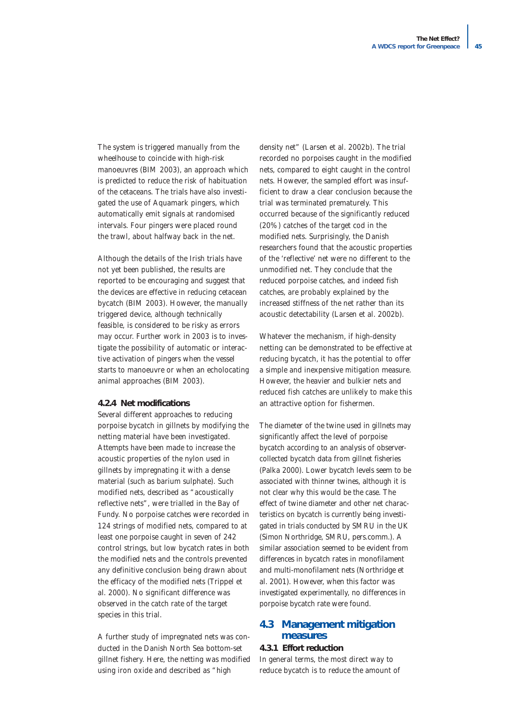The system is triggered manually from the wheelhouse to coincide with high-risk manoeuvres (BIM 2003), an approach which is predicted to reduce the risk of habituation of the cetaceans. The trials have also investigated the use of Aquamark pingers, which automatically emit signals at randomised intervals. Four pingers were placed round the trawl, about halfway back in the net.

Although the details of the Irish trials have not yet been published, the results are reported to be encouraging and suggest that the devices are effective in reducing cetacean bycatch (BIM 2003). However, the manually triggered device, although technically feasible, is considered to be risky as errors may occur. Further work in 2003 is to investigate the possibility of automatic or interactive activation of pingers when the vessel starts to manoeuvre or when an echolocating animal approaches (BIM 2003).

#### **4.2.4 Net modifications**

Several different approaches to reducing porpoise bycatch in gillnets by modifying the netting material have been investigated. Attempts have been made to increase the acoustic properties of the nylon used in gillnets by impregnating it with a dense material (such as barium sulphate). Such modified nets, described as "acoustically reflective nets", were trialled in the Bay of Fundy. No porpoise catches were recorded in 124 strings of modified nets, compared to at least one porpoise caught in seven of 242 control strings, but low bycatch rates in both the modified nets and the controls prevented any definitive conclusion being drawn about the efficacy of the modified nets (Trippel *et al.* 2000). No significant difference was observed in the catch rate of the target species in this trial.

A further study of impregnated nets was conducted in the Danish North Sea bottom-set gillnet fishery. Here, the netting was modified using iron oxide and described as "high

density net" (Larsen *et al.* 2002b). The trial recorded no porpoises caught in the modified nets, compared to eight caught in the control nets. However, the sampled effort was insufficient to draw a clear conclusion because the trial was terminated prematurely. This occurred because of the significantly reduced (20%) catches of the target cod in the modified nets. Surprisingly, the Danish researchers found that the acoustic properties of the 'reflective' net were no different to the unmodified net. They conclude that the reduced porpoise catches, and indeed fish catches, are probably explained by the increased stiffness of the net rather than its acoustic detectability (Larsen *et al.* 2002b).

Whatever the mechanism, if high-density netting can be demonstrated to be effective at reducing bycatch, it has the potential to offer a simple and inexpensive mitigation measure. However, the heavier and bulkier nets and reduced fish catches are unlikely to make this an attractive option for fishermen.

The diameter of the twine used in gillnets may significantly affect the level of porpoise bycatch according to an analysis of observercollected bycatch data from gillnet fisheries (Palka 2000). Lower bycatch levels seem to be associated with thinner twines, although it is not clear why this would be the case. The effect of twine diameter and other net characteristics on bycatch is currently being investigated in trials conducted by SMRU in the UK (Simon Northridge, SMRU, pers.comm.). A similar association seemed to be evident from differences in bycatch rates in monofilament and multi-monofilament nets (Northridge *et al.* 2001). However, when this factor was investigated experimentally, no differences in porpoise bycatch rate were found.

# **4.3 Management mitigation measures**

#### **4.3.1 Effort reduction**

In general terms, the most direct way to reduce bycatch is to reduce the amount of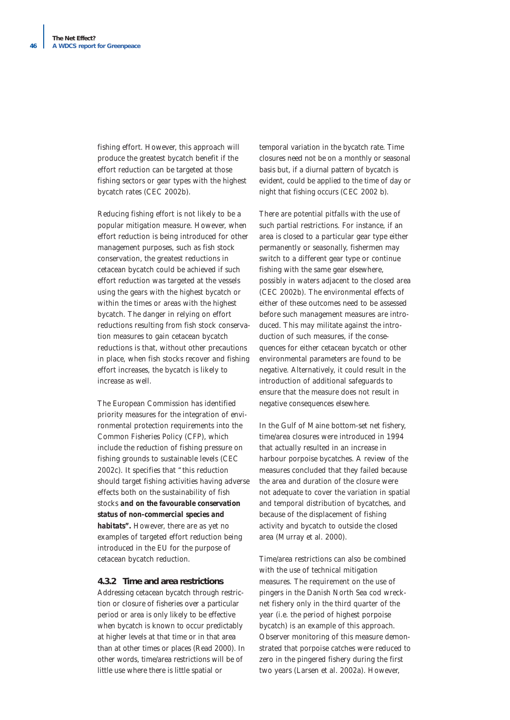fishing effort. However, this approach will produce the greatest bycatch benefit if the effort reduction can be targeted at those fishing sectors or gear types with the highest bycatch rates (CEC 2002b).

Reducing fishing effort is not likely to be a popular mitigation measure. However, when effort reduction is being introduced for other management purposes, such as fish stock conservation, the greatest reductions in cetacean bycatch could be achieved if such effort reduction was targeted at the vessels using the gears with the highest bycatch or within the times or areas with the highest bycatch. The danger in relying on effort reductions resulting from fish stock conservation measures to gain cetacean bycatch reductions is that, without other precautions in place, when fish stocks recover and fishing effort increases, the bycatch is likely to increase as well.

The European Commission has identified priority measures for the integration of environmental protection requirements into the Common Fisheries Policy (CFP), which include the reduction of fishing pressure on fishing grounds to sustainable levels (CEC 2002c). It specifies that *"this reduction should target fishing activities having adverse effects both on the sustainability of fish stocks and on the favourable conservation status of non-commercial species and habitats".* However, there are as yet no examples of targeted effort reduction being introduced in the EU for the purpose of cetacean bycatch reduction.

#### **4.3.2 Time and area restrictions**

Addressing cetacean bycatch through restriction or closure of fisheries over a particular period or area is only likely to be effective when bycatch is known to occur predictably at higher levels at that time or in that area than at other times or places (Read 2000). In other words, time/area restrictions will be of little use where there is little spatial or

temporal variation in the bycatch rate. Time closures need not be on a monthly or seasonal basis but, if a diurnal pattern of bycatch is evident, could be applied to the time of day or night that fishing occurs (CEC 2002 b).

There are potential pitfalls with the use of such partial restrictions. For instance, if an area is closed to a particular gear type either permanently or seasonally, fishermen may switch to a different gear type or continue fishing with the same gear elsewhere, possibly in waters adjacent to the closed area (CEC 2002b). The environmental effects of either of these outcomes need to be assessed before such management measures are introduced. This may militate against the introduction of such measures, if the consequences for either cetacean bycatch or other environmental parameters are found to be negative. Alternatively, it could result in the introduction of additional safeguards to ensure that the measure does not result in negative consequences elsewhere.

In the Gulf of Maine bottom-set net fishery, time/area closures were introduced in 1994 that actually resulted in an increase in harbour porpoise bycatches. A review of the measures concluded that they failed because the area and duration of the closure were not adequate to cover the variation in spatial and temporal distribution of bycatches, and because of the displacement of fishing activity and bycatch to outside the closed area (Murray *et al.* 2000).

Time/area restrictions can also be combined with the use of technical mitigation measures. The requirement on the use of pingers in the Danish North Sea cod wrecknet fishery only in the third quarter of the year (i.e. the period of highest porpoise bycatch) is an example of this approach. Observer monitoring of this measure demonstrated that porpoise catches were reduced to zero in the pingered fishery during the first two years (Larsen *et al.* 2002a). However,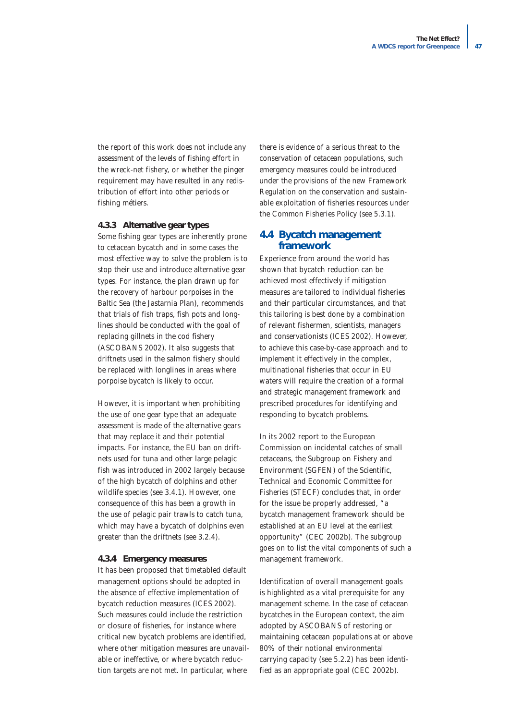the report of this work does not include any assessment of the levels of fishing effort in the wreck-net fishery, or whether the pinger requirement may have resulted in any redistribution of effort into other periods or fishing métiers.

#### **4.3.3 Alternative gear types**

Some fishing gear types are inherently prone to cetacean bycatch and in some cases the most effective way to solve the problem is to stop their use and introduce alternative gear types. For instance, the plan drawn up for the recovery of harbour porpoises in the Baltic Sea (the Jastarnia Plan), recommends that trials of fish traps, fish pots and longlines should be conducted with the goal of replacing gillnets in the cod fishery (ASCOBANS 2002). It also suggests that driftnets used in the salmon fishery should be replaced with longlines in areas where porpoise bycatch is likely to occur.

However, it is important when prohibiting the use of one gear type that an adequate assessment is made of the alternative gears that may replace it and their potential impacts. For instance, the EU ban on driftnets used for tuna and other large pelagic fish was introduced in 2002 largely because of the high bycatch of dolphins and other wildlife species (see 3.4.1). However, one consequence of this has been a growth in the use of pelagic pair trawls to catch tuna, which may have a bycatch of dolphins even greater than the driftnets (see 3.2.4).

#### **4.3.4 Emergency measures**

It has been proposed that timetabled default management options should be adopted in the absence of effective implementation of bycatch reduction measures (ICES 2002). Such measures could include the restriction or closure of fisheries, for instance where critical new bycatch problems are identified, where other mitigation measures are unavailable or ineffective, or where bycatch reduction targets are not met. In particular, where

there is evidence of a serious threat to the conservation of cetacean populations, such emergency measures could be introduced under the provisions of the new Framework Regulation on the conservation and sustainable exploitation of fisheries resources under the Common Fisheries Policy (see 5.3.1).

## **4.4 Bycatch management framework**

Experience from around the world has shown that bycatch reduction can be achieved most effectively if mitigation measures are tailored to individual fisheries and their particular circumstances, and that this tailoring is best done by a combination of relevant fishermen, scientists, managers and conservationists (ICES 2002). However, to achieve this case-by-case approach and to implement it effectively in the complex, multinational fisheries that occur in EU waters will require the creation of a formal and strategic management framework and prescribed procedures for identifying and responding to bycatch problems.

In its 2002 report to the European Commission on incidental catches of small cetaceans, the Subgroup on Fishery and Environment (SGFEN) of the Scientific, Technical and Economic Committee for Fisheries (STECF) concludes that, in order for the issue be properly addressed, "a bycatch management framework should be established at an EU level at the earliest opportunity" (CEC 2002b). The subgroup goes on to list the vital components of such a management framework.

Identification of overall management goals is highlighted as a vital prerequisite for any management scheme. In the case of cetacean bycatches in the European context, the aim adopted by ASCOBANS of restoring or maintaining cetacean populations at or above 80% of their notional environmental carrying capacity (see 5.2.2) has been identified as an appropriate goal (CEC 2002b).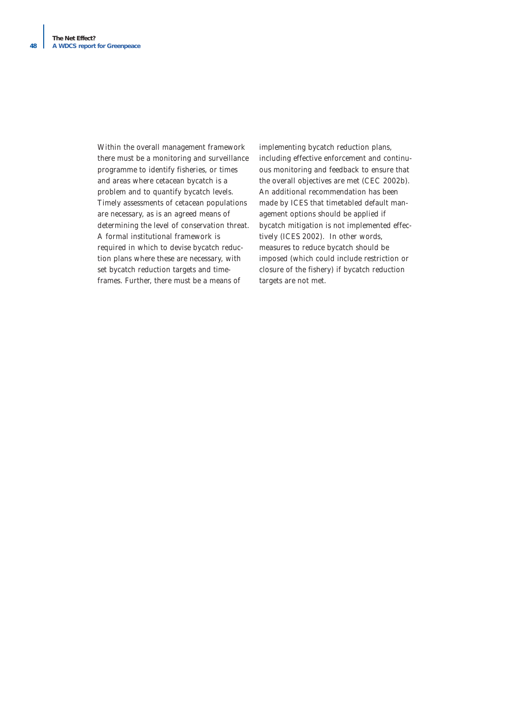Within the overall management framework there must be a monitoring and surveillance programme to identify fisheries, or times and areas where cetacean bycatch is a problem and to quantify bycatch levels. Timely assessments of cetacean populations are necessary, as is an agreed means of determining the level of conservation threat. A formal institutional framework is required in which to devise bycatch reduction plans where these are necessary, with set bycatch reduction targets and timeframes. Further, there must be a means of

implementing bycatch reduction plans, including effective enforcement and continuous monitoring and feedback to ensure that the overall objectives are met (CEC 2002b). An additional recommendation has been made by ICES that timetabled default management options should be applied if bycatch mitigation is not implemented effectively (ICES 2002). In other words, measures to reduce bycatch should be imposed (which could include restriction or closure of the fishery) if bycatch reduction targets are not met.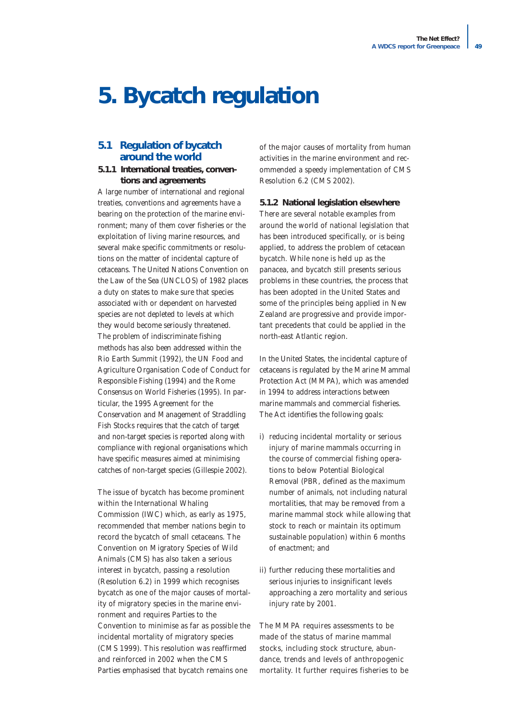# **5. Bycatch regulation**

# **5.1 Regulation of bycatch around the world**

#### **5.1.1 International treaties, conventions and agreements**

A large number of international and regional treaties, conventions and agreements have a bearing on the protection of the marine environment; many of them cover fisheries or the exploitation of living marine resources, and several make specific commitments or resolutions on the matter of incidental capture of cetaceans. The United Nations Convention on the Law of the Sea (UNCLOS) of 1982 places a duty on states to make sure that species associated with or dependent on harvested species are not depleted to levels at which they would become seriously threatened. The problem of indiscriminate fishing methods has also been addressed within the Rio Earth Summit (1992), the UN Food and Agriculture Organisation Code of Conduct for Responsible Fishing (1994) and the Rome Consensus on World Fisheries (1995). In particular, the 1995 Agreement for the Conservation and Management of Straddling Fish Stocks requires that the catch of target and non-target species is reported along with compliance with regional organisations which have specific measures aimed at minimising catches of non-target species (Gillespie 2002).

The issue of bycatch has become prominent within the International Whaling Commission (IWC) which, as early as 1975, recommended that member nations begin to record the bycatch of small cetaceans. The Convention on Migratory Species of Wild Animals (CMS) has also taken a serious interest in bycatch, passing a resolution (Resolution 6.2) in 1999 which recognises bycatch as one of the major causes of mortality of migratory species in the marine environment and requires Parties to the Convention to minimise as far as possible the incidental mortality of migratory species (CMS 1999). This resolution was reaffirmed and reinforced in 2002 when the CMS Parties emphasised that bycatch remains one

of the major causes of mortality from human activities in the marine environment and recommended a speedy implementation of CMS Resolution 6.2 (CMS 2002).

#### **5.1.2 National legislation elsewhere**

There are several notable examples from around the world of national legislation that has been introduced specifically, or is being applied, to address the problem of cetacean bycatch. While none is held up as the panacea, and bycatch still presents serious problems in these countries, the process that has been adopted in the United States and some of the principles being applied in New Zealand are progressive and provide important precedents that could be applied in the north-east Atlantic region.

In the United States, the incidental capture of cetaceans is regulated by the Marine Mammal Protection Act (MMPA), which was amended in 1994 to address interactions between marine mammals and commercial fisheries. The Act identifies the following goals:

- i) reducing incidental mortality or serious injury of marine mammals occurring in the course of commercial fishing operations to below Potential Biological Removal (PBR, defined as the maximum number of animals, not including natural mortalities, that may be removed from a marine mammal stock while allowing that stock to reach or maintain its optimum sustainable population) within 6 months of enactment; and
- ii) further reducing these mortalities and serious injuries to insignificant levels approaching a zero mortality and serious injury rate by 2001.

The MMPA requires assessments to be made of the status of marine mammal stocks, including stock structure, abundance, trends and levels of anthropogenic mortality. It further requires fisheries to be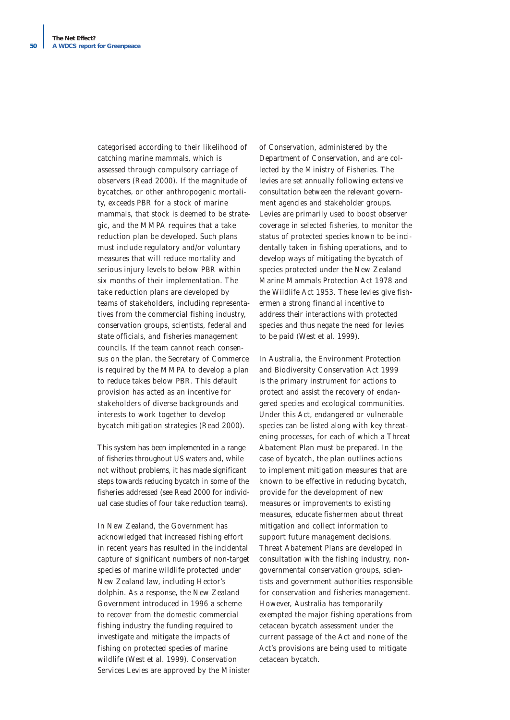categorised according to their likelihood of catching marine mammals, which is assessed through compulsory carriage of observers (Read 2000). If the magnitude of bycatches, or other anthropogenic mortality, exceeds PBR for a stock of marine mammals, that stock is deemed to be strategic, and the MMPA requires that a take reduction plan be developed. Such plans must include regulatory and/or voluntary measures that will reduce mortality and serious injury levels to below PBR within six months of their implementation. The take reduction plans are developed by teams of stakeholders, including representatives from the commercial fishing industry, conservation groups, scientists, federal and state officials, and fisheries management councils. If the team cannot reach consensus on the plan, the Secretary of Commerce is required by the MMPA to develop a plan to reduce takes below PBR. This default provision has acted as an incentive for stakeholders of diverse backgrounds and interests to work together to develop bycatch mitigation strategies (Read 2000).

This system has been implemented in a range of fisheries throughout US waters and, while not without problems, it has made significant steps towards reducing bycatch in some of the fisheries addressed (see Read 2000 for individual case studies of four take reduction teams).

In New Zealand, the Government has acknowledged that increased fishing effort in recent years has resulted in the incidental capture of significant numbers of non-target species of marine wildlife protected under New Zealand law, including Hector's dolphin. As a response, the New Zealand Government introduced in 1996 a scheme to recover from the domestic commercial fishing industry the funding required to investigate and mitigate the impacts of fishing on protected species of marine wildlife (West *et al.* 1999). Conservation Services Levies are approved by the Minister

of Conservation, administered by the Department of Conservation, and are collected by the Ministry of Fisheries. The levies are set annually following extensive consultation between the relevant government agencies and stakeholder groups. Levies are primarily used to boost observer coverage in selected fisheries, to monitor the status of protected species known to be incidentally taken in fishing operations, and to develop ways of mitigating the bycatch of species protected under the New Zealand Marine Mammals Protection Act 1978 and the Wildlife Act 1953. These levies give fishermen a strong financial incentive to address their interactions with protected species and thus negate the need for levies to be paid (West *et al.* 1999).

In Australia, the Environment Protection and Biodiversity Conservation Act 1999 is the primary instrument for actions to protect and assist the recovery of endangered species and ecological communities. Under this Act, endangered or vulnerable species can be listed along with key threatening processes, for each of which a Threat Abatement Plan must be prepared. In the case of bycatch, the plan outlines actions to implement mitigation measures that are known to be effective in reducing bycatch, provide for the development of new measures or improvements to existing measures, educate fishermen about threat mitigation and collect information to support future management decisions. Threat Abatement Plans are developed in consultation with the fishing industry, nongovernmental conservation groups, scientists and government authorities responsible for conservation and fisheries management. However, Australia has temporarily exempted the major fishing operations from cetacean bycatch assessment under the current passage of the Act and none of the Act's provisions are being used to mitigate cetacean bycatch.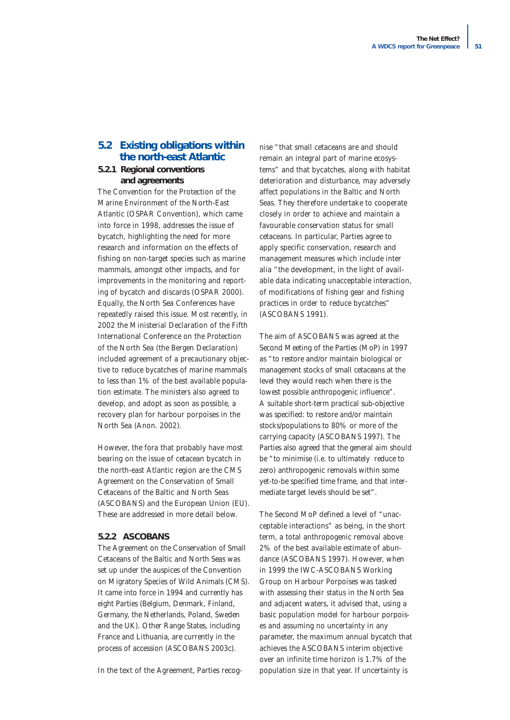# **5.2 Existing obligations within the north-east Atlantic**

#### **5.2.1 Regional conventions and agreements**

The Convention for the Protection of the Marine Environment of the North-East Atlantic (OSPAR Convention), which came into force in 1998, addresses the issue of bycatch, highlighting the need for more research and information on the effects of fishing on non-target species such as marine mammals, amongst other impacts, and for improvements in the monitoring and reporting of bycatch and discards (OSPAR 2000). Equally, the North Sea Conferences have repeatedly raised this issue. Most recently, in 2002 the Ministerial Declaration of the Fifth International Conference on the Protection of the North Sea (the Bergen Declaration) included agreement of a precautionary objective to reduce bycatches of marine mammals to less than 1% of the best available population estimate. The ministers also agreed to develop, and adopt as soon as possible, a recovery plan for harbour porpoises in the North Sea (Anon. 2002).

However, the fora that probably have most bearing on the issue of cetacean bycatch in the north-east Atlantic region are the CMS Agreement on the Conservation of Small Cetaceans of the Baltic and North Seas (ASCOBANS) and the European Union (EU). These are addressed in more detail below.

#### **5.2.2 ASCOBANS**

The Agreement on the Conservation of Small Cetaceans of the Baltic and North Seas was set up under the auspices of the Convention on Migratory Species of Wild Animals (CMS). It came into force in 1994 and currently has eight Parties (Belgium, Denmark, Finland, Germany, the Netherlands, Poland, Sweden and the UK). Other Range States, including France and Lithuania, are currently in the process of accession (ASCOBANS 2003c).

In the text of the Agreement, Parties recog-

nise *"that small cetaceans are and should remain an integral part of marine ecosystems"* and that bycatches, along with habitat deterioration and disturbance, may adversely affect populations in the Baltic and North Seas. They therefore undertake to cooperate closely in order to achieve and maintain a favourable conservation status for small cetaceans. In particular, Parties agree to apply specific conservation, research and management measures which include *inter alia "the development, in the light of available data indicating unacceptable interaction, of modifications of fishing gear and fishing practices in order to reduce bycatches"* (ASCOBANS 1991).

The aim of ASCOBANS was agreed at the Second Meeting of the Parties (MoP) in 1997 as *"to restore and/or maintain biological or management stocks of small cetaceans at the level they would reach when there is the lowest possible anthropogenic influence"*. A suitable short-term practical sub-objective was specified: to restore and/or maintain stocks/populations to 80% or more of the carrying capacity (ASCOBANS 1997). The Parties also agreed that the general aim should be *"to minimise (i.e. to ultimately reduce to zero) anthropogenic removals within some yet-to-be specified time frame, and that intermediate target levels should be set".*

The Second MoP defined a level of *"unacceptable interactions"* as being, in the short term, a total anthropogenic removal above 2% of the best available estimate of abundance (ASCOBANS 1997). However, when in 1999 the IWC-ASCOBANS Working Group on Harbour Porpoises was tasked with assessing their status in the North Sea and adjacent waters, it advised that, using a basic population model for harbour porpoises and assuming no uncertainty in any parameter, the maximum annual bycatch that achieves the ASCOBANS interim objective over an infinite time horizon is 1.7% of the population size in that year. If uncertainty is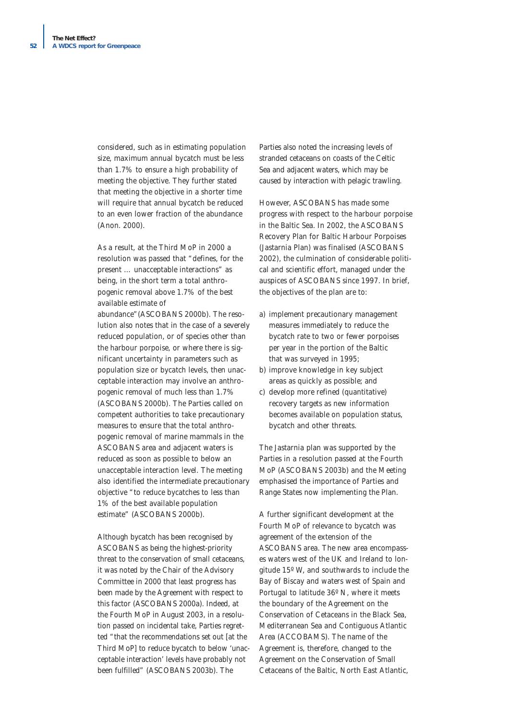considered, such as in estimating population size, maximum annual bycatch must be less than 1.7% to ensure a high probability of meeting the objective. They further stated that meeting the objective in a shorter time will require that annual bycatch be reduced to an even lower fraction of the abundance (Anon. 2000).

As a result, at the Third MoP in 2000 a resolution was passed that *"defines, for the present … unacceptable interactions"* as being, in the short term a total anthropogenic removal above 1.7% of the best available estimate of

abundance"(ASCOBANS 2000b). The resolution also notes that in the case of a severely reduced population, or of species other than the harbour porpoise, or where there is significant uncertainty in parameters such as population size or bycatch levels, then unacceptable interaction may involve an anthropogenic removal of much less than 1.7% (ASCOBANS 2000b). The Parties called on competent authorities to take precautionary measures to ensure that the total anthropogenic removal of marine mammals in the ASCOBANS area and adjacent waters is reduced as soon as possible to below an unacceptable interaction level. The meeting also identified the intermediate precautionary objective "to reduce bycatches to less than 1% of the best available population estimate" (ASCOBANS 2000b).

Although bycatch has been recognised by ASCOBANS as being the highest-priority threat to the conservation of small cetaceans, it was noted by the Chair of the Advisory Committee in 2000 that least progress has been made by the Agreement with respect to this factor (ASCOBANS 2000a). Indeed, at the Fourth MoP in August 2003, in a resolution passed on incidental take, Parties regretted "that the recommendations set out [at the Third MoP] to reduce bycatch to below 'unacceptable interaction' levels have probably not been fulfilled" (ASCOBANS 2003b). The

Parties also noted the increasing levels of stranded cetaceans on coasts of the Celtic Sea and adjacent waters, which may be caused by interaction with pelagic trawling.

However, ASCOBANS has made some progress with respect to the harbour porpoise in the Baltic Sea. In 2002, the ASCOBANS Recovery Plan for Baltic Harbour Porpoises (Jastarnia Plan) was finalised (ASCOBANS 2002), the culmination of considerable political and scientific effort, managed under the auspices of ASCOBANS since 1997. In brief, the objectives of the plan are to:

- a) implement precautionary management measures immediately to reduce the bycatch rate to two or fewer porpoises per year in the portion of the Baltic that was surveyed in 1995;
- b) improve knowledge in key subject areas as quickly as possible; and
- c) develop more refined (quantitative) recovery targets as new information becomes available on population status, bycatch and other threats.

The Jastarnia plan was supported by the Parties in a resolution passed at the Fourth MoP (ASCOBANS 2003b) and the Meeting emphasised the importance of Parties and Range States now implementing the Plan.

A further significant development at the Fourth MoP of relevance to bycatch was agreement of the extension of the ASCOBANS area. The new area encompasses waters west of the UK and Ireland to longitude 15º W, and southwards to include the Bay of Biscay and waters west of Spain and Portugal to latitude 36º N, where it meets the boundary of the Agreement on the Conservation of Cetaceans in the Black Sea, Mediterranean Sea and Contiguous Atlantic Area (ACCOBAMS). The name of the Agreement is, therefore, changed to the Agreement on the Conservation of Small Cetaceans of the Baltic, North East Atlantic,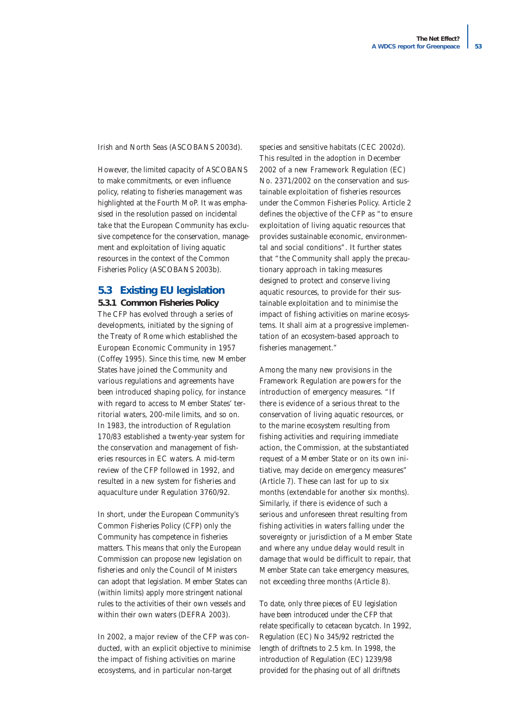Irish and North Seas (ASCOBANS 2003d).

However, the limited capacity of ASCOBANS to make commitments, or even influence policy, relating to fisheries management was highlighted at the Fourth MoP. It was emphasised in the resolution passed on incidental take that the European Community has exclusive competence for the conservation, management and exploitation of living aquatic resources in the context of the Common Fisheries Policy (ASCOBANS 2003b).

## **5.3 Existing EU legislation**

**5.3.1 Common Fisheries Policy**

The CFP has evolved through a series of developments, initiated by the signing of the Treaty of Rome which established the European Economic Community in 1957 (Coffey 1995). Since this time, new Member States have joined the Community and various regulations and agreements have been introduced shaping policy, for instance with regard to access to Member States' territorial waters, 200-mile limits, and so on. In 1983, the introduction of Regulation 170/83 established a twenty-year system for the conservation and management of fisheries resources in EC waters. A mid-term review of the CFP followed in 1992, and resulted in a new system for fisheries and aquaculture under Regulation 3760/92.

In short, under the European Community's Common Fisheries Policy (CFP) only the Community has competence in fisheries matters. This means that only the European Commission can propose new legislation on fisheries and only the Council of Ministers can adopt that legislation. Member States can (within limits) apply more stringent national rules to the activities of their own vessels and within their own waters (DEFRA 2003).

In 2002, a major review of the CFP was conducted, with an explicit objective to minimise the impact of fishing activities on marine ecosystems, and in particular non-target

species and sensitive habitats (CEC 2002d). This resulted in the adoption in December 2002 of a new Framework Regulation (EC) No. 2371/2002 on the conservation and sustainable exploitation of fisheries resources under the Common Fisheries Policy. Article 2 defines the objective of the CFP as *"to ensure exploitation of living aquatic resources that provides sustainable economic, environmental and social conditions"*. It further states that "the Community shall apply the precautionary approach in taking measures designed to protect and conserve living aquatic resources, to provide for their sustainable exploitation and to minimise the impact of fishing activities on marine ecosystems. It shall aim at a progressive implementation of an ecosystem-based approach to fisheries management."

Among the many new provisions in the Framework Regulation are powers for the introduction of emergency measures. *"If there is evidence of a serious threat to the conservation of living aquatic resources, or to the marine ecosystem resulting from fishing activities and requiring immediate action, the Commission, at the substantiated request of a Member State or on its own initiative, may decide on emergency measures"* (Article 7). These can last for up to six months (extendable for another six months). Similarly, if there is evidence of such a serious and unforeseen threat resulting from fishing activities in waters falling under the sovereignty or jurisdiction of a Member State and where any undue delay would result in damage that would be difficult to repair, that Member State can take emergency measures, not exceeding three months (Article 8).

To date, only three pieces of EU legislation have been introduced under the CFP that relate specifically to cetacean bycatch. In 1992, Regulation (EC) No 345/92 restricted the length of driftnets to 2.5 km. In 1998, the introduction of Regulation (EC) 1239/98 provided for the phasing out of all driftnets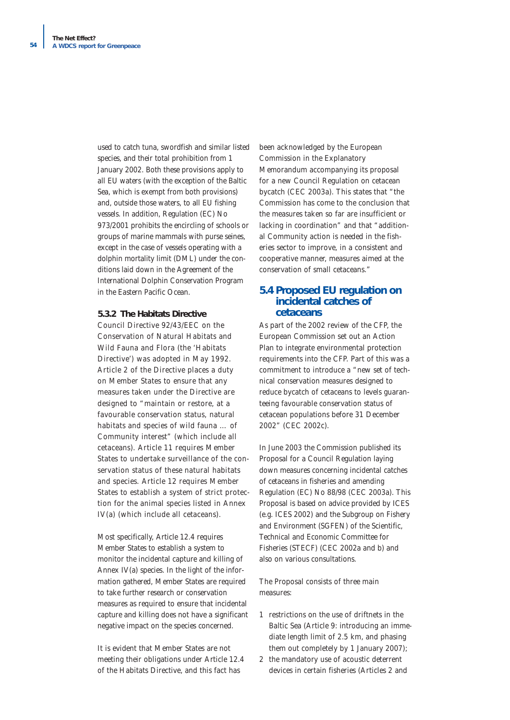used to catch tuna, swordfish and similar listed species, and their total prohibition from 1 January 2002. Both these provisions apply to all EU waters (with the exception of the Baltic Sea, which is exempt from both provisions) and, outside those waters, to all EU fishing vessels. In addition, Regulation (EC) No 973/2001 prohibits the encircling of schools or groups of marine mammals with purse seines, except in the case of vessels operating with a dolphin mortality limit (DML) under the conditions laid down in the Agreement of the International Dolphin Conservation Program in the Eastern Pacific Ocean.

#### **5.3.2 The Habitats Directive**

Council Directive 92/43/EEC on the Conservation of Natural Habitats and Wild Fauna and Flora (the 'Habitats Directive') was adopted in May 1992. Article 2 of the Directive places a duty on Member States to ensure that any measures taken under the Directive are designed to *"maintain or restore, at a favourable conservation status, natural habitats and species of wild fauna … of Community interest"* (which include all cetaceans). Article 11 requires Member States to undertake surveillance of the conservation status of these natural habitats and species. Article 12 requires Member States to establish a system of strict protection for the animal species listed in Annex IV(a) (which include all cetaceans).

Most specifically, Article 12.4 requires Member States to establish a system to monitor the incidental capture and killing of Annex IV(a) species. In the light of the information gathered, Member States are required to take further research or conservation measures as required to ensure that incidental capture and killing does not have a significant negative impact on the species concerned.

It is evident that Member States are not meeting their obligations under Article 12.4 of the Habitats Directive, and this fact has

been acknowledged by the European Commission in the Explanatory Memorandum accompanying its proposal for a new Council Regulation on cetacean bycatch (CEC 2003a). This states that *"the Commission has come to the conclusion that the measures taken so far are insufficient or lacking in coordination"* and that *"additional Community action is needed in the fisheries sector to improve, in a consistent and cooperative manner, measures aimed at the conservation of small cetaceans."*

# **5.4 Proposed EU regulation on incidental catches of cetaceans**

As part of the 2002 review of the CFP, the European Commission set out an Action Plan to integrate environmental protection requirements into the CFP. Part of this was a commitment to introduce a *"new set of technical conservation measures designed to reduce bycatch of cetaceans to levels guaranteeing favourable conservation status of cetacean populations before 31 December 2002"* (CEC 2002c).

In June 2003 the Commission published its Proposal for a Council Regulation laying down measures concerning incidental catches of cetaceans in fisheries and amending Regulation (EC) No 88/98 (CEC 2003a). This Proposal is based on advice provided by ICES (e.g. ICES 2002) and the Subgroup on Fishery and Environment (SGFEN) of the Scientific, Technical and Economic Committee for Fisheries (STECF) (CEC 2002a and b) and also on various consultations.

The Proposal consists of three main measures:

- 1 restrictions on the use of driftnets in the Baltic Sea (Article 9: introducing an immediate length limit of 2.5 km, and phasing them out completely by 1 January 2007);
- 2 the mandatory use of acoustic deterrent devices in certain fisheries (Articles 2 and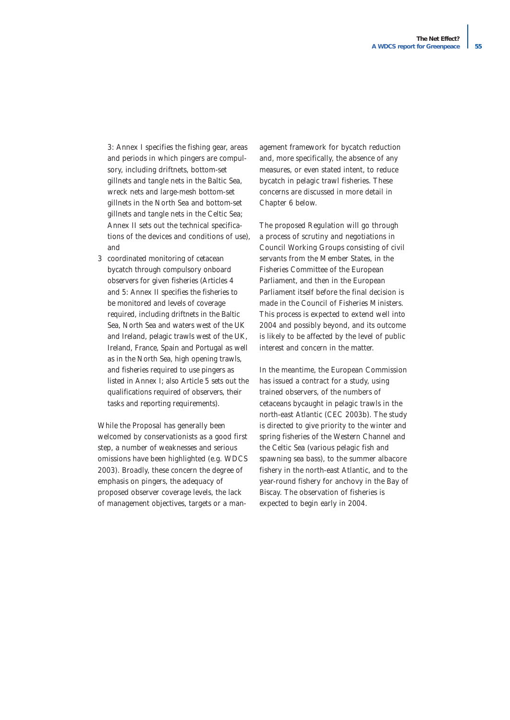3: Annex I specifies the fishing gear, areas and periods in which pingers are compulsory, including driftnets, bottom-set gillnets and tangle nets in the Baltic Sea, wreck nets and large-mesh bottom-set gillnets in the North Sea and bottom-set gillnets and tangle nets in the Celtic Sea; Annex II sets out the technical specifications of the devices and conditions of use), and

3 coordinated monitoring of cetacean bycatch through compulsory onboard observers for given fisheries (Articles 4 and 5: Annex II specifies the fisheries to be monitored and levels of coverage required, including driftnets in the Baltic Sea, North Sea and waters west of the UK and Ireland, pelagic trawls west of the UK, Ireland, France, Spain and Portugal as well as in the North Sea, high opening trawls, and fisheries required to use pingers as listed in Annex I; also Article 5 sets out the qualifications required of observers, their tasks and reporting requirements).

While the Proposal has generally been welcomed by conservationists as a good first step, a number of weaknesses and serious omissions have been highlighted (e.g. WDCS 2003). Broadly, these concern the degree of emphasis on pingers, the adequacy of proposed observer coverage levels, the lack of management objectives, targets or a management framework for bycatch reduction and, more specifically, the absence of any measures, or even stated intent, to reduce bycatch in pelagic trawl fisheries. These concerns are discussed in more detail in Chapter 6 below.

The proposed Regulation will go through a process of scrutiny and negotiations in Council Working Groups consisting of civil servants from the Member States, in the Fisheries Committee of the European Parliament, and then in the European Parliament itself before the final decision is made in the Council of Fisheries Ministers. This process is expected to extend well into 2004 and possibly beyond, and its outcome is likely to be affected by the level of public interest and concern in the matter.

In the meantime, the European Commission has issued a contract for a study, using trained observers, of the numbers of cetaceans bycaught in pelagic trawls in the north-east Atlantic (CEC 2003b). The study is directed to give priority to the winter and spring fisheries of the Western Channel and the Celtic Sea (various pelagic fish and spawning sea bass), to the summer albacore fishery in the north-east Atlantic, and to the year-round fishery for anchovy in the Bay of Biscay. The observation of fisheries is expected to begin early in 2004.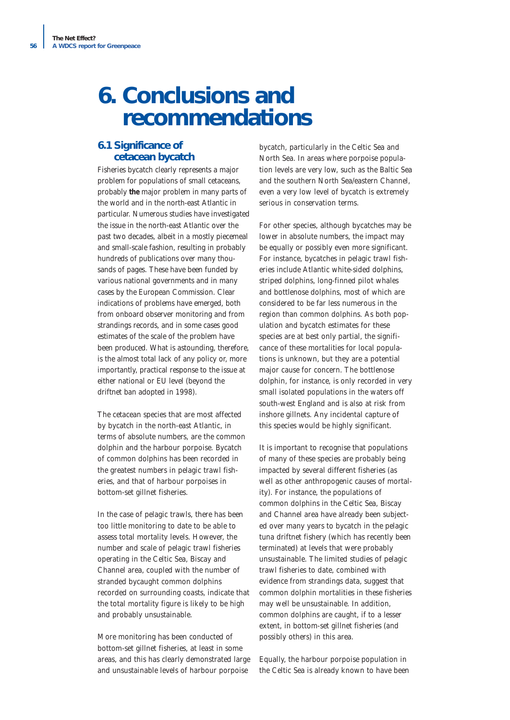# **6. Conclusions and recommendations**

# **6.1 Significance of cetacean bycatch**

Fisheries bycatch clearly represents a major problem for populations of small cetaceans, probably **the** major problem in many parts of the world and in the north-east Atlantic in particular. Numerous studies have investigated the issue in the north-east Atlantic over the past two decades, albeit in a mostly piecemeal and small-scale fashion, resulting in probably hundreds of publications over many thousands of pages. These have been funded by various national governments and in many cases by the European Commission. Clear indications of problems have emerged, both from onboard observer monitoring and from strandings records, and in some cases good estimates of the scale of the problem have been produced. What is astounding, therefore, is the almost total lack of any policy or, more importantly, practical response to the issue at either national or EU level (beyond the driftnet ban adopted in 1998).

The cetacean species that are most affected by bycatch in the north-east Atlantic, in terms of absolute numbers, are the common dolphin and the harbour porpoise. Bycatch of common dolphins has been recorded in the greatest numbers in pelagic trawl fisheries, and that of harbour porpoises in bottom-set gillnet fisheries.

In the case of pelagic trawls, there has been too little monitoring to date to be able to assess total mortality levels. However, the number and scale of pelagic trawl fisheries operating in the Celtic Sea, Biscay and Channel area, coupled with the number of stranded bycaught common dolphins recorded on surrounding coasts, indicate that the total mortality figure is likely to be high and probably unsustainable.

More monitoring has been conducted of bottom-set gillnet fisheries, at least in some areas, and this has clearly demonstrated large and unsustainable levels of harbour porpoise

bycatch, particularly in the Celtic Sea and North Sea. In areas where porpoise population levels are very low, such as the Baltic Sea and the southern North Sea/eastern Channel, even a very low level of bycatch is extremely serious in conservation terms.

For other species, although bycatches may be lower in absolute numbers, the impact may be equally or possibly even more significant. For instance, bycatches in pelagic trawl fisheries include Atlantic white-sided dolphins, striped dolphins, long-finned pilot whales and bottlenose dolphins, most of which are considered to be far less numerous in the region than common dolphins. As both population and bycatch estimates for these species are at best only partial, the significance of these mortalities for local populations is unknown, but they are a potential major cause for concern. The bottlenose dolphin, for instance, is only recorded in very small isolated populations in the waters off south-west England and is also at risk from inshore gillnets. Any incidental capture of this species would be highly significant.

It is important to recognise that populations of many of these species are probably being impacted by several different fisheries (as well as other anthropogenic causes of mortality). For instance, the populations of common dolphins in the Celtic Sea, Biscay and Channel area have already been subjected over many years to bycatch in the pelagic tuna driftnet fishery (which has recently been terminated) at levels that were probably unsustainable. The limited studies of pelagic trawl fisheries to date, combined with evidence from strandings data, suggest that common dolphin mortalities in these fisheries may well be unsustainable. In addition, common dolphins are caught, if to a lesser extent, in bottom-set gillnet fisheries (and possibly others) in this area.

Equally, the harbour porpoise population in the Celtic Sea is already known to have been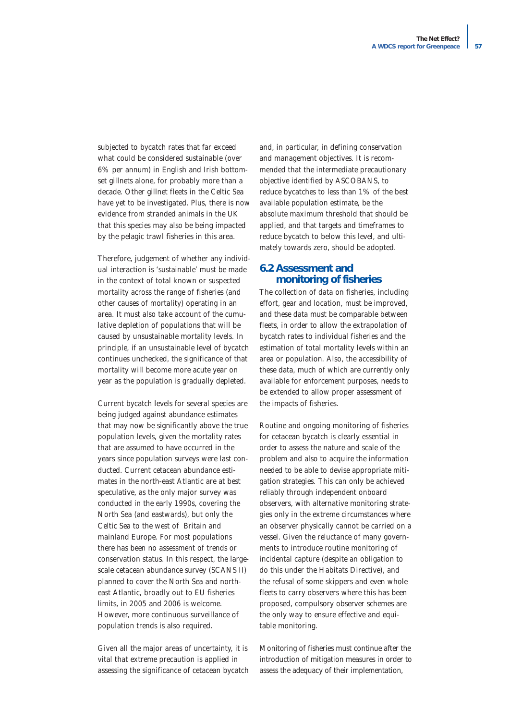subjected to bycatch rates that far exceed what could be considered sustainable (over 6% per annum) in English and Irish bottomset gillnets alone, for probably more than a decade. Other gillnet fleets in the Celtic Sea have yet to be investigated. Plus, there is now evidence from stranded animals in the UK that this species may also be being impacted by the pelagic trawl fisheries in this area.

Therefore, judgement of whether any individual interaction is 'sustainable' must be made in the context of total known or suspected mortality across the range of fisheries (and other causes of mortality) operating in an area. It must also take account of the cumulative depletion of populations that will be caused by unsustainable mortality levels. In principle, if an unsustainable level of bycatch continues unchecked, the significance of that mortality will become more acute year on year as the population is gradually depleted.

Current bycatch levels for several species are being judged against abundance estimates that may now be significantly above the true population levels, given the mortality rates that are assumed to have occurred in the years since population surveys were last conducted. Current cetacean abundance estimates in the north-east Atlantic are at best speculative, as the only major survey was conducted in the early 1990s, covering the North Sea (and eastwards), but only the Celtic Sea to the west of Britain and mainland Europe. For most populations there has been no assessment of trends or conservation status. In this respect, the largescale cetacean abundance survey (SCANS II) planned to cover the North Sea and northeast Atlantic, broadly out to EU fisheries limits, in 2005 and 2006 is welcome. However, more continuous surveillance of population trends is also required.

Given all the major areas of uncertainty, it is vital that extreme precaution is applied in assessing the significance of cetacean bycatch and, in particular, in defining conservation and management objectives. It is recommended that the intermediate precautionary objective identified by ASCOBANS, to reduce bycatches to less than 1% of the best available population estimate, be the absolute maximum threshold that should be applied, and that targets and timeframes to reduce bycatch to below this level, and ultimately towards zero, should be adopted.

# **6.2 Assessment and monitoring of fisheries**

The collection of data on fisheries, including effort, gear and location, must be improved, and these data must be comparable between fleets, in order to allow the extrapolation of bycatch rates to individual fisheries and the estimation of total mortality levels within an area or population. Also, the accessibility of these data, much of which are currently only available for enforcement purposes, needs to be extended to allow proper assessment of the impacts of fisheries.

Routine and ongoing monitoring of fisheries for cetacean bycatch is clearly essential in order to assess the nature and scale of the problem and also to acquire the information needed to be able to devise appropriate mitigation strategies. This can only be achieved reliably through independent onboard observers, with alternative monitoring strategies only in the extreme circumstances where an observer physically cannot be carried on a vessel. Given the reluctance of many governments to introduce routine monitoring of incidental capture (despite an obligation to do this under the Habitats Directive), and the refusal of some skippers and even whole fleets to carry observers where this has been proposed, compulsory observer schemes are the only way to ensure effective and equitable monitoring.

Monitoring of fisheries must continue after the introduction of mitigation measures in order to assess the adequacy of their implementation,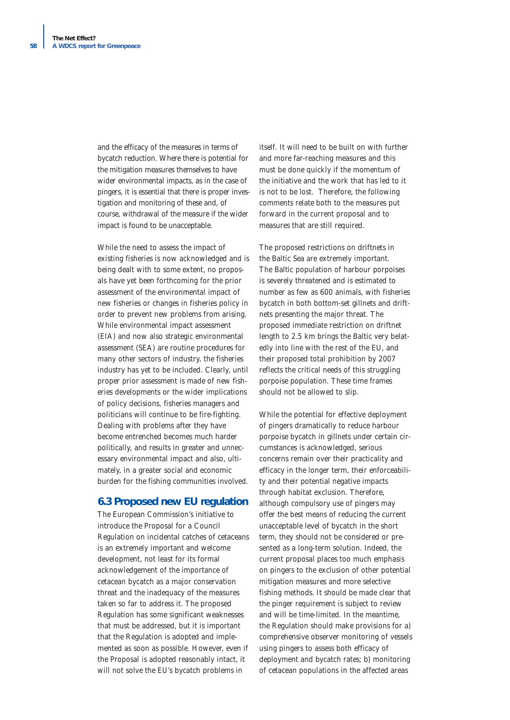and the efficacy of the measures in terms of bycatch reduction. Where there is potential for the mitigation measures themselves to have wider environmental impacts, as in the case of pingers, it is essential that there is proper investigation and monitoring of these and, of course, withdrawal of the measure if the wider impact is found to be unacceptable.

While the need to assess the impact of existing fisheries is now acknowledged and is being dealt with to some extent, no proposals have yet been forthcoming for the prior assessment of the environmental impact of new fisheries or changes in fisheries policy in order to prevent new problems from arising. While environmental impact assessment (EIA) and now also strategic environmental assessment (SEA) are routine procedures for many other sectors of industry, the fisheries industry has yet to be included. Clearly, until proper prior assessment is made of new fisheries developments or the wider implications of policy decisions, fisheries managers and politicians will continue to be fire-fighting. Dealing with problems after they have become entrenched becomes much harder politically, and results in greater and unnecessary environmental impact and also, ultimately, in a greater social and economic burden for the fishing communities involved.

## **6.3 Proposed new EU regulation**

The European Commission's initiative to introduce the Proposal for a Council Regulation on incidental catches of cetaceans is an extremely important and welcome development, not least for its formal acknowledgement of the importance of cetacean bycatch as a major conservation threat and the inadequacy of the measures taken so far to address it. The proposed Regulation has some significant weaknesses that must be addressed, but it is important that the Regulation is adopted and implemented as soon as possible. However, even if the Proposal is adopted reasonably intact, it will not solve the EU's bycatch problems in

itself. It will need to be built on with further and more far-reaching measures and this must be done quickly if the momentum of the initiative and the work that has led to it is not to be lost. Therefore, the following comments relate both to the measures put forward in the current proposal and to measures that are still required.

The proposed restrictions on driftnets in the Baltic Sea are extremely important. The Baltic population of harbour porpoises is severely threatened and is estimated to number as few as 600 animals, with fisheries bycatch in both bottom-set gillnets and driftnets presenting the major threat. The proposed immediate restriction on driftnet length to 2.5 km brings the Baltic very belatedly into line with the rest of the EU, and their proposed total prohibition by 2007 reflects the critical needs of this struggling porpoise population. These time frames should not be allowed to slip.

While the potential for effective deployment of pingers dramatically to reduce harbour porpoise bycatch in gillnets under certain circumstances is acknowledged, serious concerns remain over their practicality and efficacy in the longer term, their enforceability and their potential negative impacts through habitat exclusion. Therefore, although compulsory use of pingers may offer the best means of reducing the current unacceptable level of bycatch in the short term, they should not be considered or presented as a long-term solution. Indeed, the current proposal places too much emphasis on pingers to the exclusion of other potential mitigation measures and more selective fishing methods. It should be made clear that the pinger requirement is subject to review and will be time-limited. In the meantime, the Regulation should make provisions for a) comprehensive observer monitoring of vessels using pingers to assess both efficacy of deployment and bycatch rates; b) monitoring of cetacean populations in the affected areas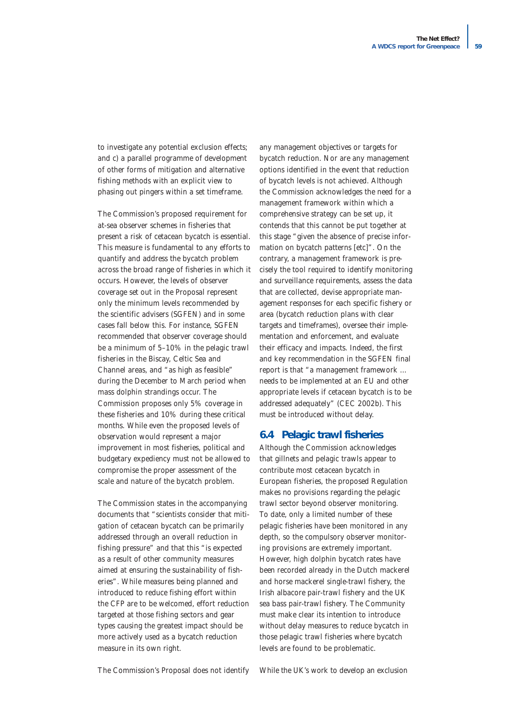to investigate any potential exclusion effects; and c) a parallel programme of development of other forms of mitigation and alternative fishing methods with an explicit view to phasing out pingers within a set timeframe.

The Commission's proposed requirement for at-sea observer schemes in fisheries that present a risk of cetacean bycatch is essential. This measure is fundamental to any efforts to quantify and address the bycatch problem across the broad range of fisheries in which it occurs. However, the levels of observer coverage set out in the Proposal represent only the minimum levels recommended by the scientific advisers (SGFEN) and in some cases fall below this. For instance, SGFEN recommended that observer coverage should be a minimum of 5–10% in the pelagic trawl fisheries in the Biscay, Celtic Sea and Channel areas, and "as high as feasible" during the December to March period when mass dolphin strandings occur. The Commission proposes only 5% coverage in these fisheries and 10% during these critical months. While even the proposed levels of observation would represent a major improvement in most fisheries, political and budgetary expediency must not be allowed to compromise the proper assessment of the scale and nature of the bycatch problem.

The Commission states in the accompanying documents that "scientists consider that mitigation of cetacean bycatch can be primarily addressed through an overall reduction in fishing pressure" and that this "is expected as a result of other community measures aimed at ensuring the sustainability of fisheries". While measures being planned and introduced to reduce fishing effort within the CFP are to be welcomed, effort reduction targeted at those fishing sectors and gear types causing the greatest impact should be more actively used as a bycatch reduction measure in its own right.

any management objectives or targets for bycatch reduction. Nor are any management options identified in the event that reduction of bycatch levels is not achieved. Although the Commission acknowledges the need for a management framework within which a comprehensive strategy can be set up, it contends that this cannot be put together at this stage *"given the absence of precise information on bycatch patterns [etc]"*. On the contrary, a management framework is precisely the tool required to identify monitoring and surveillance requirements, assess the data that are collected, devise appropriate management responses for each specific fishery or area (bycatch reduction plans with clear targets and timeframes), oversee their implementation and enforcement, and evaluate their efficacy and impacts. Indeed, the first and key recommendation in the SGFEN final report is that "a management framework … needs to be implemented at an EU and other appropriate levels if cetacean bycatch is to be addressed adequately" (CEC 2002b). This must be introduced without delay.

## **6.4 Pelagic trawl fisheries**

Although the Commission acknowledges that gillnets and pelagic trawls appear to contribute most cetacean bycatch in European fisheries, the proposed Regulation makes no provisions regarding the pelagic trawl sector beyond observer monitoring. To date, only a limited number of these pelagic fisheries have been monitored in any depth, so the compulsory observer monitoring provisions are extremely important. However, high dolphin bycatch rates have been recorded already in the Dutch mackerel and horse mackerel single-trawl fishery, the Irish albacore pair-trawl fishery and the UK sea bass pair-trawl fishery. The Community must make clear its intention to introduce without delay measures to reduce bycatch in those pelagic trawl fisheries where bycatch levels are found to be problematic.

The Commission's Proposal does not identify

While the UK's work to develop an exclusion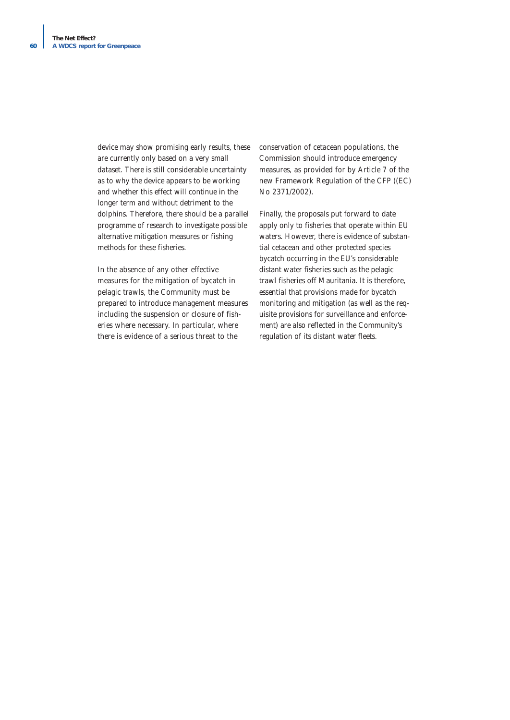device may show promising early results, these are currently only based on a very small dataset. There is still considerable uncertainty as to why the device appears to be working and whether this effect will continue in the longer term and without detriment to the dolphins. Therefore, there should be a parallel programme of research to investigate possible alternative mitigation measures or fishing methods for these fisheries.

In the absence of any other effective measures for the mitigation of bycatch in pelagic trawls, the Community must be prepared to introduce management measures including the suspension or closure of fisheries where necessary. In particular, where there is evidence of a serious threat to the

conservation of cetacean populations, the Commission should introduce emergency measures, as provided for by Article 7 of the new Framework Regulation of the CFP ((EC) No 2371/2002).

Finally, the proposals put forward to date apply only to fisheries that operate within EU waters. However, there is evidence of substantial cetacean and other protected species bycatch occurring in the EU's considerable distant water fisheries such as the pelagic trawl fisheries off Mauritania. It is therefore, essential that provisions made for bycatch monitoring and mitigation (as well as the requisite provisions for surveillance and enforcement) are also reflected in the Community's regulation of its distant water fleets.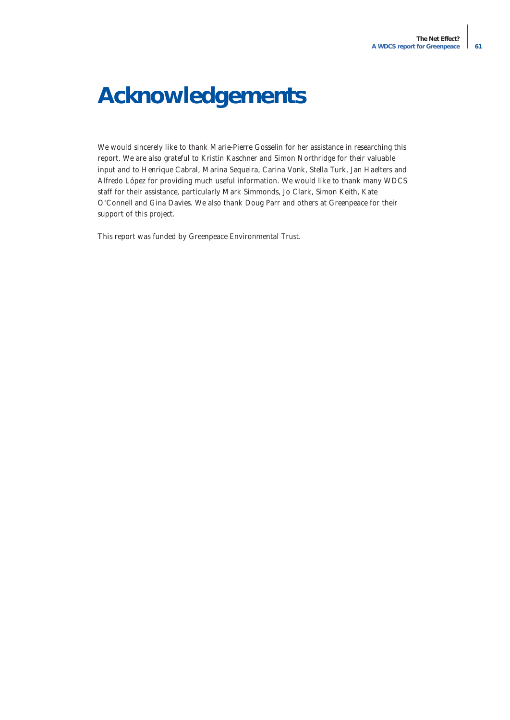# **Acknowledgements**

We would sincerely like to thank Marie-Pierre Gosselin for her assistance in researching this report. We are also grateful to Kristin Kaschner and Simon Northridge for their valuable input and to Henrique Cabral, Marina Sequeira, Carina Vonk, Stella Turk, Jan Haelters and Alfredo López for providing much useful information. We would like to thank many WDCS staff for their assistance, particularly Mark Simmonds, Jo Clark, Simon Keith, Kate O'Connell and Gina Davies. We also thank Doug Parr and others at Greenpeace for their support of this project.

This report was funded by Greenpeace Environmental Trust.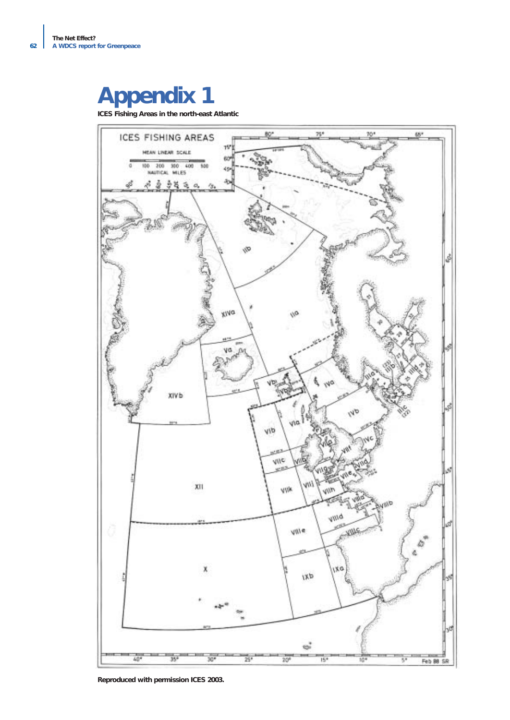# **Appendix 1**

**ICES Fishing Areas in the north-east Atlantic**



**Reproduced with permission ICES 2003.**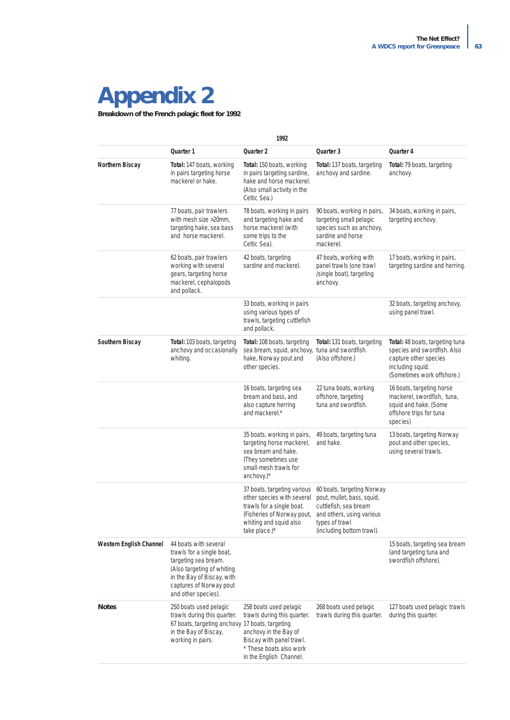# **Appendix 2**

**Breakdown of the French pelagic fleet for 1992** 

| 1992                           |                                                                                                                                                                                          |                                                                                                                                                                  |                                                                                                                                                               |                                                                                                                                           |  |  |
|--------------------------------|------------------------------------------------------------------------------------------------------------------------------------------------------------------------------------------|------------------------------------------------------------------------------------------------------------------------------------------------------------------|---------------------------------------------------------------------------------------------------------------------------------------------------------------|-------------------------------------------------------------------------------------------------------------------------------------------|--|--|
|                                | Quarter 1                                                                                                                                                                                | Quarter 2                                                                                                                                                        | Quarter 3                                                                                                                                                     | Quarter 4                                                                                                                                 |  |  |
| Northern Biscay                | Total: 147 boats, working<br>in pairs targeting horse<br>mackerel or hake.                                                                                                               | Total: 150 boats, working<br>in pairs targeting sardine,<br>hake and horse mackerel.<br>(Also small activity in the<br>Celtic Sea.)                              | Total: 137 boats, targeting<br>anchovy and sardine.                                                                                                           | Total: 79 boats, targeting<br>anchovy.                                                                                                    |  |  |
|                                | 77 boats, pair trawlers<br>with mesh size >20mm,<br>targeting hake, sea bass<br>and horse mackerel.                                                                                      | 78 boats, working in pairs<br>and targeting hake and<br>horse mackerel (with<br>some trips to the<br>Celtic Sea).                                                | 90 boats, working in pairs,<br>targeting small pelagic<br>species such as anchovy,<br>sardine and horse<br>mackerel.                                          | 34 boats, working in pairs,<br>targeting anchovy.                                                                                         |  |  |
|                                | 62 boats, pair trawlers<br>working with several<br>gears, targeting horse<br>mackerel, cephalopods<br>and pollack.                                                                       | 42 boats, targeting<br>sardine and mackerel.                                                                                                                     | 47 boats, working with<br>panel trawls (one trawl<br>/single boat), targeting<br>anchovy.                                                                     | 17 boats, working in pairs,<br>targeting sardine and herring.                                                                             |  |  |
|                                |                                                                                                                                                                                          | 33 boats, working in pairs<br>using various types of<br>trawls, targeting cuttlefish<br>and pollack.                                                             |                                                                                                                                                               | 32 boats, targeting anchovy,<br>using panel trawl.                                                                                        |  |  |
| Southern Biscay                | <b>Total:</b> 103 boats, targeting<br>anchovy and occasionally<br>whiting.                                                                                                               | Total: 108 boats, targeting<br>sea bream, squid, anchovy, tuna and swordfish.<br>hake, Norway pout and<br>other species.                                         | <b>Total:</b> 131 boats, targeting<br>(Also offshore.)                                                                                                        | Total: 48 boats, targeting tuna<br>species and swordfish. Also<br>capture other species<br>including squid.<br>(Sometimes work offshore.) |  |  |
|                                |                                                                                                                                                                                          | 16 boats, targeting sea<br>bream and bass, and<br>also capture herring<br>and mackerel.*                                                                         | 22 tuna boats, working<br>offshore, targeting<br>tuna and swordfish.                                                                                          | 16 boats, targeting horse<br>mackerel, swordfish, tuna,<br>squid and hake. (Some<br>offshore trips for tuna<br>species)                   |  |  |
|                                |                                                                                                                                                                                          | 35 boats, working in pairs,<br>targeting horse mackerel,<br>sea bream and hake.<br>(They sometimes use)<br>small-mesh trawls for<br>anchovy. $)^*$               | 49 boats, targeting tuna<br>and hake.                                                                                                                         | 13 boats, targeting Norway<br>pout and other species,<br>using several trawls.                                                            |  |  |
|                                |                                                                                                                                                                                          | 37 boats, targeting various<br>other species with several<br>trawls for a single boat.<br>(Fisheries of Norway pout,<br>whiting and squid also<br>take place.)*  | 60 boats, targeting Norway<br>pout, mullet, bass, squid,<br>cuttlefish, sea bream<br>and others, using various<br>types of trawl<br>(including bottom trawl). |                                                                                                                                           |  |  |
| <b>Western English Channel</b> | 44 boats with several<br>trawls for a single boat,<br>targeting sea bream.<br>(Also targeting of whiting<br>in the Bay of Biscay, with<br>captures of Norway pout<br>and other species). |                                                                                                                                                                  |                                                                                                                                                               | 15 boats, targeting sea bream<br>(and targeting tuna and<br>swordfish offshore).                                                          |  |  |
| <b>Notes</b>                   | 250 boats used pelagic<br>trawls during this quarter.<br>67 boats, targeting anchovy 17 boats, targeting<br>in the Bay of Biscay,<br>working in pairs.                                   | 258 boats used pelagic<br>trawls during this quarter.<br>anchovy in the Bay of<br>Biscay with panel trawl.<br>* These boats also work<br>in the English Channel. | 268 boats used pelagic<br>trawls during this quarter.                                                                                                         | 127 boats used pelagic trawls<br>during this quarter.                                                                                     |  |  |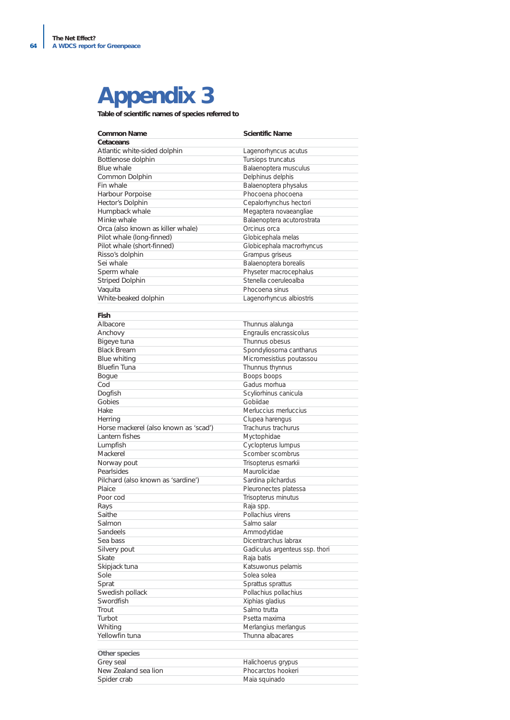# **Appendix 3**

**Table of scientific names of species referred to**

| <b>Common Name</b>                    | <b>Scientific Name</b>         |
|---------------------------------------|--------------------------------|
| Cetaceans                             |                                |
| Atlantic white-sided dolphin          | Lagenorhyncus acutus           |
| Bottlenose dolphin                    | Tursiops truncatus             |
| <b>Blue whale</b>                     | Balaenoptera musculus          |
| Common Dolphin                        | Delphinus delphis              |
| Fin whale                             | Balaenoptera physalus          |
| Harbour Porpoise                      | Phocoena phocoena              |
| Hector's Dolphin                      | Cepalorhynchus hectori         |
| Humpback whale                        | Megaptera novaeangliae         |
| Minke whale                           | Balaenoptera acutorostrata     |
| Orca (also known as killer whale)     | Orcinus orca                   |
| Pilot whale (long-finned)             | Globicephala melas             |
| Pilot whale (short-finned)            | Globicephala macrorhyncus      |
| Risso's dolphin                       | Grampus griseus                |
| Sei whale                             | Balaenoptera borealis          |
| Sperm whale                           | Physeter macrocephalus         |
| <b>Striped Dolphin</b>                | Stenella coeruleoalba          |
| Vaquita                               | Phocoena sinus                 |
| White-beaked dolphin                  | Lagenorhyncus albiostris       |
|                                       |                                |
| Fish                                  |                                |
| Albacore                              | Thunnus alalunga               |
| Anchovy                               | Engraulis encrassicolus        |
| Bigeye tuna                           | Thunnus obesus                 |
| <b>Black Bream</b>                    | Spondyliosoma cantharus        |
| <b>Blue whiting</b>                   | Micromesistius poutassou       |
| <b>Bluefin Tuna</b>                   | Thunnus thynnus                |
| <b>Bogue</b>                          | <b>Boops boops</b>             |
| Cod                                   | Gadus morhua                   |
| Dogfish                               | Scyliorhinus canicula          |
| Gobies                                | Gobiidae                       |
| Hake                                  | Merluccius merluccius          |
| Herring                               | Clupea harengus                |
| Horse mackerel (also known as 'scad') | Trachurus trachurus            |
| Lantern fishes                        | Myctophidae                    |
| Lumpfish                              | Cyclopterus lumpus             |
| Mackerel                              | Scomber scombrus               |
| Norway pout                           | Trisopterus esmarkii           |
| Pearlsides                            | Maurolicidae                   |
| Pilchard (also known as 'sardine')    | Sardina pilchardus             |
| Plaice                                | Pleuronectes platessa          |
| Poor cod                              | Trisopterus minutus            |
| Rays                                  | Raja spp.                      |
| Saithe                                | Pollachius virens              |
| Salmon                                | Salmo salar                    |
| Sandeels                              | Ammodytidae                    |
| Sea bass                              | Dicentrarchus labrax           |
| Silvery pout                          | Gadiculus argenteus ssp. thori |
| <b>Skate</b>                          | Raja batis                     |
| Skipjack tuna                         | Katsuwonus pelamis             |
| Sole                                  | Solea solea                    |
| Sprat                                 | Sprattus sprattus              |
| Swedish pollack                       | Pollachius pollachius          |
| Swordfish                             | Xiphias gladius                |
| Trout                                 | Salmo trutta                   |
| Turbot                                | Psetta maxima                  |
| Whiting                               | Merlangius merlangus           |
| Yellowfin tuna                        | Thunna albacares               |
|                                       |                                |
| Other species                         |                                |
| Grey seal                             | Halichoerus grypus             |
| New Zealand sea lion                  | Phocarctos hookeri             |
| Spider crab                           | Maia squinado                  |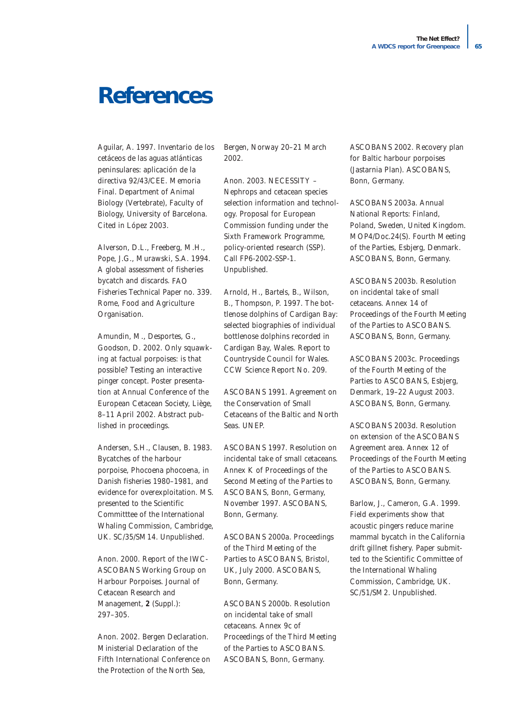# **References**

Aguilar, A. 1997. Inventario de los cetáceos de las aguas atlánticas peninsulares: aplicación de la directiva 92/43/CEE. Memoria Final. Department of Animal Biology (Vertebrate), Faculty of Biology, University of Barcelona. Cited in López 2003.

Alverson, D.L., Freeberg, M.H., Pope, J.G., Murawski, S.A. 1994. *A global assessment of fisheries bycatch and discards.* FAO Fisheries Technical Paper no. 339. Rome, Food and Agriculture Organisation.

Amundin, M., Desportes, G., Goodson, D. 2002. Only squawking at factual porpoises: is that possible? Testing an interactive pinger concept. Poster presentation at Annual Conference of the European Cetacean Society, Liège, 8–11 April 2002. Abstract published in proceedings.

Andersen, S.H., Clausen, B. 1983. Bycatches of the harbour porpoise, *Phocoena phocoena,* in Danish fisheries 1980–1981, and evidence for overexploitation. MS. presented to the Scientific Committtee of the International Whaling Commission, Cambridge, UK. SC/35/SM14. Unpublished.

Anon. 2000. Report of the IWC-ASCOBANS Working Group on Harbour Porpoises. *Journal of Cetacean Research and Management,* **2** (Suppl.): 297–305.

Anon. 2002. Bergen Declaration. Ministerial Declaration of the Fifth International Conference on the Protection of the North Sea,

Bergen, Norway 20–21 March 2002.

Anon. 2003. NECESSITY – *Nephrops* and cetacean species selection information and technology. Proposal for European Commission funding under the Sixth Framework Programme, policy-oriented research (SSP). Call FP6-2002-SSP-1. Unpublished.

Arnold, H., Bartels, B., Wilson, B., Thompson, P. 1997. *The bottlenose dolphins of Cardigan Bay: selected biographies of individual bottlenose dolphins recorded in Cardigan Bay, Wales.* Report to Countryside Council for Wales. CCW Science Report No. 209.

ASCOBANS 1991. *Agreement on the Conservation of Small Cetaceans of the Baltic and North Seas.* UNEP.

ASCOBANS 1997. Resolution on incidental take of small cetaceans. Annex K of *Proceedings of the Second Meeting of the Parties to ASCOBANS*, Bonn, Germany, November 1997. ASCOBANS, Bonn, Germany.

ASCOBANS 2000a. *Proceedings of the Third Meeting of the Parties to ASCOBANS*, Bristol, UK, July 2000. ASCOBANS, Bonn, Germany.

ASCOBANS 2000b. Resolution on incidental take of small cetaceans. Annex 9c of *Proceedings of the Third Meeting of the Parties to ASCOBANS.* ASCOBANS, Bonn, Germany.

ASCOBANS 2002. *Recovery plan for Baltic harbour porpoises (Jastarnia Plan)*. ASCOBANS, Bonn, Germany.

ASCOBANS 2003a. *Annual National Reports: Finland, Poland, Sweden, United Kingdom.* MOP4/Doc.24(S). Fourth Meeting of the Parties, Esbjerg, Denmark. ASCOBANS, Bonn, Germany.

ASCOBANS 2003b. Resolution on incidental take of small cetaceans. *Annex 14 of Proceedings of the Fourth Meeting of the Parties to ASCOBANS*. ASCOBANS, Bonn, Germany.

ASCOBANS 2003c. *Proceedings of the Fourth Meeting of the Parties to ASCOBANS*, Esbjerg, Denmark, 19–22 August 2003. ASCOBANS, Bonn, Germany.

ASCOBANS 2003d. Resolution on extension of the ASCOBANS Agreement area. Annex 12 of *Proceedings of the Fourth Meeting of the Parties to ASCOBANS*. ASCOBANS, Bonn, Germany.

Barlow, J., Cameron, G.A. 1999. Field experiments show that acoustic pingers reduce marine mammal bycatch in the California drift gillnet fishery. Paper submitted to the Scientific Committee of the International Whaling Commission, Cambridge, UK. SC/51/SM2. Unpublished.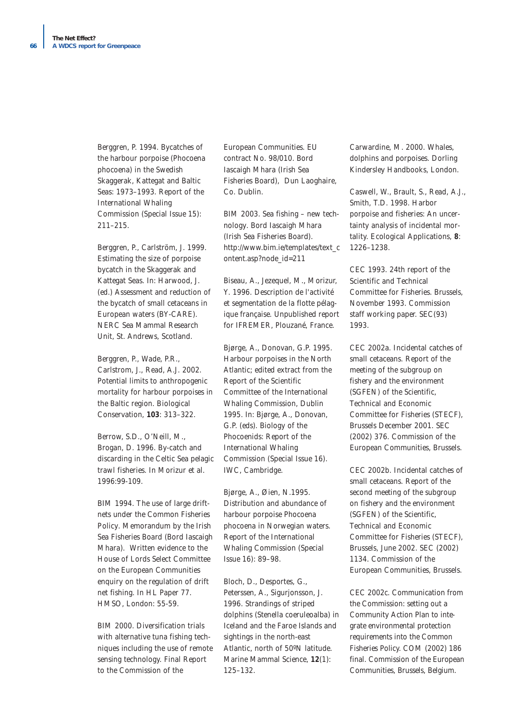Berggren, P. 1994. Bycatches of the harbour porpoise (Phocoena phocoena) in the Swedish Skaggerak, Kattegat and Baltic Seas: 1973–1993. *Report of the International Whaling Commission* (Special Issue 15): 211–215.

Berggren, P., Carlström, J. 1999. Estimating the size of porpoise bycatch in the Skaggerak and Kattegat Seas. In: Harwood, J. (ed.) *Assessment and reduction of the bycatch of small cetaceans in European waters* (BY-CARE). NERC Sea Mammal Research Unit, St. Andrews, Scotland.

Berggren, P., Wade, P.R., Carlstrom, J., Read, A.J. 2002. Potential limits to anthropogenic mortality for harbour porpoises in the Baltic region. *Biological Conservation,* **103**: 313–322.

Berrow, S.D., O'Neill, M., Brogan, D. 1996. By-catch and discarding in the Celtic Sea pelagic trawl fisheries. In Morizur *et al.* 1996:99-109.

BIM 1994. *The use of large driftnets under the Common Fisheries Policy*. Memorandum by the Irish Sea Fisheries Board (Bord Iascaigh Mhara). Written evidence to the House of Lords Select Committee on the European Communities enquiry on the regulation of drift net fishing. In HL Paper 77. HMSO, London: 55-59.

BIM 2000. Diversification trials with alternative tuna fishing techniques including the use of remote sensing technology. Final Report to the Commission of the

European Communities. EU contract No. 98/010. Bord Iascaigh Mhara (Irish Sea Fisheries Board), Dun Laoghaire, Co. Dublin.

BIM 2003. *Sea fishing – new technology*. Bord Iascaigh Mhara (Irish Sea Fisheries Board). http://www.bim.ie/templates/text\_c ontent.asp?node\_id=211

Biseau, A., Jezequel, M., Morizur, Y. 1996. Description de l'activité et segmentation de la flotte pélagique française. Unpublished report for IFREMER, Plouzané, France.

Bjørge, A., Donovan, G.P. 1995. Harbour porpoises in the North Atlantic; edited extract from the Report of the Scientific Committee of the International Whaling Commission, Dublin 1995. In: Bjørge, A., Donovan, G.P. (eds). Biology of the Phocoenids: *Report of the International Whaling Commission* (Special Issue 16). IWC, Cambridge.

Bjørge, A., Øien, N.1995. Distribution and abundance of harbour porpoise Phocoena phocoena in Norwegian waters. *Report of the International Whaling Commission* (Special Issue 16): 89–98.

Bloch, D., Desportes, G., Peterssen, A., Sigurjonsson, J. 1996. Strandings of striped dolphins (*Stenella coeruleoalba*) in Iceland and the Faroe Islands and sightings in the north-east Atlantic, north of 50ºN latitude. *Marine Mammal Science*, **12**(1): 125–132.

Carwardine, M. 2000. Whales, dolphins and porpoises. Dorling Kindersley Handbooks, London.

Caswell, W., Brault, S., Read, A.J., Smith, T.D. 1998. Harbor porpoise and fisheries: An uncertainty analysis of incidental mortality. *Ecological Applications*, **8**: 1226–1238.

CEC 1993. 24th report of the Scientific and Technical Committee for Fisheries. Brussels, November 1993. Commission staff working paper. SEC(93) 1993.

CEC 2002a. *Incidental catches of small cetaceans*. Report of the meeting of the subgroup on fishery and the environment (SGFEN) of the Scientific, Technical and Economic Committee for Fisheries (STECF), Brussels December 2001. SEC (2002) 376. Commission of the European Communities, Brussels.

CEC 2002b. *Incidental catches of small cetaceans*. Report of the second meeting of the subgroup on fishery and the environment (SGFEN) of the Scientific, Technical and Economic Committee for Fisheries (STECF), Brussels, June 2002. SEC (2002) 1134. Commission of the European Communities, Brussels.

CEC 2002c. Communication from the Commission: setting out a Community Action Plan to integrate environmental protection requirements into the Common Fisheries Policy. COM (2002) 186 final. Commission of the European Communities, Brussels, Belgium.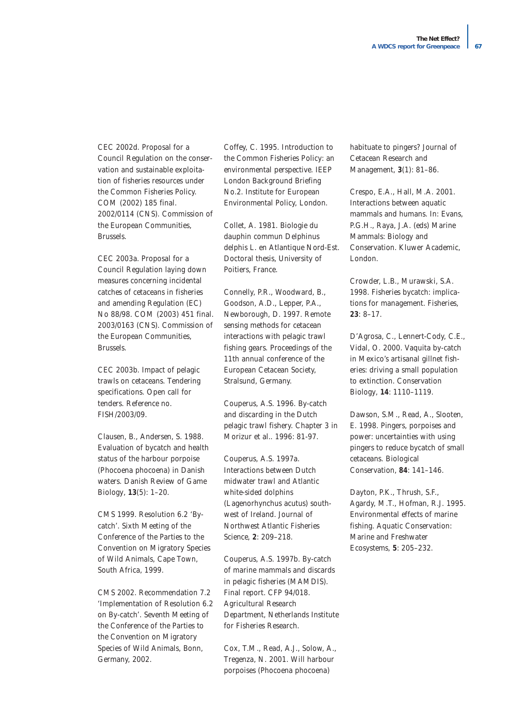CEC 2002d. Proposal for a Council Regulation on the conservation and sustainable exploitation of fisheries resources under the Common Fisheries Policy. COM (2002) 185 final. 2002/0114 (CNS). Commission of the European Communities, Brussels.

CEC 2003a. Proposal for a Council Regulation laying down measures concerning incidental catches of cetaceans in fisheries and amending Regulation (EC) No 88/98. COM (2003) 451 final. 2003/0163 (CNS). Commission of the European Communities, Brussels.

CEC 2003b. Impact of pelagic trawls on cetaceans. Tendering specifications. Open call for tenders. Reference no. FISH/2003/09.

Clausen, B., Andersen, S. 1988. Evaluation of bycatch and health status of the harbour porpoise (*Phocoena phocoena*) in Danish waters. *Danish Review of Game Biology*, **13**(5): 1–20.

CMS 1999. Resolution 6.2 'Bycatch'. Sixth Meeting of the Conference of the Parties to the Convention on Migratory Species of Wild Animals, Cape Town, South Africa, 1999.

CMS 2002. Recommendation 7.2 'Implementation of Resolution 6.2 on By-catch'. Seventh Meeting of the Conference of the Parties to the Convention on Migratory Species of Wild Animals, Bonn, Germany, 2002.

Coffey, C. 1995. *Introduction to the Common Fisheries Policy: an environmental perspective*. IEEP London Background Briefing No.2. Institute for European Environmental Policy, London.

Collet, A. 1981. Biologie du dauphin commun *Delphinus delphis* L. en Atlantique Nord-Est. Doctoral thesis, University of Poitiers, France.

Connelly, P.R., Woodward, B., Goodson, A.D., Lepper, P.A., Newborough, D. 1997. Remote sensing methods for cetacean interactions with pelagic trawl fishing gears. Proceedings of the 11th annual conference of the European Cetacean Society, Stralsund, Germany.

Couperus, A.S. 1996. By-catch and discarding in the Dutch pelagic trawl fishery. Chapter 3 in Morizur *et al.*. 1996: 81-97.

Couperus, A.S. 1997a. Interactions between Dutch midwater trawl and Atlantic white-sided dolphins (*Lagenorhynchus acutus*) southwest of Ireland. *Journal of Northwest Atlantic Fisheries Science*, **2**: 209–218.

Couperus, A.S. 1997b. By-catch of marine mammals and discards in pelagic fisheries (MAMDIS). Final report. CFP 94/018. Agricultural Research Department, Netherlands Institute for Fisheries Research.

Cox, T.M., Read, A.J., Solow, A., Tregenza, N. 2001. Will harbour porpoises (Phocoena phocoena)

habituate to pingers? *Journal of Cetacean Research and Management*, **3**(1): 81–86.

Crespo, E.A., Hall, M.A. 2001. Interactions between aquatic mammals and humans. In: Evans, P.G.H., Raya, J.A. (eds) *Marine Mammals: Biology and Conservation*. Kluwer Academic, London.

Crowder, L.B., Murawski, S.A. 1998. Fisheries bycatch: implications for management. *Fisheries*, **23**: 8–17.

D'Agrosa, C., Lennert-Cody, C.E., Vidal, O. 2000. Vaquita by-catch in Mexico's artisanal gillnet fisheries: driving a small population to extinction. *Conservation Biology*, **14**: 1110–1119.

Dawson, S.M., Read, A., Slooten, E. 1998. Pingers, porpoises and power: uncertainties with using pingers to reduce bycatch of small cetaceans. *Biological Conservation*, **84**: 141–146.

Dayton, P.K., Thrush, S.F., Agardy, M.T., Hofman, R.J. 1995. Environmental effects of marine fishing. *Aquatic Conservation: Marine and Freshwater Ecosystems*, **5**: 205–232.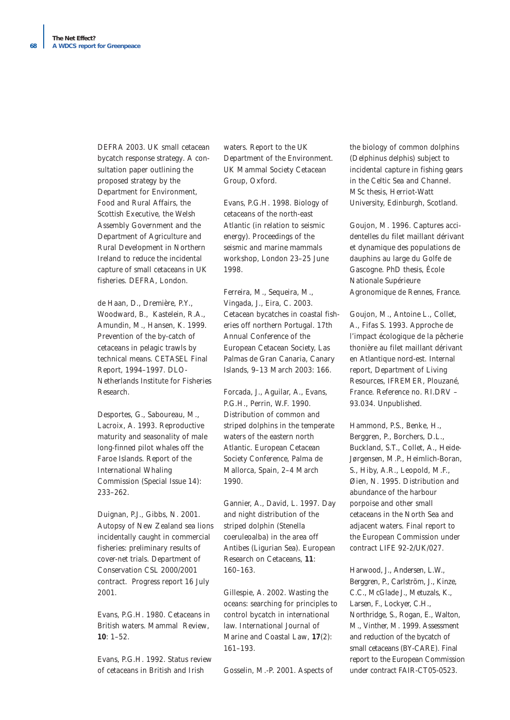DEFRA 2003. *UK small cetacean bycatch response strategy*. A consultation paper outlining the proposed strategy by the Department for Environment, Food and Rural Affairs, the Scottish Executive, the Welsh Assembly Government and the Department of Agriculture and Rural Development in Northern Ireland to reduce the incidental capture of small cetaceans in UK fisheries. DEFRA, London.

de Haan, D., Dremière, P.Y., Woodward, B., Kastelein, R.A., Amundin, M., Hansen, K. 1999. *Prevention of the by-catch of cetaceans in pelagic trawls by technical means*. CETASEL Final Report, 1994–1997. DLO-Netherlands Institute for Fisheries Research.

Desportes, G., Saboureau, M., Lacroix, A. 1993. Reproductive maturity and seasonality of male long-finned pilot whales off the Faroe Islands. *Report of the International Whaling Commission* (Special Issue 14): 233–262.

Duignan, P.J., Gibbs, N. 2001. Autopsy of New Zealand sea lions incidentally caught in commercial fisheries: preliminary results of cover-net trials. Department of Conservation CSL 2000/2001 contract. Progress report 16 July 2001.

Evans, P.G.H. 1980. Cetaceans in British waters. *Mammal Review*, **10**: 1–52.

Evans, P.G.H. 1992. *Status review of cetaceans in British and Irish*

*waters*. Report to the UK Department of the Environment. UK Mammal Society Cetacean Group, Oxford.

Evans, P.G.H. 1998. Biology of cetaceans of the north-east Atlantic (in relation to seismic energy). *Proceedings of the seismic and marine mammals workshop*, London 23–25 June 1998.

Ferreira, M., Sequeira, M., Vingada, J., Eira, C. 2003. Cetacean bycatches in coastal fisheries off northern Portugal. 17th Annual Conference of the European Cetacean Society, Las Palmas de Gran Canaria, Canary Islands, 9–13 March 2003: 166.

Forcada, J., Aguilar, A., Evans, P.G.H., Perrin, W.F. 1990. Distribution of common and striped dolphins in the temperate waters of the eastern north Atlantic. *European Cetacean Society Conference*, Palma de Mallorca, Spain, 2–4 March 1990.

Gannier, A., David, L. 1997. Day and night distribution of the striped dolphin (Stenella coeruleoalba) in the area off Antibes (Ligurian Sea). *European Research on Cetaceans*, **11**: 160–163.

Gillespie, A. 2002. Wasting the oceans: searching for principles to control bycatch in international law. *International Journal of Marine and Coastal Law*, **17**(2): 161–193.

Gosselin, M.-P. 2001. Aspects of

the biology of common dolphins (*Delphinus delphis*) subject to incidental capture in fishing gears in the Celtic Sea and Channel. MSc thesis, Herriot-Watt University, Edinburgh, Scotland.

Goujon, M. 1996. Captures accidentelles du filet maillant dérivant et dynamique des populations de dauphins au large du Golfe de Gascogne. PhD thesis, École Nationale Supérieure Agronomique de Rennes, France.

Goujon, M., Antoine L., Collet, A., Fifas S. 1993. Approche de l'impact écologique de la pêcherie thonière au filet maillant dérivant en Atlantique nord-est. Internal report, Department of Living Resources, IFREMER, Plouzané, France. Reference no. RI.DRV – 93.034. Unpublished.

Hammond, P.S., Benke, H., Berggren, P., Borchers, D.L., Buckland, S.T., Collet, A., Heide-Jørgensen, M.P., Heimlich-Boran, S., Hiby, A.R., Leopold, M.F., Øien, N. 1995. *Distribution and abundance of the harbour porpoise and other small cetaceans in the North Sea and adjacent waters*. Final report to the European Commission under contract LIFE 92-2/UK/027.

Harwood, J., Andersen, L.W., Berggren, P., Carlström, J., Kinze, C.C., McGlade J., Metuzals, K., Larsen, F., Lockyer, C.H., Northridge, S., Rogan, E., Walton, M., Vinther, M. 1999. Assessment and reduction of the bycatch of small cetaceans (BY-CARE). Final report to the European Commission under contract FAIR-CT05-0523.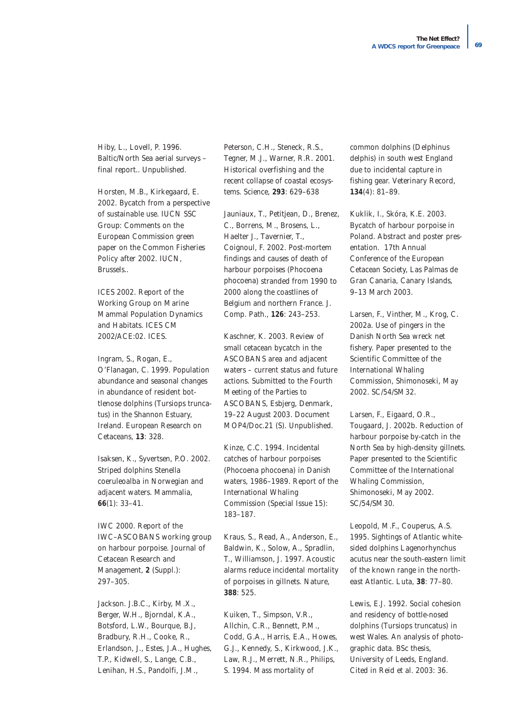Hiby, L., Lovell, P. 1996. Baltic/North Sea aerial surveys – final report.. Unpublished.

Horsten, M.B., Kirkegaard, E. 2002. Bycatch from a perspective of sustainable use. IUCN SSC Group: Comments on the European Commission green paper on the Common Fisheries Policy after 2002. IUCN, Brussels..

ICES 2002. Report of the Working Group on Marine Mammal Population Dynamics and Habitats. ICES CM 2002/ACE:02. ICES.

Ingram, S., Rogan, E., O'Flanagan, C. 1999. Population abundance and seasonal changes in abundance of resident bottlenose dolphins (*Tursiops truncatus*) in the Shannon Estuary, Ireland. *European Research on Cetaceans*, **13**: 328.

Isaksen, K., Syvertsen, P.O. 2002. Striped dolphins Stenella coeruleoalba in Norwegian and adjacent waters. *Mammalia*, **66**(1): 33–41.

IWC 2000. Report of the IWC–ASCOBANS working group on harbour porpoise. *Journal of Cetacean Research and Management*, **2** (Suppl.): 297–305.

Jackson. J.B.C., Kirby, M.X., Berger, W.H., Bjorndal, K.A., Botsford, L.W., Bourque, B.J, Bradbury, R.H., Cooke, R., Erlandson, J., Estes, J.A., Hughes, T.P., Kidwell, S., Lange, C.B., Lenihan, H.S., Pandolfi, J.M.,

Peterson, C.H., Steneck, R.S., Tegner, M.J., Warner, R.R. 2001. Historical overfishing and the recent collapse of coastal ecosystems. *Science*, **293**: 629–638

Jauniaux, T., Petitjean, D., Brenez, C., Borrens, M., Brosens, L., Haelter J., Tavernier, T., Coignoul, F. 2002. Post-mortem findings and causes of death of harbour porpoises (*Phocoena phocoena*) stranded from 1990 to 2000 along the coastlines of Belgium and northern France. *J. Comp. Path*., **126**: 243–253.

Kaschner, K. 2003. Review of small cetacean bycatch in the ASCOBANS area and adjacent waters – current status and future actions. Submitted to the Fourth Meeting of the Parties to ASCOBANS, Esbjerg, Denmark, 19–22 August 2003. Document MOP4/Doc.21 (S). Unpublished.

Kinze, C.C. 1994. Incidental catches of harbour porpoises (Phocoena phocoena) in Danish waters, 1986–1989. *Report of the International Whaling Commission* (Special Issue 15): 183–187.

Kraus, S., Read, A., Anderson, E., Baldwin, K., Solow, A., Spradlin, T., Williamson, J. 1997. Acoustic alarms reduce incidental mortality of porpoises in gillnets. *Nature*, **388**: 525.

Kuiken, T., Simpson, V.R., Allchin, C.R., Bennett, P.M., Codd, G.A., Harris, E.A., Howes, G.J., Kennedy, S., Kirkwood, J.K., Law, R.J., Merrett, N.R., Philips, S. 1994. Mass mortality of

common dolphins (*Delphinus delphis*) in south west England due to incidental capture in fishing gear. *Veterinary Record*, **134**(4): 81–89.

Kuklik, I., Skóra, K.E. 2003. Bycatch of harbour porpoise in Poland. Abstract and poster presentation. 17th Annual Conference of the European Cetacean Society, Las Palmas de Gran Canaria, Canary Islands, 9–13 March 2003.

Larsen, F., Vinther, M., Krog, C. 2002a. Use of pingers in the Danish North Sea wreck net fishery. Paper presented to the Scientific Committee of the International Whaling Commission, Shimonoseki, May 2002. SC/54/SM32.

Larsen, F., Eigaard, O.R., Tougaard, J. 2002b. Reduction of harbour porpoise by-catch in the North Sea by high-density gillnets. Paper presented to the Scientific Committee of the International Whaling Commission, Shimonoseki, May 2002. SC/54/SM30.

Leopold, M.F., Couperus, A.S. 1995. Sightings of Atlantic whitesided dolphins *Lagenorhynchus acutus* near the south-eastern limit of the known range in the northeast Atlantic. *Luta*, **38**: 77–80.

Lewis, E.J. 1992. Social cohesion and residency of bottle-nosed dolphins (*Tursiops truncatus*) in west Wales. An analysis of photographic data. BSc thesis, University of Leeds, England. Cited in Reid *et al.* 2003: 36.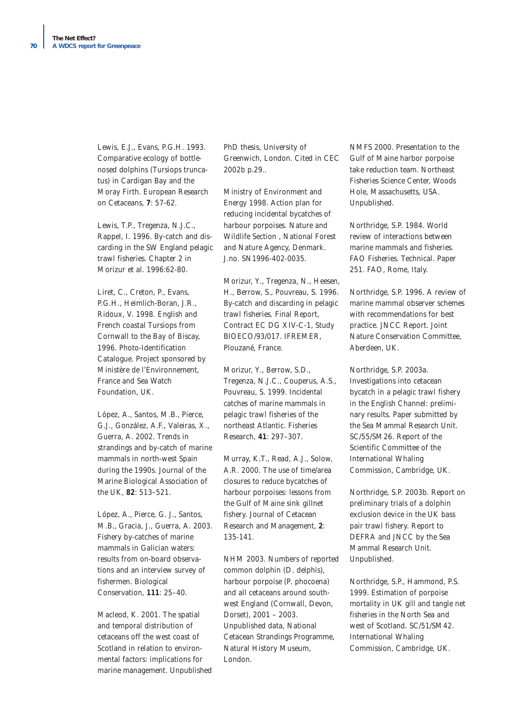Lewis, E.J., Evans, P.G.H. 1993. Comparative ecology of bottlenosed dolphins (*Tursiops truncatus*) in Cardigan Bay and the Moray Firth. *European Research on Cetaceans*, **7**: 57-62.

Lewis, T.P., Tregenza, N.J.C., Rappel, I. 1996. By-catch and discarding in the SW England pelagic trawl fisheries. Chapter 2 in Morizur *et al.* 1996:62-80.

Liret, C., Creton, P., Evans, P.G.H., Heimlich-Boran, J.R., Ridoux, V. 1998. *English and French coastal Tursiops from Cornwall to the Bay of Biscay, 1996*. Photo-Identification Catalogue. Project sponsored by Ministère de l'Environnement, France and Sea Watch Foundation, UK.

López, A., Santos, M.B., Pierce, G.J., González, A.F., Valeiras, X., Guerra, A. 2002. Trends in strandings and by-catch of marine mammals in north-west Spain during the 1990s. *Journal of the Marine Biological Association of the UK*, **82**: 513–521.

López, A., Pierce, G. J., Santos, M.B., Gracia, J., Guerra, A. 2003. Fishery by-catches of marine mammals in Galician waters: results from on-board observations and an interview survey of fishermen. *Biological Conservation*, **111**: 25–40.

Macleod, K. 2001. The spatial and temporal distribution of cetaceans off the west coast of Scotland in relation to environmental factors: implications for marine management. Unpublished PhD thesis, University of Greenwich, London. Cited in CEC 2002b p.29..

Ministry of Environment and Energy 1998. *Action plan for reducing incidental bycatches of harbour porpoises*. Nature and Wildlife Section , National Forest and Nature Agency, Denmark. J.no. SN1996-402-0035.

Morizur, Y., Tregenza, N., Heesen, H., Berrow, S., Pouvreau, S. 1996. By-catch and discarding in pelagic trawl fisheries. Final Report, Contract EC DG XIV-C-1, Study BIOECO/93/017. IFREMER, Plouzané, France.

Morizur, Y., Berrow, S.D., Tregenza, N.J.C., Couperus, A.S., Pouvreau, S. 1999. Incidental catches of marine mammals in pelagic trawl fisheries of the northeast Atlantic. *Fisheries Research*, **41**: 297–307.

Murray, K.T., Read, A.J., Solow, A.R. 2000. The use of time/area closures to reduce bycatches of harbour porpoises: lessons from the Gulf of Maine sink gillnet fishery. *Journal of Cetacean Research and Management*, **2**: 135-141.

NHM 2003. Numbers of reported common dolphin (*D. delphis*), harbour porpoise (*P. phocoena*) and all cetaceans around southwest England (Cornwall, Devon, Dorset), 2001 – 2003. Unpublished data, National Cetacean Strandings Programme, Natural History Museum, London.

NMFS 2000. Presentation to the Gulf of Maine harbor porpoise take reduction team. Northeast Fisheries Science Center, Woods Hole, Massachusetts, USA. Unpublished.

Northridge, S.P. 1984. *World review of interactions between marine mammals and fisheries*. FAO Fisheries. Technical. Paper 251. FAO, Rome, Italy.

Northridge, S.P. 1996. *A review of marine mammal observer schemes with recommendations for best practice*. JNCC Report. Joint Nature Conservation Committee, Aberdeen, UK.

Northridge, S.P. 2003a. Investigations into cetacean bycatch in a pelagic trawl fishery in the English Channel: preliminary results. Paper submitted by the Sea Mammal Research Unit. SC/55/SM26. Report of the Scientific Committee of the International Whaling Commission, Cambridge, UK.

Northridge, S.P. 2003b. Report on preliminary trials of a dolphin exclusion device in the UK bass pair trawl fishery. Report to DEFRA and JNCC by the Sea Mammal Research Unit. Unpublished.

Northridge, S.P., Hammond, P.S. 1999. Estimation of porpoise mortality in UK gill and tangle net fisheries in the North Sea and west of Scotland. SC/51/SM42. International Whaling Commission, Cambridge, UK.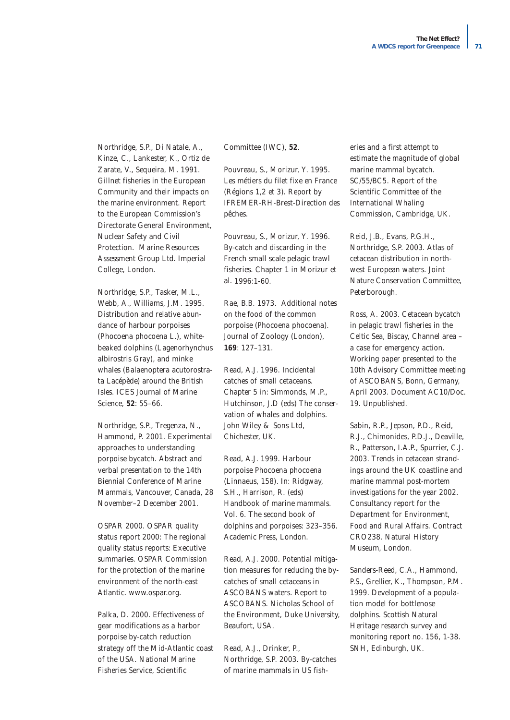Northridge, S.P., Di Natale, A., Kinze, C., Lankester, K., Ortiz de Zarate, V., Sequeira, M. 1991. Gillnet fisheries in the European Community and their impacts on the marine environment. Report to the European Commission's Directorate General Environment, Nuclear Safety and Civil Protection. Marine Resources Assessment Group Ltd. Imperial College, London.

Northridge, S.P., Tasker, M.L., Webb, A., Williams, J.M. 1995. Distribution and relative abundance of harbour porpoises (*Phocoena phocoena* L.), whitebeaked dolphins (*Lagenorhynchus albirostris* Gray), and minke whales (*Balaenoptera acutorostrata* Lacépède) around the British Isles. *ICES Journal of Marine Science*, **52**: 55–66.

Northridge, S.P., Tregenza, N., Hammond, P. 2001. Experimental approaches to understanding porpoise bycatch. Abstract and verbal presentation to the 14th Biennial Conference of Marine Mammals, Vancouver, Canada, 28 November–2 December 2001.

OSPAR 2000. *OSPAR quality status report 2000: The regional quality status reports: Executive summaries*. OSPAR Commission for the protection of the marine environment of the north-east Atlantic. www.ospar.org.

Palka, D. 2000. Effectiveness of gear modifications as a harbor porpoise by-catch reduction strategy off the Mid-Atlantic coast of the USA. *National Marine Fisheries Service, Scientific*

#### *Committee (IWC)*, **52**.

Pouvreau, S., Morizur, Y. 1995. Les métiers du filet fixe en France (Régions 1,2 et 3). Report by IFREMER-RH-Brest-Direction des pêches.

Pouvreau, S., Morizur, Y. 1996. By-catch and discarding in the French small scale pelagic trawl fisheries. Chapter 1 in Morizur *et al.* 1996:1-60.

Rae, B.B. 1973. Additional notes on the food of the common porpoise (Phocoena phocoena). *Journal of Zoology* (London), **169**: 127–131.

Read, A.J. 1996. Incidental catches of small cetaceans. Chapter 5 in: Simmonds, M.P., Hutchinson, J.D (eds) The conservation of whales and dolphins. John Wiley & Sons Ltd, Chichester, UK.

Read, A.J. 1999. Harbour porpoise Phocoena phocoena (Linnaeus, 158). In: Ridgway, S.H., Harrison, R. (eds) Handbook of marine mammals. Vol. 6. The second book of dolphins and porpoises: 323–356. Academic Press, London.

Read, A.J. 2000. Potential mitigation measures for reducing the bycatches of small cetaceans in ASCOBANS waters. Report to ASCOBANS. Nicholas School of the Environment, Duke University, Beaufort, USA.

Read, A.J., Drinker, P., Northridge, S.P. 2003. By-catches of marine mammals in US fish-

eries and a first attempt to estimate the magnitude of global marine mammal bycatch. SC/55/BC5. Report of the Scientific Committee of the International Whaling Commission, Cambridge, UK.

Reid, J.B., Evans, P.G.H., Northridge, S.P. 2003. *Atlas of cetacean distribution in northwest European waters*. Joint Nature Conservation Committee, Peterborough.

Ross, A. 2003. Cetacean bycatch in pelagic trawl fisheries in the Celtic Sea, Biscay, Channel area – a case for emergency action. Working paper presented to the 10th Advisory Committee meeting of ASCOBANS, Bonn, Germany, April 2003. Document AC10/Doc. 19. Unpublished.

Sabin, R.P., Jepson, P.D., Reid, R.J., Chimonides, P.D.J., Deaville, R., Patterson, I.A.P., Spurrier, C.J. 2003. *Trends in cetacean strandings around the UK coastline and marine mammal post-mortem investigations for the year 2002*. Consultancy report for the Department for Environment, Food and Rural Affairs. Contract CRO238. Natural History Museum, London.

Sanders-Reed, C.A., Hammond, P.S., Grellier, K., Thompson, P.M. 1999. Development of a population model for bottlenose dolphins. Scottish Natural Heritage research survey and monitoring report no. 156, 1-38. SNH, Edinburgh, UK.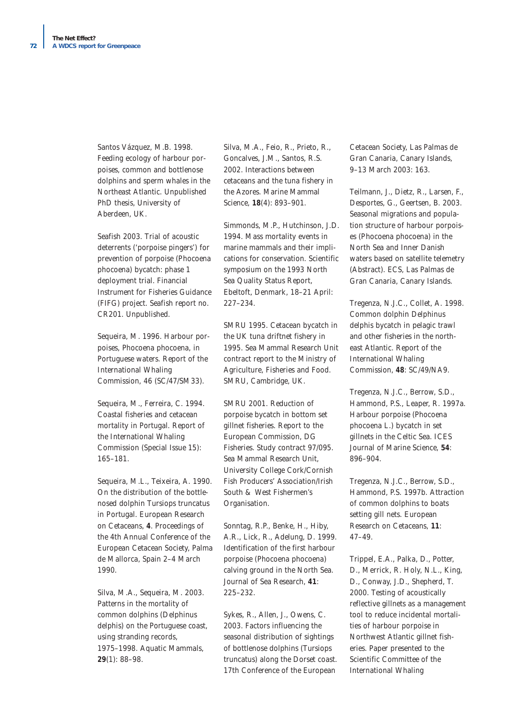Santos Vázquez, M.B. 1998. Feeding ecology of harbour porpoises, common and bottlenose dolphins and sperm whales in the Northeast Atlantic. Unpublished PhD thesis, University of Aberdeen, UK.

Seafish 2003. Trial of acoustic deterrents ('porpoise pingers') for prevention of porpoise (*Phocoena phocoena*) bycatch: phase 1 deployment trial. Financial Instrument for Fisheries Guidance (FIFG) project. Seafish report no. CR201. Unpublished.

Sequeira, M. 1996. Harbour porpoises, Phocoena phocoena, in Portuguese waters. *Report of the International Whaling Commission*, 46 (SC/47/SM33).

Sequeira, M., Ferreira, C. 1994. Coastal fisheries and cetacean mortality in Portugal. *Report of the International Whaling Commission* (Special Issue 15): 165–181.

Sequeira, M.L., Teixeira, A. 1990. On the distribution of the bottlenosed dolphin *Tursiops truncatus in Portugal. European Research on Cetaceans*, **4**. Proceedings of the 4th Annual Conference of the European Cetacean Society, Palma de Mallorca, Spain 2–4 March 1990.

Silva, M.A., Sequeira, M. 2003. Patterns in the mortality of common dolphins (*Delphinus delphis*) on the Portuguese coast, using stranding records, 1975–1998. *Aquatic Mammals*, **29**(1): 88–98.

Silva, M.A., Feio, R., Prieto, R., Goncalves, J.M., Santos, R.S. 2002. Interactions between cetaceans and the tuna fishery in the Azores. *Marine Mammal Science*, **18**(4): 893–901.

Simmonds, M.P., Hutchinson, J.D. 1994. Mass mortality events in marine mammals and their implications for conservation. Scientific symposium on the 1993 North Sea Quality Status Report, Ebeltoft, Denmark, 18–21 April: 227–234.

SMRU 1995. Cetacean bycatch in the UK tuna driftnet fishery in 1995. Sea Mammal Research Unit contract report to the Ministry of Agriculture, Fisheries and Food. SMRU, Cambridge, UK.

SMRU 2001. *Reduction of porpoise bycatch in bottom set gillnet fisheries*. Report to the European Commission, DG Fisheries. Study contract 97/095. Sea Mammal Research Unit, University College Cork/Cornish Fish Producers' Association/Irish South & West Fishermen's Organisation.

Sonntag, R.P., Benke, H., Hiby, A.R., Lick, R., Adelung, D. 1999. Identification of the first harbour porpoise (Phocoena phocoena) calving ground in the North Sea. *Journal of Sea Research*, **41**: 225–232.

Sykes, R., Allen, J., Owens, C. 2003. Factors influencing the seasonal distribution of sightings of bottlenose dolphins (*Tursiops truncatus*) along the Dorset coast. 17th Conference of the European

Cetacean Society, Las Palmas de Gran Canaria, Canary Islands, 9–13 March 2003: 163.

Teilmann, J., Dietz, R., Larsen, F., Desportes, G., Geertsen, B. 2003. Seasonal migrations and population structure of harbour porpoises (*Phocoena phocoena*) in the North Sea and Inner Danish waters based on satellite telemetry (Abstract). ECS, Las Palmas de Gran Canaria, Canary Islands.

Tregenza, N.J.C., Collet, A. 1998. Common dolphin Delphinus delphis bycatch in pelagic trawl and other fisheries in the northeast Atlantic. *Report of the International Whaling Commission*, **48**: SC/49/NA9.

Tregenza, N.J.C., Berrow, S.D., Hammond, P.S., Leaper, R. 1997a. Harbour porpoise (Phocoena phocoena L.) bycatch in set gillnets in the Celtic Sea. *ICES Journal of Marine Science*, **54**: 896–904.

Tregenza, N.J.C., Berrow, S.D., Hammond, P.S. 1997b. Attraction of common dolphins to boats setting gill nets. *European Research on Cetaceans*, **11**: 47–49.

Trippel, E.A., Palka, D., Potter, D., Merrick, R. Holy, N.L., King, D., Conway, J.D., Shepherd, T. 2000. Testing of acoustically reflective gillnets as a management tool to reduce incidental mortalities of harbour porpoise in Northwest Atlantic gillnet fisheries. Paper presented to the Scientific Committee of the International Whaling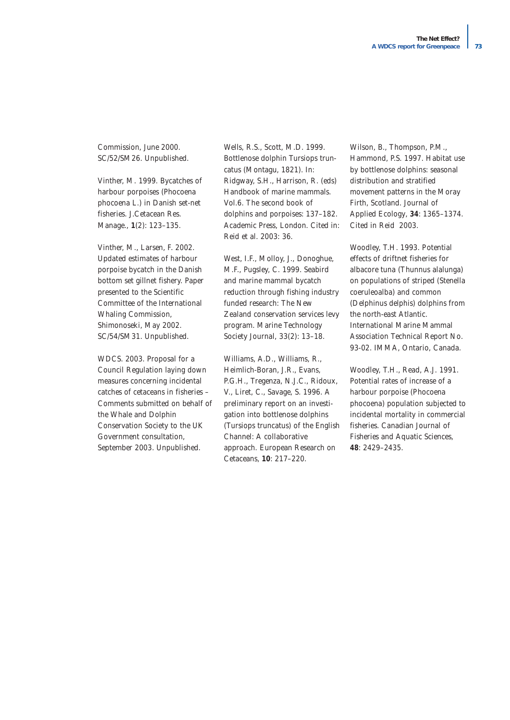Commission, June 2000. SC/52/SM26. Unpublished.

Vinther, M. 1999. Bycatches of harbour porpoises (Phocoena phocoena L.) in Danish set-net fisheries. *J.Cetacean Res. Manage*., **1**(2): 123–135.

Vinther, M., Larsen, F. 2002. Updated estimates of harbour porpoise bycatch in the Danish bottom set gillnet fishery. Paper presented to the Scientific Committee of the International Whaling Commission, Shimonoseki, May 2002. SC/54/SM31. Unpublished.

WDCS. 2003. Proposal for a Council Regulation laying down measures concerning incidental catches of cetaceans in fisheries – Comments submitted on behalf of the Whale and Dolphin Conservation Society to the UK Government consultation, September 2003. Unpublished.

Wells, R.S., Scott, M.D. 1999. Bottlenose dolphin Tursiops truncatus (Montagu, 1821). In: Ridgway, S.H., Harrison, R. (eds) *Handbook of marine mammals. Vol.6. The second book of dolphins and porpoises*: 137–182. Academic Press, London. Cited in: Reid *et al.* 2003: 36.

West, I.F., Molloy, J., Donoghue, M.F., Pugsley, C. 1999. Seabird and marine mammal bycatch reduction through fishing industry funded research: The New Zealand conservation services levy program. Marine Technology Society Journal, 33(2): 13–18.

Williams, A.D., Williams, R., Heimlich-Boran, J.R., Evans, P.G.H., Tregenza, N.J.C., Ridoux, V., Liret, C., Savage, S. 1996. A preliminary report on an investigation into bottlenose dolphins (*Tursiops truncatus*) of the English Channel: A collaborative approach. *European Research on Cetaceans*, **10**: 217–220.

Wilson, B., Thompson, P.M., Hammond, P.S. 1997. Habitat use by bottlenose dolphins: seasonal distribution and stratified movement patterns in the Moray Firth, Scotland. *Journal of Applied Ecology*, **34**: 1365–1374. Cited in Reid 2003.

Woodley, T.H. 1993. *Potential effects of driftnet fisheries for albacore tuna (Thunnus alalunga) on populations of striped (Stenella coeruleoalba) and common (Delphinus delphis) dolphins from the north-east Atlantic*. International Marine Mammal Association Technical Report No. 93-02. IMMA, Ontario, Canada.

Woodley, T.H., Read, A.J. 1991. Potential rates of increase of a harbour porpoise (*Phocoena phocoena*) population subjected to incidental mortality in commercial fisheries. *Canadian Journal of Fisheries and Aquatic Sciences*, **48**: 2429–2435.